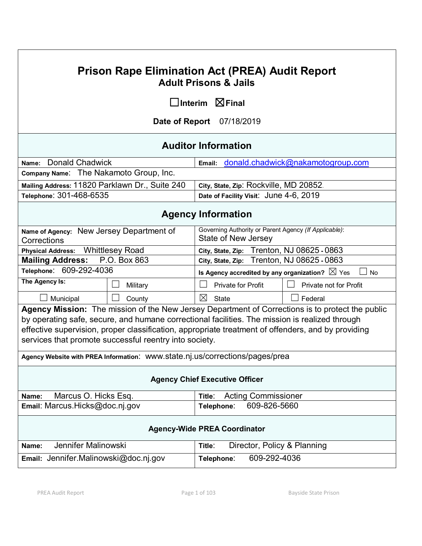# **Prison Rape Elimination Act (PREA) Audit Report Adult Prisons & Jails**

☐**Interim** ☒**Final**

**Date of Report** 07/18/2019

# **Auditor Information**

| Name: Donald Chadwick                          | Email: donald.chadwick@nakamotogroup.com |
|------------------------------------------------|------------------------------------------|
| Company Name: The Nakamoto Group, Inc.         |                                          |
| Mailing Address: 11820 Parklawn Dr., Suite 240 | City, State, Zip: Rockville, MD 20852.   |
| Telephone: 301-468-6535                        | Date of Facility Visit: June 4-6, 2019   |

# **Agency Information**

| Name of Agency: New Jersey Department of                                     |                                                                                                | Governing Authority or Parent Agency (If Applicable):                  |  |                                                                                                    |
|------------------------------------------------------------------------------|------------------------------------------------------------------------------------------------|------------------------------------------------------------------------|--|----------------------------------------------------------------------------------------------------|
| Corrections                                                                  |                                                                                                | State of New Jersey                                                    |  |                                                                                                    |
| <b>Physical Address:</b>                                                     | <b>Whittlesey Road</b>                                                                         |                                                                        |  | City, State, Zip: Trenton, NJ 08625 - 0863                                                         |
| <b>Mailing Address:</b>                                                      | P.O. Box 863                                                                                   | City, State, Zip: Trenton, NJ 08625 - 0863                             |  |                                                                                                    |
| Telephone: 609-292-4036                                                      |                                                                                                | Is Agency accredited by any organization? $\boxtimes$ Yes<br><b>No</b> |  |                                                                                                    |
| The Agency Is:                                                               | Military                                                                                       | <b>Private for Profit</b>                                              |  | <b>Private not for Profit</b>                                                                      |
| Municipal                                                                    | County                                                                                         | ⊠<br>State                                                             |  | Federal                                                                                            |
|                                                                              |                                                                                                |                                                                        |  | Agency Mission: The mission of the New Jersey Department of Corrections is to protect the public   |
|                                                                              | by operating safe, secure, and humane correctional facilities. The mission is realized through |                                                                        |  |                                                                                                    |
|                                                                              |                                                                                                |                                                                        |  | effective supervision, proper classification, appropriate treatment of offenders, and by providing |
|                                                                              | services that promote successful reentry into society.                                         |                                                                        |  |                                                                                                    |
| Agency Website with PREA Information: WWW.state.nj.us/corrections/pages/prea |                                                                                                |                                                                        |  |                                                                                                    |
| <b>Agency Chief Executive Officer</b>                                        |                                                                                                |                                                                        |  |                                                                                                    |
| Marcus O. Hicks Esq.<br>Name:                                                |                                                                                                | <b>Acting Commissioner</b><br>Title:                                   |  |                                                                                                    |
| Email: Marcus.Hicks@doc.nj.gov<br>609-826-5660<br>Telephone:                 |                                                                                                |                                                                        |  |                                                                                                    |
| <b>Agency-Wide PREA Coordinator</b>                                          |                                                                                                |                                                                        |  |                                                                                                    |
| Jennifer Malinowski<br>Name:                                                 |                                                                                                | Title:                                                                 |  | Director, Policy & Planning                                                                        |
| 609-292-4036<br>Email: Jennifer Malinowski@doc.nj.gov<br>Telephone:          |                                                                                                |                                                                        |  |                                                                                                    |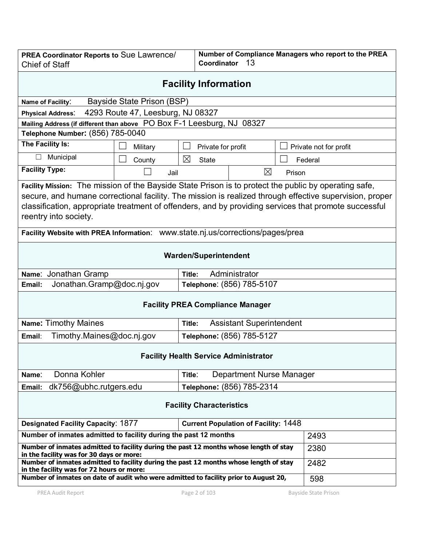| <b>PREA Coordinator Reports to Sue Lawrence/</b><br><b>Chief of Staff</b>                                                                                                                                                                                                                                                                          |                                                                                       | Number of Compliance Managers who report to the PREA<br>Coordinator<br>13 |                                 |        |                        |
|----------------------------------------------------------------------------------------------------------------------------------------------------------------------------------------------------------------------------------------------------------------------------------------------------------------------------------------------------|---------------------------------------------------------------------------------------|---------------------------------------------------------------------------|---------------------------------|--------|------------------------|
| <b>Facility Information</b>                                                                                                                                                                                                                                                                                                                        |                                                                                       |                                                                           |                                 |        |                        |
| Name of Facility:                                                                                                                                                                                                                                                                                                                                  | Bayside State Prison (BSP)                                                            |                                                                           |                                 |        |                        |
| <b>Physical Address:</b>                                                                                                                                                                                                                                                                                                                           | 4293 Route 47, Leesburg, NJ 08327                                                     |                                                                           |                                 |        |                        |
| Mailing Address (if different than above PO Box F-1 Leesburg, NJ 08327                                                                                                                                                                                                                                                                             |                                                                                       |                                                                           |                                 |        |                        |
| Telephone Number: (856) 785-0040                                                                                                                                                                                                                                                                                                                   |                                                                                       |                                                                           |                                 |        |                        |
| The Facility Is:                                                                                                                                                                                                                                                                                                                                   | Military                                                                              |                                                                           | Private for profit              |        | Private not for profit |
| Municipal<br>$\Box$                                                                                                                                                                                                                                                                                                                                | County                                                                                | ⊠                                                                         | <b>State</b>                    |        | Federal                |
| <b>Facility Type:</b>                                                                                                                                                                                                                                                                                                                              | Jail                                                                                  |                                                                           | $\boxtimes$                     | Prison |                        |
| Facility Mission: The mission of the Bayside State Prison is to protect the public by operating safe,<br>secure, and humane correctional facility. The mission is realized through effective supervision, proper<br>classification, appropriate treatment of offenders, and by providing services that promote successful<br>reentry into society. |                                                                                       |                                                                           |                                 |        |                        |
| Facility Website with PREA Information: www.state.nj.us/corrections/pages/prea                                                                                                                                                                                                                                                                     |                                                                                       |                                                                           |                                 |        |                        |
| <b>Warden/Superintendent</b>                                                                                                                                                                                                                                                                                                                       |                                                                                       |                                                                           |                                 |        |                        |
| Name: Jonathan Gramp                                                                                                                                                                                                                                                                                                                               |                                                                                       | Title:                                                                    | Administrator                   |        |                        |
| Jonathan.Gramp@doc.nj.gov<br>Email:                                                                                                                                                                                                                                                                                                                |                                                                                       |                                                                           | Telephone: (856) 785-5107       |        |                        |
| <b>Facility PREA Compliance Manager</b>                                                                                                                                                                                                                                                                                                            |                                                                                       |                                                                           |                                 |        |                        |
| <b>Name: Timothy Maines</b>                                                                                                                                                                                                                                                                                                                        |                                                                                       | Title:                                                                    | <b>Assistant Superintendent</b> |        |                        |
| Timothy.Maines@doc.nj.gov<br>Email:                                                                                                                                                                                                                                                                                                                |                                                                                       | Telephone: (856) 785-5127                                                 |                                 |        |                        |
| <b>Facility Health Service Administrator</b>                                                                                                                                                                                                                                                                                                       |                                                                                       |                                                                           |                                 |        |                        |
| Donna Kohler<br>Department Nurse Manager<br>Title:<br>Name:                                                                                                                                                                                                                                                                                        |                                                                                       |                                                                           |                                 |        |                        |
| dk756@ubhc.rutgers.edu<br>Telephone: (856) 785-2314<br>Email:                                                                                                                                                                                                                                                                                      |                                                                                       |                                                                           |                                 |        |                        |
| <b>Facility Characteristics</b>                                                                                                                                                                                                                                                                                                                    |                                                                                       |                                                                           |                                 |        |                        |
| <b>Designated Facility Capacity: 1877</b><br><b>Current Population of Facility: 1448</b>                                                                                                                                                                                                                                                           |                                                                                       |                                                                           |                                 |        |                        |
| Number of inmates admitted to facility during the past 12 months                                                                                                                                                                                                                                                                                   |                                                                                       |                                                                           | 2493                            |        |                        |
| Number of inmates admitted to facility during the past 12 months whose length of stay<br>in the facility was for 30 days or more:                                                                                                                                                                                                                  |                                                                                       |                                                                           |                                 | 2380   |                        |
| in the facility was for 72 hours or more:                                                                                                                                                                                                                                                                                                          | Number of inmates admitted to facility during the past 12 months whose length of stay |                                                                           |                                 |        | 2482                   |
| Number of inmates on date of audit who were admitted to facility prior to August 20,                                                                                                                                                                                                                                                               |                                                                                       |                                                                           |                                 | 598    |                        |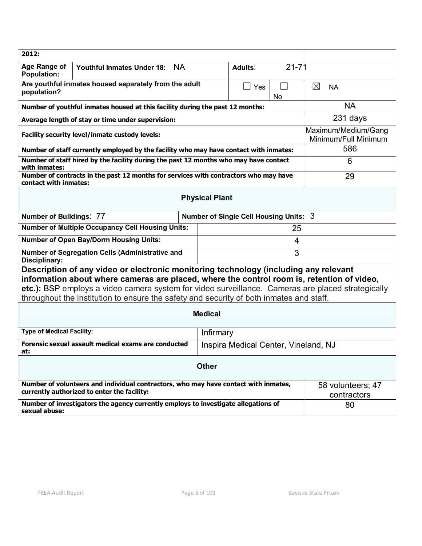| 2012:                                                                                                                                                                                                                                                                                   |                                                                                           |                                             |           |                                  |  |
|-----------------------------------------------------------------------------------------------------------------------------------------------------------------------------------------------------------------------------------------------------------------------------------------|-------------------------------------------------------------------------------------------|---------------------------------------------|-----------|----------------------------------|--|
| Age Range of<br><b>NA</b><br><b>Youthful Inmates Under 18:</b><br><b>Population:</b>                                                                                                                                                                                                    |                                                                                           | Adults:                                     | $21 - 71$ |                                  |  |
| Are youthful inmates housed separately from the adult<br>$\Box$<br>Yes<br>population?<br>No                                                                                                                                                                                             |                                                                                           |                                             |           | $\boxtimes$<br><b>NA</b>         |  |
| Number of youthful inmates housed at this facility during the past 12 months:                                                                                                                                                                                                           |                                                                                           |                                             |           | <b>NA</b>                        |  |
| Average length of stay or time under supervision:                                                                                                                                                                                                                                       |                                                                                           |                                             |           | 231 days                         |  |
| Facility security level/inmate custody levels:                                                                                                                                                                                                                                          |                                                                                           | Maximum/Medium/Gang<br>Minimum/Full Minimum |           |                                  |  |
| Number of staff currently employed by the facility who may have contact with inmates:                                                                                                                                                                                                   |                                                                                           |                                             |           | 586                              |  |
| with inmates:                                                                                                                                                                                                                                                                           | Number of staff hired by the facility during the past 12 months who may have contact<br>6 |                                             |           |                                  |  |
| Number of contracts in the past 12 months for services with contractors who may have<br>contact with inmates:                                                                                                                                                                           |                                                                                           |                                             |           | 29                               |  |
| <b>Physical Plant</b>                                                                                                                                                                                                                                                                   |                                                                                           |                                             |           |                                  |  |
| <b>Number of Buildings: 77</b>                                                                                                                                                                                                                                                          |                                                                                           | Number of Single Cell Housing Units: 3      |           |                                  |  |
| <b>Number of Multiple Occupancy Cell Housing Units:</b>                                                                                                                                                                                                                                 |                                                                                           |                                             | 25        |                                  |  |
| <b>Number of Open Bay/Dorm Housing Units:</b>                                                                                                                                                                                                                                           |                                                                                           |                                             | 4         |                                  |  |
| Number of Segregation Cells (Administrative and<br>3<br>Disciplinary:                                                                                                                                                                                                                   |                                                                                           |                                             |           |                                  |  |
| Description of any video or electronic monitoring technology (including any relevant<br>information about where cameras are placed, where the control room is, retention of video,<br>etc.): BSP employs a video camera system for video surveillance. Cameras are placed strategically |                                                                                           |                                             |           |                                  |  |
| throughout the institution to ensure the safety and security of both inmates and staff.                                                                                                                                                                                                 |                                                                                           |                                             |           |                                  |  |
| <b>Medical</b>                                                                                                                                                                                                                                                                          |                                                                                           |                                             |           |                                  |  |
| <b>Type of Medical Facility:</b><br>Infirmary                                                                                                                                                                                                                                           |                                                                                           |                                             |           |                                  |  |
| Forensic sexual assault medical exams are conducted<br>Inspira Medical Center, Vineland, NJ<br>at:                                                                                                                                                                                      |                                                                                           |                                             |           |                                  |  |
| <b>Other</b>                                                                                                                                                                                                                                                                            |                                                                                           |                                             |           |                                  |  |
| Number of volunteers and individual contractors, who may have contact with inmates,<br>currently authorized to enter the facility:                                                                                                                                                      |                                                                                           |                                             |           | 58 volunteers; 47<br>contractors |  |
| Number of investigators the agency currently employs to investigate allegations of<br>sexual abuse:                                                                                                                                                                                     |                                                                                           |                                             |           | 80                               |  |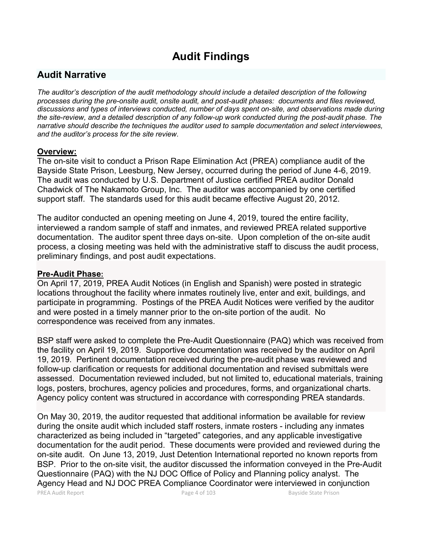# **Audit Findings**

# **Audit Narrative**

*The auditor's description of the audit methodology should include a detailed description of the following processes during the pre-onsite audit, onsite audit, and post-audit phases: documents and files reviewed, discussions and types of interviews conducted, number of days spent on-site, and observations made during the site-review, and a detailed description of any follow-up work conducted during the post-audit phase. The narrative should describe the techniques the auditor used to sample documentation and select interviewees, and the auditor's process for the site review.*

#### **Overview:**

The on-site visit to conduct a Prison Rape Elimination Act (PREA) compliance audit of the Bayside State Prison, Leesburg, New Jersey, occurred during the period of June 4-6, 2019. The audit was conducted by U.S. Department of Justice certified PREA auditor Donald Chadwick of The Nakamoto Group, Inc. The auditor was accompanied by one certified support staff. The standards used for this audit became effective August 20, 2012.

The auditor conducted an opening meeting on June 4, 2019, toured the entire facility, interviewed a random sample of staff and inmates, and reviewed PREA related supportive documentation. The auditor spent three days on-site. Upon completion of the on-site audit process, a closing meeting was held with the administrative staff to discuss the audit process, preliminary findings, and post audit expectations.

#### **Pre-Audit Phase:**

On April 17, 2019, PREA Audit Notices (in English and Spanish) were posted in strategic locations throughout the facility where inmates routinely live, enter and exit, buildings, and participate in programming. Postings of the PREA Audit Notices were verified by the auditor and were posted in a timely manner prior to the on-site portion of the audit. No correspondence was received from any inmates.

BSP staff were asked to complete the Pre-Audit Questionnaire (PAQ) which was received from the facility on April 19, 2019. Supportive documentation was received by the auditor on April 19, 2019. Pertinent documentation received during the pre-audit phase was reviewed and follow-up clarification or requests for additional documentation and revised submittals were assessed. Documentation reviewed included, but not limited to, educational materials, training logs, posters, brochures, agency policies and procedures, forms, and organizational charts. Agency policy content was structured in accordance with corresponding PREA standards.

On May 30, 2019, the auditor requested that additional information be available for review during the onsite audit which included staff rosters, inmate rosters - including any inmates characterized as being included in "targeted" categories, and any applicable investigative documentation for the audit period. These documents were provided and reviewed during the on-site audit. On June 13, 2019, Just Detention International reported no known reports from BSP. Prior to the on-site visit, the auditor discussed the information conveyed in the Pre-Audit Questionnaire (PAQ) with the NJ DOC Office of Policy and Planning policy analyst. The Agency Head and NJ DOC PREA Compliance Coordinator were interviewed in conjunction

PREA Audit Report **Page 4 of 103** Bayside State Prison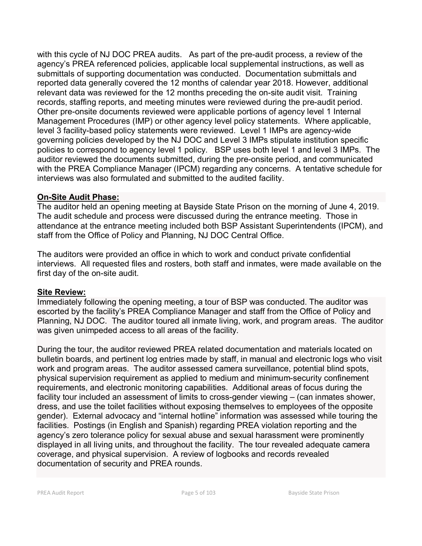with this cycle of NJ DOC PREA audits. As part of the pre-audit process, a review of the agency's PREA referenced policies, applicable local supplemental instructions, as well as submittals of supporting documentation was conducted. Documentation submittals and reported data generally covered the 12 months of calendar year 2018. However, additional relevant data was reviewed for the 12 months preceding the on-site audit visit. Training records, staffing reports, and meeting minutes were reviewed during the pre-audit period. Other pre-onsite documents reviewed were applicable portions of agency level 1 Internal Management Procedures (IMP) or other agency level policy statements. Where applicable, level 3 facility-based policy statements were reviewed. Level 1 IMPs are agency-wide governing policies developed by the NJ DOC and Level 3 IMPs stipulate institution specific policies to correspond to agency level 1 policy. BSP uses both level 1 and level 3 IMPs. The auditor reviewed the documents submitted, during the pre-onsite period, and communicated with the PREA Compliance Manager (IPCM) regarding any concerns. A tentative schedule for interviews was also formulated and submitted to the audited facility.

### **On-Site Audit Phase:**

The auditor held an opening meeting at Bayside State Prison on the morning of June 4, 2019. The audit schedule and process were discussed during the entrance meeting. Those in attendance at the entrance meeting included both BSP Assistant Superintendents (IPCM), and staff from the Office of Policy and Planning, NJ DOC Central Office.

The auditors were provided an office in which to work and conduct private confidential interviews. All requested files and rosters, both staff and inmates, were made available on the first day of the on-site audit.

## **Site Review:**

Immediately following the opening meeting, a tour of BSP was conducted. The auditor was escorted by the facility's PREA Compliance Manager and staff from the Office of Policy and Planning, NJ DOC. The auditor toured all inmate living, work, and program areas. The auditor was given unimpeded access to all areas of the facility.

During the tour, the auditor reviewed PREA related documentation and materials located on bulletin boards, and pertinent log entries made by staff, in manual and electronic logs who visit work and program areas. The auditor assessed camera surveillance, potential blind spots, physical supervision requirement as applied to medium and minimum-security confinement requirements, and electronic monitoring capabilities. Additional areas of focus during the facility tour included an assessment of limits to cross-gender viewing – (can inmates shower, dress, and use the toilet facilities without exposing themselves to employees of the opposite gender). External advocacy and "internal hotline" information was assessed while touring the facilities. Postings (in English and Spanish) regarding PREA violation reporting and the agency's zero tolerance policy for sexual abuse and sexual harassment were prominently displayed in all living units, and throughout the facility. The tour revealed adequate camera coverage, and physical supervision. A review of logbooks and records revealed documentation of security and PREA rounds.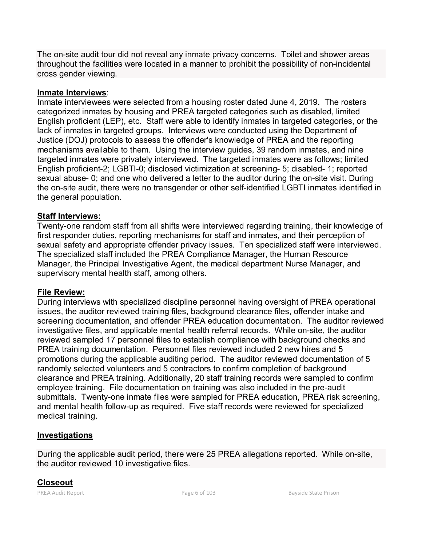The on-site audit tour did not reveal any inmate privacy concerns. Toilet and shower areas throughout the facilities were located in a manner to prohibit the possibility of non-incidental cross gender viewing.

### **Inmate Interviews**:

Inmate interviewees were selected from a housing roster dated June 4, 2019. The rosters categorized inmates by housing and PREA targeted categories such as disabled, limited English proficient (LEP), etc. Staff were able to identify inmates in targeted categories, or the lack of inmates in targeted groups. Interviews were conducted using the Department of Justice (DOJ) protocols to assess the offender's knowledge of PREA and the reporting mechanisms available to them. Using the interview guides, 39 random inmates, and nine targeted inmates were privately interviewed. The targeted inmates were as follows; limited English proficient-2; LGBTI-0; disclosed victimization at screening- 5; disabled- 1; reported sexual abuse- 0; and one who delivered a letter to the auditor during the on-site visit. During the on-site audit, there were no transgender or other self-identified LGBTI inmates identified in the general population.

### **Staff Interviews:**

Twenty-one random staff from all shifts were interviewed regarding training, their knowledge of first responder duties, reporting mechanisms for staff and inmates, and their perception of sexual safety and appropriate offender privacy issues. Ten specialized staff were interviewed. The specialized staff included the PREA Compliance Manager, the Human Resource Manager, the Principal Investigative Agent, the medical department Nurse Manager, and supervisory mental health staff, among others.

## **File Review:**

During interviews with specialized discipline personnel having oversight of PREA operational issues, the auditor reviewed training files, background clearance files, offender intake and screening documentation, and offender PREA education documentation. The auditor reviewed investigative files, and applicable mental health referral records. While on-site, the auditor reviewed sampled 17 personnel files to establish compliance with background checks and PREA training documentation. Personnel files reviewed included 2 new hires and 5 promotions during the applicable auditing period. The auditor reviewed documentation of 5 randomly selected volunteers and 5 contractors to confirm completion of background clearance and PREA training. Additionally, 20 staff training records were sampled to confirm employee training. File documentation on training was also included in the pre-audit submittals. Twenty-one inmate files were sampled for PREA education, PREA risk screening, and mental health follow-up as required. Five staff records were reviewed for specialized medical training.

## **Investigations**

During the applicable audit period, there were 25 PREA allegations reported. While on-site, the auditor reviewed 10 investigative files.

# **Closeout**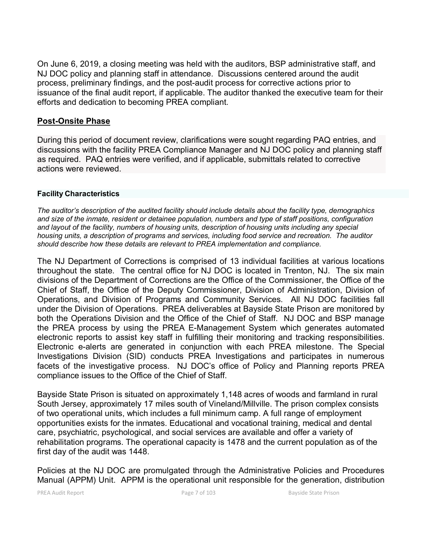On June 6, 2019, a closing meeting was held with the auditors, BSP administrative staff, and NJ DOC policy and planning staff in attendance. Discussions centered around the audit process, preliminary findings, and the post-audit process for corrective actions prior to issuance of the final audit report, if applicable. The auditor thanked the executive team for their efforts and dedication to becoming PREA compliant.

### **Post-Onsite Phase**

During this period of document review, clarifications were sought regarding PAQ entries, and discussions with the facility PREA Compliance Manager and NJ DOC policy and planning staff as required. PAQ entries were verified, and if applicable, submittals related to corrective actions were reviewed.

#### **Facility Characteristics**

*The auditor's description of the audited facility should include details about the facility type, demographics and size of the inmate, resident or detainee population, numbers and type of staff positions, configuration and layout of the facility, numbers of housing units, description of housing units including any special housing units, a description of programs and services, including food service and recreation. The auditor should describe how these details are relevant to PREA implementation and compliance.*

The NJ Department of Corrections is comprised of 13 individual facilities at various locations throughout the state. The central office for NJ DOC is located in Trenton, NJ. The six main divisions of the Department of Corrections are the Office of the Commissioner, the Office of the Chief of Staff, the Office of the Deputy Commissioner, Division of Administration, Division of Operations, and Division of Programs and Community Services. All NJ DOC facilities fall under the Division of Operations. PREA deliverables at Bayside State Prison are monitored by both the Operations Division and the Office of the Chief of Staff. NJ DOC and BSP manage the PREA process by using the PREA E-Management System which generates automated electronic reports to assist key staff in fulfilling their monitoring and tracking responsibilities. Electronic e-alerts are generated in conjunction with each PREA milestone. The Special Investigations Division (SID) conducts PREA Investigations and participates in numerous facets of the investigative process. NJ DOC's office of Policy and Planning reports PREA compliance issues to the Office of the Chief of Staff.

Bayside State Prison is situated on approximately 1,148 acres of woods and farmland in rural South Jersey, approximately 17 miles south of Vineland/Millville. The prison complex consists of two operational units, which includes a full minimum camp. A full range of employment opportunities exists for the inmates. Educational and vocational training, medical and dental care, psychiatric, psychological, and social services are available and offer a variety of rehabilitation programs. The operational capacity is 1478 and the current population as of the first day of the audit was 1448.

Policies at the NJ DOC are promulgated through the Administrative Policies and Procedures Manual (APPM) Unit. APPM is the operational unit responsible for the generation, distribution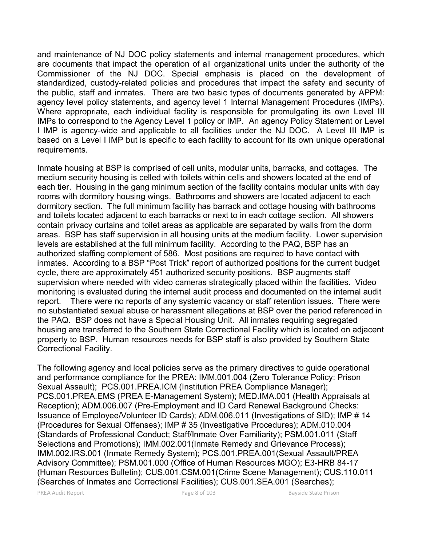and maintenance of NJ DOC policy statements and internal management procedures, which are documents that impact the operation of all organizational units under the authority of the Commissioner of the NJ DOC. Special emphasis is placed on the development of standardized, custody-related policies and procedures that impact the safety and security of the public, staff and inmates. There are two basic types of documents generated by APPM: agency level policy statements, and agency level 1 Internal Management Procedures (IMPs). Where appropriate, each individual facility is responsible for promulgating its own Level III IMPs to correspond to the Agency Level 1 policy or IMP. An agency Policy Statement or Level I IMP is agency-wide and applicable to all facilities under the NJ DOC. A Level III IMP is based on a Level I IMP but is specific to each facility to account for its own unique operational requirements.

Inmate housing at BSP is comprised of cell units, modular units, barracks, and cottages. The medium security housing is celled with toilets within cells and showers located at the end of each tier. Housing in the gang minimum section of the facility contains modular units with day rooms with dormitory housing wings. Bathrooms and showers are located adjacent to each dormitory section. The full minimum facility has barrack and cottage housing with bathrooms and toilets located adjacent to each barracks or next to in each cottage section. All showers contain privacy curtains and toilet areas as applicable are separated by walls from the dorm areas. BSP has staff supervision in all housing units at the medium facility. Lower supervision levels are established at the full minimum facility. According to the PAQ, BSP has an authorized staffing complement of 586. Most positions are required to have contact with inmates. According to a BSP "Post Trick" report of authorized positions for the current budget cycle, there are approximately 451 authorized security positions. BSP augments staff supervision where needed with video cameras strategically placed within the facilities. Video monitoring is evaluated during the internal audit process and documented on the internal audit report. There were no reports of any systemic vacancy or staff retention issues. There were no substantiated sexual abuse or harassment allegations at BSP over the period referenced in the PAQ. BSP does not have a Special Housing Unit. All inmates requiring segregated housing are transferred to the Southern State Correctional Facility which is located on adjacent property to BSP. Human resources needs for BSP staff is also provided by Southern State Correctional Facility.

The following agency and local policies serve as the primary directives to guide operational and performance compliance for the PREA: IMM.001.004 (Zero Tolerance Policy: Prison Sexual Assault); PCS.001.PREA.ICM (Institution PREA Compliance Manager); PCS.001.PREA.EMS (PREA E-Management System); MED.IMA.001 (Health Appraisals at Reception); ADM.006.007 (Pre-Employment and ID Card Renewal Background Checks: Issuance of Employee/Volunteer ID Cards); ADM.006.011 (Investigations of SID); IMP # 14 (Procedures for Sexual Offenses); IMP # 35 (Investigative Procedures); ADM.010.004 (Standards of Professional Conduct; Staff/Inmate Over Familiarity); PSM.001.011 (Staff Selections and Promotions); IMM.002.001(Inmate Remedy and Grievance Process); IMM.002.IRS.001 (Inmate Remedy System); PCS.001.PREA.001(Sexual Assault/PREA Advisory Committee); PSM.001.000 (Office of Human Resources MGO); E3-HRB 84-17 (Human Resources Bulletin); CUS.001.CSM.001(Crime Scene Management); CUS.110.011 (Searches of Inmates and Correctional Facilities); CUS.001.SEA.001 (Searches);

PREA Audit Report **Page 8 of 103** Bayside State Prison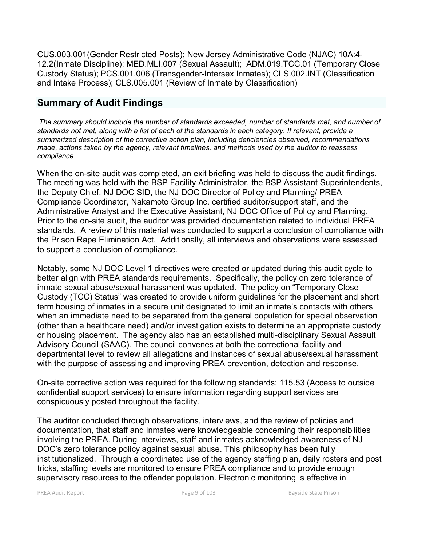CUS.003.001(Gender Restricted Posts); New Jersey Administrative Code (NJAC) 10A:4- 12.2(Inmate Discipline); MED.MLI.007 (Sexual Assault); ADM.019.TCC.01 (Temporary Close Custody Status); PCS.001.006 (Transgender-Intersex Inmates); CLS.002.INT (Classification and Intake Process); CLS.005.001 (Review of Inmate by Classification)

# **Summary of Audit Findings**

*The summary should include the number of standards exceeded, number of standards met, and number of standards not met, along with a list of each of the standards in each category. If relevant, provide a summarized description of the corrective action plan, including deficiencies observed, recommendations made, actions taken by the agency, relevant timelines, and methods used by the auditor to reassess compliance.*

When the on-site audit was completed, an exit briefing was held to discuss the audit findings. The meeting was held with the BSP Facility Administrator, the BSP Assistant Superintendents, the Deputy Chief, NJ DOC SID, the NJ DOC Director of Policy and Planning/ PREA Compliance Coordinator, Nakamoto Group Inc. certified auditor/support staff, and the Administrative Analyst and the Executive Assistant, NJ DOC Office of Policy and Planning. Prior to the on-site audit, the auditor was provided documentation related to individual PREA standards. A review of this material was conducted to support a conclusion of compliance with the Prison Rape Elimination Act. Additionally, all interviews and observations were assessed to support a conclusion of compliance.

Notably, some NJ DOC Level 1 directives were created or updated during this audit cycle to better align with PREA standards requirements. Specifically, the policy on zero tolerance of inmate sexual abuse/sexual harassment was updated. The policy on "Temporary Close Custody (TCC) Status" was created to provide uniform guidelines for the placement and short term housing of inmates in a secure unit designated to limit an inmate's contacts with others when an immediate need to be separated from the general population for special observation (other than a healthcare need) and/or investigation exists to determine an appropriate custody or housing placement. The agency also has an established multi-disciplinary Sexual Assault Advisory Council (SAAC). The council convenes at both the correctional facility and departmental level to review all allegations and instances of sexual abuse/sexual harassment with the purpose of assessing and improving PREA prevention, detection and response.

On-site corrective action was required for the following standards: 115.53 (Access to outside confidential support services) to ensure information regarding support services are conspicuously posted throughout the facility.

The auditor concluded through observations, interviews, and the review of policies and documentation, that staff and inmates were knowledgeable concerning their responsibilities involving the PREA. During interviews, staff and inmates acknowledged awareness of NJ DOC's zero tolerance policy against sexual abuse. This philosophy has been fully institutionalized. Through a coordinated use of the agency staffing plan, daily rosters and post tricks, staffing levels are monitored to ensure PREA compliance and to provide enough supervisory resources to the offender population. Electronic monitoring is effective in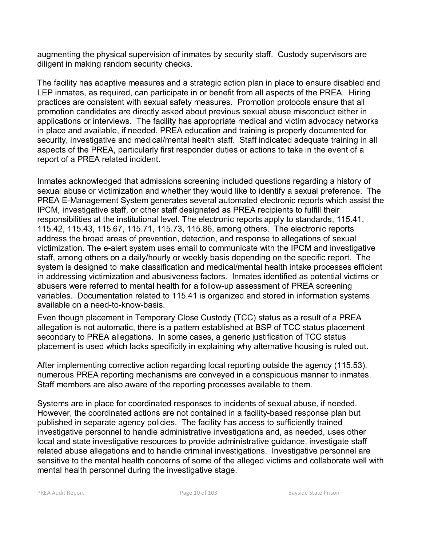augmenting the physical supervision of inmates by security staff. Custody supervisors are diligent in making random security checks.

The facility has adaptive measures and a strategic action plan in place to ensure disabled and LEP inmates, as required, can participate in or benefit from all aspects of the PREA. Hiring practices are consistent with sexual safety measures. Promotion protocols ensure that all promotion candidates are directly asked about previous sexual abuse misconduct either in applications or interviews. The facility has appropriate medical and victim advocacy networks in place and available, if needed. PREA education and training is properly documented for security, investigative and medical/mental health staff. Staff indicated adequate training in all aspects of the PREA, particularly first responder duties or actions to take in the event of a report of a PREA related incident.

Inmates acknowledged that admissions screening included questions regarding a history of sexual abuse or victimization and whether they would like to identify a sexual preference. The PREA E-Management System generates several automated electronic reports which assist the IPCM, investigative staff, or other staff designated as PREA recipients to fulfill their responsibilities at the institutional level. The electronic reports apply to standards, 115.41, 115.42, 115.43, 115.67, 115.71, 115.73, 115.86, among others. The electronic reports address the broad areas of prevention, detection, and response to allegations of sexual victimization. The e-alert system uses email to communicate with the IPCM and investigative staff, among others on a daily/hourly or weekly basis depending on the specific report. The system is designed to make classification and medical/mental health intake processes efficient in addressing victimization and abusiveness factors. Inmates identified as potential victims or abusers were referred to mental health for a follow-up assessment of PREA screening variables. Documentation related to 115.41 is organized and stored in information systems available on a need-to-know-basis.

Even though placement in Temporary Close Custody (TCC) status as a result of a PREA allegation is not automatic, there is a pattern established at BSP of TCC status placement secondary to PREA allegations. In some cases, a generic justification of TCC status placement is used which lacks specificity in explaining why alternative housing is ruled out.

After implementing corrective action regarding local reporting outside the agency (115.53), numerous PREA reporting mechanisms are conveyed in a conspicuous manner to inmates. Staff members are also aware of the reporting processes available to them.

Systems are in place for coordinated responses to incidents of sexual abuse, if needed. However, the coordinated actions are not contained in a facility-based response plan but published in separate agency policies. The facility has access to sufficiently trained investigative personnel to handle administrative investigations and, as needed, uses other local and state investigative resources to provide administrative guidance, investigate staff related abuse allegations and to handle criminal investigations. Investigative personnel are sensitive to the mental health concerns of some of the alleged victims and collaborate well with mental health personnel during the investigative stage.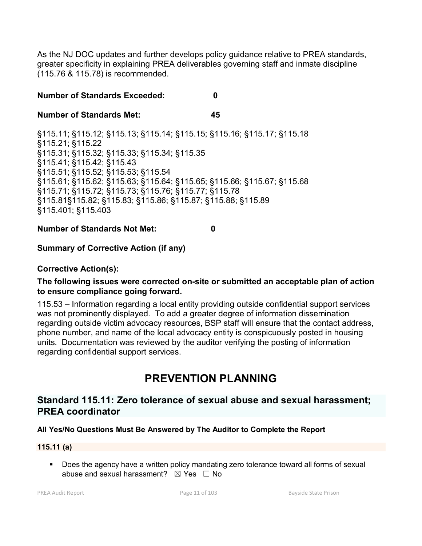As the NJ DOC updates and further develops policy guidance relative to PREA standards, greater specificity in explaining PREA deliverables governing staff and inmate discipline (115.76 & 115.78) is recommended.

### **Number of Standards Exceeded: 0**

#### **Number of Standards Met: 45**

§115.11; §115.12; §115.13; §115.14; §115.15; §115.16; §115.17; §115.18 §115.21; §115.22 §115.31; §115.32; §115.33; §115.34; §115.35 §115.41; §115.42; §115.43 §115.51; §115.52; §115.53; §115.54 §115.61; §115.62; §115.63; §115.64; §115.65; §115.66; §115.67; §115.68 §115.71; §115.72; §115.73; §115.76; §115.77; §115.78 §115.81§115.82; §115.83; §115.86; §115.87; §115.88; §115.89 §115.401; §115.403

#### **Number of Standards Not Met: 0**

#### **Summary of Corrective Action (if any)**

### **Corrective Action(s):**

#### **The following issues were corrected on-site or submitted an acceptable plan of action to ensure compliance going forward.**

115.53 – Information regarding a local entity providing outside confidential support services was not prominently displayed. To add a greater degree of information dissemination regarding outside victim advocacy resources, BSP staff will ensure that the contact address, phone number, and name of the local advocacy entity is conspicuously posted in housing units. Documentation was reviewed by the auditor verifying the posting of information regarding confidential support services.

# **PREVENTION PLANNING**

# **Standard 115.11: Zero tolerance of sexual abuse and sexual harassment; PREA coordinator**

#### **All Yes/No Questions Must Be Answered by The Auditor to Complete the Report**

#### **115.11 (a)**

 Does the agency have a written policy mandating zero tolerance toward all forms of sexual abuse and sexual harassment?  $\boxtimes$  Yes  $\Box$  No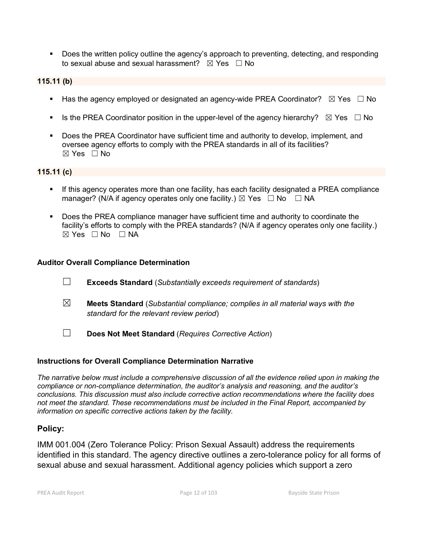Does the written policy outline the agency's approach to preventing, detecting, and responding to sexual abuse and sexual harassment?  $\boxtimes$  Yes  $\Box$  No

#### **115.11 (b)**

- **Has the agency employed or designated an agency-wide PREA Coordinator?**  $\boxtimes$  Yes  $\Box$  No
- Is the PREA Coordinator position in the upper-level of the agency hierarchy?  $\boxtimes$  Yes  $\Box$  No
- Does the PREA Coordinator have sufficient time and authority to develop, implement, and oversee agency efforts to comply with the PREA standards in all of its facilities?  $\boxtimes$  Yes  $\Box$  No

#### **115.11 (c)**

- If this agency operates more than one facility, has each facility designated a PREA compliance manager? (N/A if agency operates only one facility.)  $\boxtimes$  Yes  $\Box$  No  $\Box$  NA
- Does the PREA compliance manager have sufficient time and authority to coordinate the facility's efforts to comply with the PREA standards? (N/A if agency operates only one facility.)  $\boxtimes$  Yes  $\Box$  No  $\Box$  NA

#### **Auditor Overall Compliance Determination**

- ☐ **Exceeds Standard** (*Substantially exceeds requirement of standards*)
- ☒ **Meets Standard** (*Substantial compliance; complies in all material ways with the standard for the relevant review period*)
- ☐ **Does Not Meet Standard** (*Requires Corrective Action*)

#### **Instructions for Overall Compliance Determination Narrative**

*The narrative below must include a comprehensive discussion of all the evidence relied upon in making the compliance or non-compliance determination, the auditor's analysis and reasoning, and the auditor's conclusions. This discussion must also include corrective action recommendations where the facility does not meet the standard. These recommendations must be included in the Final Report, accompanied by information on specific corrective actions taken by the facility.*

#### **Policy:**

IMM 001.004 (Zero Tolerance Policy: Prison Sexual Assault) address the requirements identified in this standard. The agency directive outlines a zero-tolerance policy for all forms of sexual abuse and sexual harassment. Additional agency policies which support a zero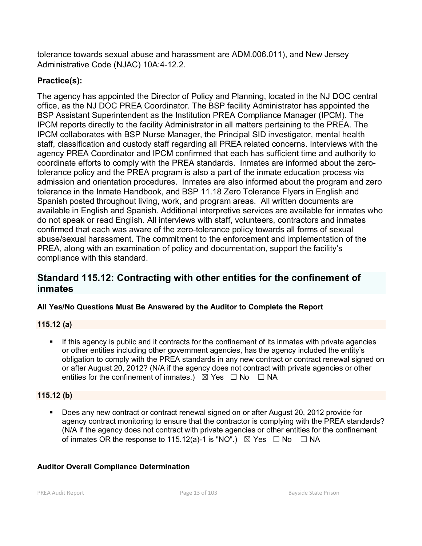tolerance towards sexual abuse and harassment are ADM.006.011), and New Jersey Administrative Code (NJAC) 10A:4-12.2.

# **Practice(s):**

The agency has appointed the Director of Policy and Planning, located in the NJ DOC central office, as the NJ DOC PREA Coordinator. The BSP facility Administrator has appointed the BSP Assistant Superintendent as the Institution PREA Compliance Manager (IPCM). The IPCM reports directly to the facility Administrator in all matters pertaining to the PREA. The IPCM collaborates with BSP Nurse Manager, the Principal SID investigator, mental health staff, classification and custody staff regarding all PREA related concerns. Interviews with the agency PREA Coordinator and IPCM confirmed that each has sufficient time and authority to coordinate efforts to comply with the PREA standards. Inmates are informed about the zerotolerance policy and the PREA program is also a part of the inmate education process via admission and orientation procedures. Inmates are also informed about the program and zero tolerance in the Inmate Handbook, and BSP 11.18 Zero Tolerance Flyers in English and Spanish posted throughout living, work, and program areas. All written documents are available in English and Spanish. Additional interpretive services are available for inmates who do not speak or read English. All interviews with staff, volunteers, contractors and inmates confirmed that each was aware of the zero-tolerance policy towards all forms of sexual abuse/sexual harassment. The commitment to the enforcement and implementation of the PREA, along with an examination of policy and documentation, support the facility's compliance with this standard.

# **Standard 115.12: Contracting with other entities for the confinement of inmates**

## **All Yes/No Questions Must Be Answered by the Auditor to Complete the Report**

#### **115.12 (a)**

 If this agency is public and it contracts for the confinement of its inmates with private agencies or other entities including other government agencies, has the agency included the entity's obligation to comply with the PREA standards in any new contract or contract renewal signed on or after August 20, 2012? (N/A if the agency does not contract with private agencies or other entities for the confinement of inmates.)  $\boxtimes$  Yes  $\Box$  No  $\Box$  NA

#### **115.12 (b)**

 Does any new contract or contract renewal signed on or after August 20, 2012 provide for agency contract monitoring to ensure that the contractor is complying with the PREA standards? (N/A if the agency does not contract with private agencies or other entities for the confinement of inmates OR the response to 115.12(a)-1 is "NO".)  $\boxtimes$  Yes  $\Box$  No  $\Box$  NA

#### **Auditor Overall Compliance Determination**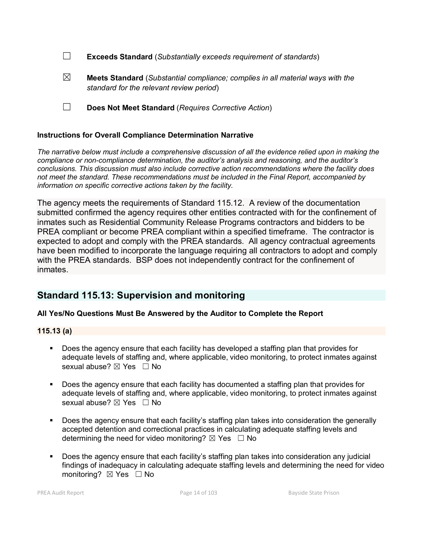| $\Box$ | <b>Exceeds Standard</b> (Substantially exceeds requirement of standards) |
|--------|--------------------------------------------------------------------------|
|--------|--------------------------------------------------------------------------|

- ☒ **Meets Standard** (*Substantial compliance; complies in all material ways with the standard for the relevant review period*)
- ☐ **Does Not Meet Standard** (*Requires Corrective Action*)

#### **Instructions for Overall Compliance Determination Narrative**

*The narrative below must include a comprehensive discussion of all the evidence relied upon in making the compliance or non-compliance determination, the auditor's analysis and reasoning, and the auditor's conclusions. This discussion must also include corrective action recommendations where the facility does not meet the standard. These recommendations must be included in the Final Report, accompanied by information on specific corrective actions taken by the facility.*

The agency meets the requirements of Standard 115.12. A review of the documentation submitted confirmed the agency requires other entities contracted with for the confinement of inmates such as Residential Community Release Programs contractors and bidders to be PREA compliant or become PREA compliant within a specified timeframe. The contractor is expected to adopt and comply with the PREA standards. All agency contractual agreements have been modified to incorporate the language requiring all contractors to adopt and comply with the PREA standards. BSP does not independently contract for the confinement of inmates.

# **Standard 115.13: Supervision and monitoring**

#### **All Yes/No Questions Must Be Answered by the Auditor to Complete the Report**

#### **115.13 (a)**

- **Does the agency ensure that each facility has developed a staffing plan that provides for** adequate levels of staffing and, where applicable, video monitoring, to protect inmates against sexual abuse? ⊠ Yes □ No
- Does the agency ensure that each facility has documented a staffing plan that provides for adequate levels of staffing and, where applicable, video monitoring, to protect inmates against sexual abuse?  $\boxtimes$  Yes  $\Box$  No
- Does the agency ensure that each facility's staffing plan takes into consideration the generally accepted detention and correctional practices in calculating adequate staffing levels and determining the need for video monitoring?  $\boxtimes$  Yes  $\Box$  No
- Does the agency ensure that each facility's staffing plan takes into consideration any judicial findings of inadequacy in calculating adequate staffing levels and determining the need for video monitoring? ⊠ Yes □ No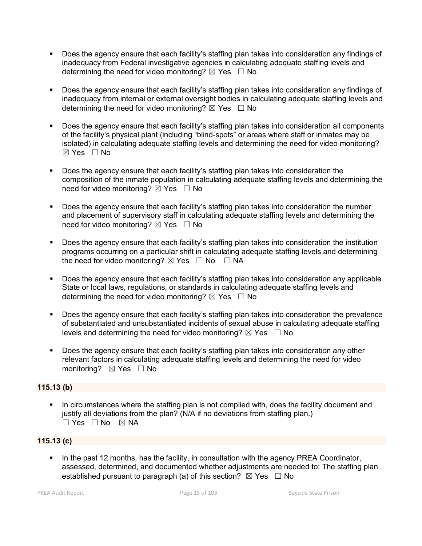- Does the agency ensure that each facility's staffing plan takes into consideration any findings of inadequacy from Federal investigative agencies in calculating adequate staffing levels and determining the need for video monitoring?  $\boxtimes$  Yes  $\Box$  No
- Does the agency ensure that each facility's staffing plan takes into consideration any findings of inadequacy from internal or external oversight bodies in calculating adequate staffing levels and determining the need for video monitoring?  $\boxtimes$  Yes  $\Box$  No
- Does the agency ensure that each facility's staffing plan takes into consideration all components of the facility's physical plant (including "blind-spots" or areas where staff or inmates may be isolated) in calculating adequate staffing levels and determining the need for video monitoring? ☒ Yes ☐ No
- Does the agency ensure that each facility's staffing plan takes into consideration the composition of the inmate population in calculating adequate staffing levels and determining the need for video monitoring?  $\boxtimes$  Yes  $\Box$  No
- Does the agency ensure that each facility's staffing plan takes into consideration the number and placement of supervisory staff in calculating adequate staffing levels and determining the need for video monitoring?  $\boxtimes$  Yes  $\Box$  No
- **Does the agency ensure that each facility's staffing plan takes into consideration the institution** programs occurring on a particular shift in calculating adequate staffing levels and determining the need for video monitoring?  $\boxtimes$  Yes  $\Box$  No  $\Box$  NA
- Does the agency ensure that each facility's staffing plan takes into consideration any applicable State or local laws, regulations, or standards in calculating adequate staffing levels and determining the need for video monitoring?  $\boxtimes$  Yes  $\Box$  No
- Does the agency ensure that each facility's staffing plan takes into consideration the prevalence of substantiated and unsubstantiated incidents of sexual abuse in calculating adequate staffing levels and determining the need for video monitoring?  $\boxtimes$  Yes  $\Box$  No
- Does the agency ensure that each facility's staffing plan takes into consideration any other relevant factors in calculating adequate staffing levels and determining the need for video monitoring? **⊠** Yes □ No

#### **115.13 (b)**

 In circumstances where the staffing plan is not complied with, does the facility document and justify all deviations from the plan? (N/A if no deviations from staffing plan.)  $\Box$  Yes  $\Box$  No  $\boxtimes$  NA

#### **115.13 (c)**

 In the past 12 months, has the facility, in consultation with the agency PREA Coordinator, assessed, determined, and documented whether adjustments are needed to: The staffing plan established pursuant to paragraph (a) of this section?  $\boxtimes$  Yes  $\Box$  No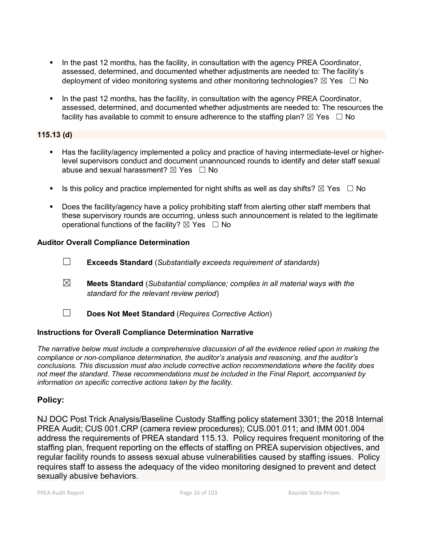- In the past 12 months, has the facility, in consultation with the agency PREA Coordinator, assessed, determined, and documented whether adjustments are needed to: The facility's deployment of video monitoring systems and other monitoring technologies?  $\boxtimes$  Yes  $\Box$  No
- In the past 12 months, has the facility, in consultation with the agency PREA Coordinator, assessed, determined, and documented whether adjustments are needed to: The resources the facility has available to commit to ensure adherence to the staffing plan?  $\boxtimes$  Yes  $\Box$  No

#### **115.13 (d)**

- Has the facility/agency implemented a policy and practice of having intermediate-level or higherlevel supervisors conduct and document unannounced rounds to identify and deter staff sexual abuse and sexual harassment?  $\boxtimes$  Yes  $\Box$  No
- Is this policy and practice implemented for night shifts as well as day shifts?  $\boxtimes$  Yes  $\Box$  No
- Does the facility/agency have a policy prohibiting staff from alerting other staff members that these supervisory rounds are occurring, unless such announcement is related to the legitimate operational functions of the facility?  $\boxtimes$  Yes  $\Box$  No

#### **Auditor Overall Compliance Determination**

- ☐ **Exceeds Standard** (*Substantially exceeds requirement of standards*)
- ☒ **Meets Standard** (*Substantial compliance; complies in all material ways with the standard for the relevant review period*)
- ☐ **Does Not Meet Standard** (*Requires Corrective Action*)

#### **Instructions for Overall Compliance Determination Narrative**

*The narrative below must include a comprehensive discussion of all the evidence relied upon in making the compliance or non-compliance determination, the auditor's analysis and reasoning, and the auditor's conclusions. This discussion must also include corrective action recommendations where the facility does not meet the standard. These recommendations must be included in the Final Report, accompanied by information on specific corrective actions taken by the facility.*

## **Policy:**

NJ DOC Post Trick Analysis/Baseline Custody Staffing policy statement 3301; the 2018 Internal PREA Audit; CUS 001.CRP (camera review procedures); CUS.001.011; and IMM 001.004 address the requirements of PREA standard 115.13. Policy requires frequent monitoring of the staffing plan, frequent reporting on the effects of staffing on PREA supervision objectives, and regular facility rounds to assess sexual abuse vulnerabilities caused by staffing issues. Policy requires staff to assess the adequacy of the video monitoring designed to prevent and detect sexually abusive behaviors.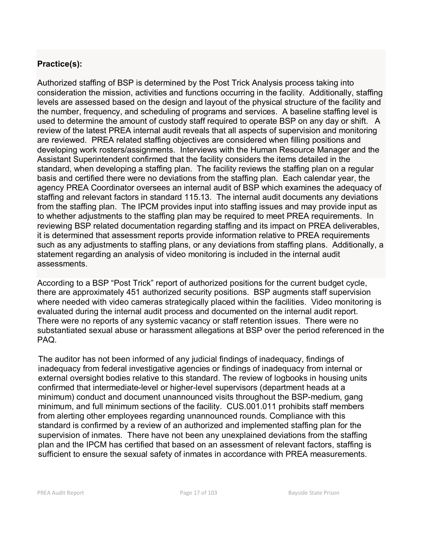# **Practice(s):**

Authorized staffing of BSP is determined by the Post Trick Analysis process taking into consideration the mission, activities and functions occurring in the facility. Additionally, staffing levels are assessed based on the design and layout of the physical structure of the facility and the number, frequency, and scheduling of programs and services. A baseline staffing level is used to determine the amount of custody staff required to operate BSP on any day or shift. A review of the latest PREA internal audit reveals that all aspects of supervision and monitoring are reviewed. PREA related staffing objectives are considered when filling positions and developing work rosters/assignments. Interviews with the Human Resource Manager and the Assistant Superintendent confirmed that the facility considers the items detailed in the standard, when developing a staffing plan. The facility reviews the staffing plan on a regular basis and certified there were no deviations from the staffing plan. Each calendar year, the agency PREA Coordinator oversees an internal audit of BSP which examines the adequacy of staffing and relevant factors in standard 115.13. The internal audit documents any deviations from the staffing plan. The IPCM provides input into staffing issues and may provide input as to whether adjustments to the staffing plan may be required to meet PREA requirements. In reviewing BSP related documentation regarding staffing and its impact on PREA deliverables, it is determined that assessment reports provide information relative to PREA requirements such as any adjustments to staffing plans, or any deviations from staffing plans. Additionally, a statement regarding an analysis of video monitoring is included in the internal audit assessments.

According to a BSP "Post Trick" report of authorized positions for the current budget cycle, there are approximately 451 authorized security positions. BSP augments staff supervision where needed with video cameras strategically placed within the facilities. Video monitoring is evaluated during the internal audit process and documented on the internal audit report. There were no reports of any systemic vacancy or staff retention issues. There were no substantiated sexual abuse or harassment allegations at BSP over the period referenced in the PAQ.

The auditor has not been informed of any judicial findings of inadequacy, findings of inadequacy from federal investigative agencies or findings of inadequacy from internal or external oversight bodies relative to this standard. The review of logbooks in housing units confirmed that intermediate-level or higher-level supervisors (department heads at a minimum) conduct and document unannounced visits throughout the BSP-medium, gang minimum, and full minimum sections of the facility. CUS.001.011 prohibits staff members from alerting other employees regarding unannounced rounds. Compliance with this standard is confirmed by a review of an authorized and implemented staffing plan for the supervision of inmates. There have not been any unexplained deviations from the staffing plan and the IPCM has certified that based on an assessment of relevant factors, staffing is sufficient to ensure the sexual safety of inmates in accordance with PREA measurements.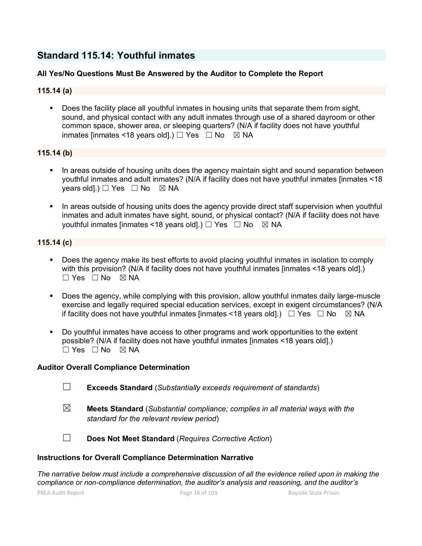# **Standard 115.14: Youthful inmates**

#### **All Yes/No Questions Must Be Answered by the Auditor to Complete the Report**

#### **115.14 (a)**

 Does the facility place all youthful inmates in housing units that separate them from sight, sound, and physical contact with any adult inmates through use of a shared dayroom or other common space, shower area, or sleeping quarters? (N/A if facility does not have youthful inmates linmates <18 years old].)  $\Box$  Yes  $\Box$  No  $\boxtimes$  NA

#### **115.14 (b)**

- In areas outside of housing units does the agency maintain sight and sound separation between youthful inmates and adult inmates? (N/A if facility does not have youthful inmates [inmates <18 years old].)  $\Box$  Yes  $\Box$  No  $\boxtimes$  NA
- In areas outside of housing units does the agency provide direct staff supervision when youthful inmates and adult inmates have sight, sound, or physical contact? (N/A if facility does not have youthful inmates [inmates <18 years old].) □ Yes □ No ⊠ NA

#### **115.14 (c)**

- Does the agency make its best efforts to avoid placing youthful inmates in isolation to comply with this provision? (N/A if facility does not have youthful inmates [inmates <18 years old].)  $\square$  Yes  $\square$  No  $\square$  NA
- Does the agency, while complying with this provision, allow youthful inmates daily large-muscle exercise and legally required special education services, except in exigent circumstances? (N/A if facility does not have youthful inmates [inmates <18 years old].)  $\Box$  Yes  $\Box$  No  $\boxtimes$  NA
- Do youthful inmates have access to other programs and work opportunities to the extent possible? (N/A if facility does not have youthful inmates [inmates <18 years old].)  $\Box$  Yes  $\Box$  No  $\boxtimes$  NA

#### **Auditor Overall Compliance Determination**

- ☐ **Exceeds Standard** (*Substantially exceeds requirement of standards*)
- ☒ **Meets Standard** (*Substantial compliance; complies in all material ways with the standard for the relevant review period*)

☐ **Does Not Meet Standard** (*Requires Corrective Action*)

#### **Instructions for Overall Compliance Determination Narrative**

*The narrative below must include a comprehensive discussion of all the evidence relied upon in making the compliance or non-compliance determination, the auditor's analysis and reasoning, and the auditor's*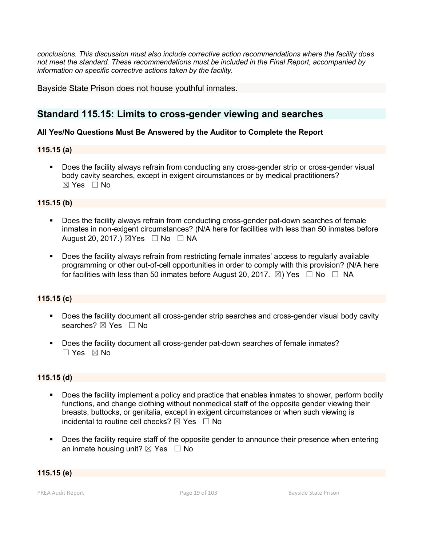*conclusions. This discussion must also include corrective action recommendations where the facility does not meet the standard. These recommendations must be included in the Final Report, accompanied by information on specific corrective actions taken by the facility.*

Bayside State Prison does not house youthful inmates.

# **Standard 115.15: Limits to cross-gender viewing and searches**

#### **All Yes/No Questions Must Be Answered by the Auditor to Complete the Report**

#### **115.15 (a)**

 Does the facility always refrain from conducting any cross-gender strip or cross-gender visual body cavity searches, except in exigent circumstances or by medical practitioners?  $\boxtimes$  Yes  $\Box$  No

#### **115.15 (b)**

- Does the facility always refrain from conducting cross-gender pat-down searches of female inmates in non-exigent circumstances? (N/A here for facilities with less than 50 inmates before August 20, 2017.)  $\boxtimes$  Yes  $\Box$  No  $\Box$  NA
- Does the facility always refrain from restricting female inmates' access to regularly available programming or other out-of-cell opportunities in order to comply with this provision? (N/A here for facilities with less than 50 inmates before August 20, 2017.  $\boxtimes$ ) Yes  $\Box$  No  $\Box$  NA

#### **115.15 (c)**

- **Does the facility document all cross-gender strip searches and cross-gender visual body cavity** searches? ⊠ Yes □ No
- Does the facility document all cross-gender pat-down searches of female inmates? ☐ Yes ☒ No

#### **115.15 (d)**

- Does the facility implement a policy and practice that enables inmates to shower, perform bodily functions, and change clothing without nonmedical staff of the opposite gender viewing their breasts, buttocks, or genitalia, except in exigent circumstances or when such viewing is incidental to routine cell checks?  $\boxtimes$  Yes  $\Box$  No
- Does the facility require staff of the opposite gender to announce their presence when entering an inmate housing unit?  $\boxtimes$  Yes  $\Box$  No

#### **115.15 (e)**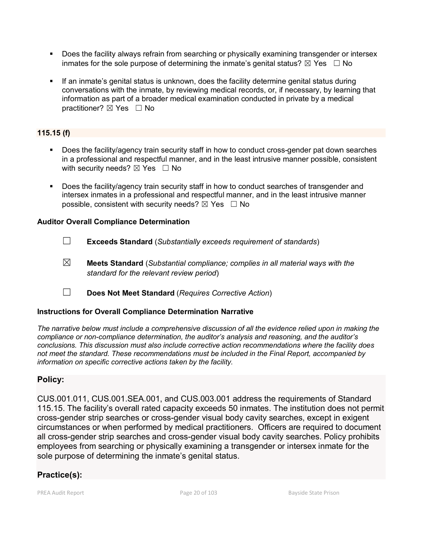- Does the facility always refrain from searching or physically examining transgender or intersex inmates for the sole purpose of determining the inmate's genital status?  $\boxtimes$  Yes  $\Box$  No
- If an inmate's genital status is unknown, does the facility determine genital status during conversations with the inmate, by reviewing medical records, or, if necessary, by learning that information as part of a broader medical examination conducted in private by a medical practitioner? ⊠ Yes □ No

### **115.15 (f)**

- Does the facility/agency train security staff in how to conduct cross-gender pat down searches in a professional and respectful manner, and in the least intrusive manner possible, consistent with security needs?  $\boxtimes$  Yes  $\Box$  No
- Does the facility/agency train security staff in how to conduct searches of transgender and intersex inmates in a professional and respectful manner, and in the least intrusive manner possible, consistent with security needs?  $\boxtimes$  Yes  $\Box$  No

#### **Auditor Overall Compliance Determination**

- ☐ **Exceeds Standard** (*Substantially exceeds requirement of standards*)
- ☒ **Meets Standard** (*Substantial compliance; complies in all material ways with the standard for the relevant review period*)
- ☐ **Does Not Meet Standard** (*Requires Corrective Action*)

#### **Instructions for Overall Compliance Determination Narrative**

*The narrative below must include a comprehensive discussion of all the evidence relied upon in making the compliance or non-compliance determination, the auditor's analysis and reasoning, and the auditor's conclusions. This discussion must also include corrective action recommendations where the facility does not meet the standard. These recommendations must be included in the Final Report, accompanied by information on specific corrective actions taken by the facility.*

#### **Policy:**

CUS.001.011, CUS.001.SEA.001, and CUS.003.001 address the requirements of Standard 115.15. The facility's overall rated capacity exceeds 50 inmates. The institution does not permit cross-gender strip searches or cross-gender visual body cavity searches, except in exigent circumstances or when performed by medical practitioners. Officers are required to document all cross-gender strip searches and cross-gender visual body cavity searches. Policy prohibits employees from searching or physically examining a transgender or intersex inmate for the sole purpose of determining the inmate's genital status.

## **Practice(s):**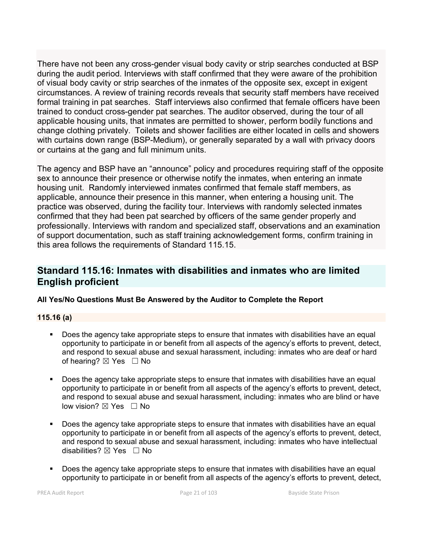There have not been any cross-gender visual body cavity or strip searches conducted at BSP during the audit period. Interviews with staff confirmed that they were aware of the prohibition of visual body cavity or strip searches of the inmates of the opposite sex, except in exigent circumstances. A review of training records reveals that security staff members have received formal training in pat searches. Staff interviews also confirmed that female officers have been trained to conduct cross-gender pat searches. The auditor observed, during the tour of all applicable housing units, that inmates are permitted to shower, perform bodily functions and change clothing privately. Toilets and shower facilities are either located in cells and showers with curtains down range (BSP-Medium), or generally separated by a wall with privacy doors or curtains at the gang and full minimum units.

The agency and BSP have an "announce" policy and procedures requiring staff of the opposite sex to announce their presence or otherwise notify the inmates, when entering an inmate housing unit. Randomly interviewed inmates confirmed that female staff members, as applicable, announce their presence in this manner, when entering a housing unit. The practice was observed, during the facility tour. Interviews with randomly selected inmates confirmed that they had been pat searched by officers of the same gender properly and professionally. Interviews with random and specialized staff, observations and an examination of support documentation, such as staff training acknowledgement forms, confirm training in this area follows the requirements of Standard 115.15.

# **Standard 115.16: Inmates with disabilities and inmates who are limited English proficient**

#### **All Yes/No Questions Must Be Answered by the Auditor to Complete the Report**

#### **115.16 (a)**

- Does the agency take appropriate steps to ensure that inmates with disabilities have an equal opportunity to participate in or benefit from all aspects of the agency's efforts to prevent, detect, and respond to sexual abuse and sexual harassment, including: inmates who are deaf or hard of hearing?  $\boxtimes$  Yes  $\Box$  No
- Does the agency take appropriate steps to ensure that inmates with disabilities have an equal opportunity to participate in or benefit from all aspects of the agency's efforts to prevent, detect, and respond to sexual abuse and sexual harassment, including: inmates who are blind or have low vision? ⊠ Yes □ No
- Does the agency take appropriate steps to ensure that inmates with disabilities have an equal opportunity to participate in or benefit from all aspects of the agency's efforts to prevent, detect, and respond to sexual abuse and sexual harassment, including: inmates who have intellectual disabilities?  $\boxtimes$  Yes  $\Box$  No
- Does the agency take appropriate steps to ensure that inmates with disabilities have an equal opportunity to participate in or benefit from all aspects of the agency's efforts to prevent, detect,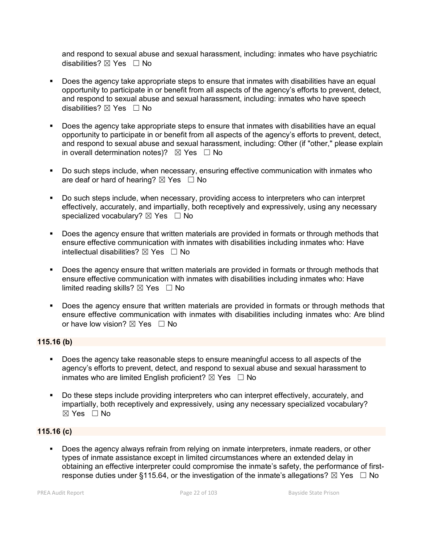and respond to sexual abuse and sexual harassment, including: inmates who have psychiatric disabilities?  $\boxtimes$  Yes  $\Box$  No

- **Does the agency take appropriate steps to ensure that inmates with disabilities have an equal** opportunity to participate in or benefit from all aspects of the agency's efforts to prevent, detect, and respond to sexual abuse and sexual harassment, including: inmates who have speech disabilities?  $\boxtimes$  Yes  $\Box$  No
- Does the agency take appropriate steps to ensure that inmates with disabilities have an equal opportunity to participate in or benefit from all aspects of the agency's efforts to prevent, detect, and respond to sexual abuse and sexual harassment, including: Other (if "other," please explain in overall determination notes)?  $\boxtimes$  Yes  $\Box$  No
- Do such steps include, when necessary, ensuring effective communication with inmates who are deaf or hard of hearing?  $\boxtimes$  Yes  $\Box$  No
- Do such steps include, when necessary, providing access to interpreters who can interpret effectively, accurately, and impartially, both receptively and expressively, using any necessary specialized vocabulary? ⊠ Yes □ No
- Does the agency ensure that written materials are provided in formats or through methods that ensure effective communication with inmates with disabilities including inmates who: Have intellectual disabilities?  $\boxtimes$  Yes  $\Box$  No
- Does the agency ensure that written materials are provided in formats or through methods that ensure effective communication with inmates with disabilities including inmates who: Have limited reading skills?  $\boxtimes$  Yes  $\Box$  No
- **Does the agency ensure that written materials are provided in formats or through methods that** ensure effective communication with inmates with disabilities including inmates who: Are blind or have low vision?  $\boxtimes$  Yes  $\Box$  No

#### **115.16 (b)**

- Does the agency take reasonable steps to ensure meaningful access to all aspects of the agency's efforts to prevent, detect, and respond to sexual abuse and sexual harassment to inmates who are limited English proficient?  $\boxtimes$  Yes  $\Box$  No
- Do these steps include providing interpreters who can interpret effectively, accurately, and impartially, both receptively and expressively, using any necessary specialized vocabulary? ☒ Yes ☐ No

#### **115.16 (c)**

 Does the agency always refrain from relying on inmate interpreters, inmate readers, or other types of inmate assistance except in limited circumstances where an extended delay in obtaining an effective interpreter could compromise the inmate's safety, the performance of firstresponse duties under §115.64, or the investigation of the inmate's allegations?  $\boxtimes$  Yes  $\Box$  No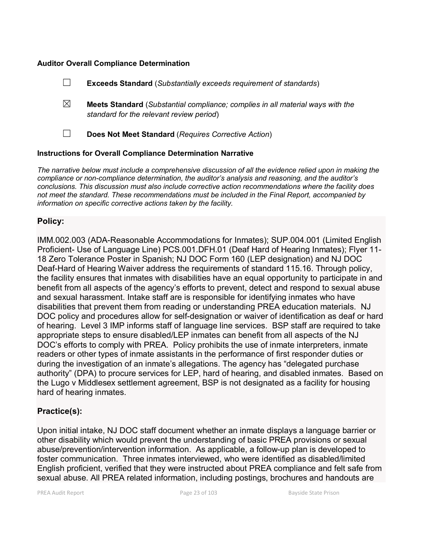#### **Auditor Overall Compliance Determination**

|   | <b>Exceeds Standard</b> (Substantially exceeds requirement of standards)                                                          |
|---|-----------------------------------------------------------------------------------------------------------------------------------|
| ⊠ | <b>Meets Standard</b> (Substantial compliance; complies in all material ways with the<br>standard for the relevant review period) |
|   | Does Not Meet Standard (Requires Corrective Action)                                                                               |
|   |                                                                                                                                   |

#### **Instructions for Overall Compliance Determination Narrative**

*The narrative below must include a comprehensive discussion of all the evidence relied upon in making the compliance or non-compliance determination, the auditor's analysis and reasoning, and the auditor's conclusions. This discussion must also include corrective action recommendations where the facility does not meet the standard. These recommendations must be included in the Final Report, accompanied by information on specific corrective actions taken by the facility.*

#### **Policy:**

IMM.002.003 (ADA-Reasonable Accommodations for Inmates); SUP.004.001 (Limited English Proficient- Use of Language Line) PCS.001.DFH.01 (Deaf Hard of Hearing Inmates); Flyer 11- 18 Zero Tolerance Poster in Spanish; NJ DOC Form 160 (LEP designation) and NJ DOC Deaf-Hard of Hearing Waiver address the requirements of standard 115.16. Through policy, the facility ensures that inmates with disabilities have an equal opportunity to participate in and benefit from all aspects of the agency's efforts to prevent, detect and respond to sexual abuse and sexual harassment. Intake staff are is responsible for identifying inmates who have disabilities that prevent them from reading or understanding PREA education materials. NJ DOC policy and procedures allow for self-designation or waiver of identification as deaf or hard of hearing. Level 3 IMP informs staff of language line services. BSP staff are required to take appropriate steps to ensure disabled/LEP inmates can benefit from all aspects of the NJ DOC's efforts to comply with PREA. Policy prohibits the use of inmate interpreters, inmate readers or other types of inmate assistants in the performance of first responder duties or during the investigation of an inmate's allegations. The agency has "delegated purchase authority" (DPA) to procure services for LEP, hard of hearing, and disabled inmates. Based on the Lugo v Middlesex settlement agreement, BSP is not designated as a facility for housing hard of hearing inmates.

#### **Practice(s):**

Upon initial intake, NJ DOC staff document whether an inmate displays a language barrier or other disability which would prevent the understanding of basic PREA provisions or sexual abuse/prevention/intervention information. As applicable, a follow-up plan is developed to foster communication. Three inmates interviewed, who were identified as disabled/limited English proficient, verified that they were instructed about PREA compliance and felt safe from sexual abuse. All PREA related information, including postings, brochures and handouts are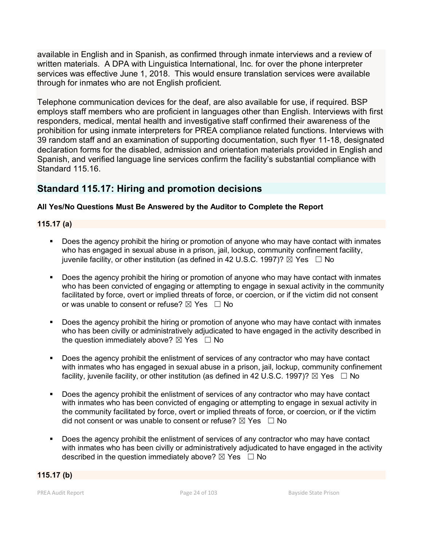available in English and in Spanish, as confirmed through inmate interviews and a review of written materials. A DPA with Linguistica International, Inc. for over the phone interpreter services was effective June 1, 2018. This would ensure translation services were available through for inmates who are not English proficient.

Telephone communication devices for the deaf, are also available for use, if required. BSP employs staff members who are proficient in languages other than English. Interviews with first responders, medical, mental health and investigative staff confirmed their awareness of the prohibition for using inmate interpreters for PREA compliance related functions. Interviews with 39 random staff and an examination of supporting documentation, such flyer 11-18, designated declaration forms for the disabled, admission and orientation materials provided in English and Spanish, and verified language line services confirm the facility's substantial compliance with Standard 115.16.

# **Standard 115.17: Hiring and promotion decisions**

#### **All Yes/No Questions Must Be Answered by the Auditor to Complete the Report**

#### **115.17 (a)**

- Does the agency prohibit the hiring or promotion of anyone who may have contact with inmates who has engaged in sexual abuse in a prison, jail, lockup, community confinement facility, juvenile facility, or other institution (as defined in 42 U.S.C. 1997)?  $\boxtimes$  Yes  $\Box$  No
- Does the agency prohibit the hiring or promotion of anyone who may have contact with inmates who has been convicted of engaging or attempting to engage in sexual activity in the community facilitated by force, overt or implied threats of force, or coercion, or if the victim did not consent or was unable to consent or refuse?  $\boxtimes$  Yes  $\Box$  No
- Does the agency prohibit the hiring or promotion of anyone who may have contact with inmates who has been civilly or administratively adjudicated to have engaged in the activity described in the question immediately above?  $\boxtimes$  Yes  $\Box$  No
- Does the agency prohibit the enlistment of services of any contractor who may have contact with inmates who has engaged in sexual abuse in a prison, jail, lockup, community confinement facility, juvenile facility, or other institution (as defined in 42 U.S.C. 1997)?  $\boxtimes$  Yes  $\Box$  No
- Does the agency prohibit the enlistment of services of any contractor who may have contact with inmates who has been convicted of engaging or attempting to engage in sexual activity in the community facilitated by force, overt or implied threats of force, or coercion, or if the victim did not consent or was unable to consent or refuse?  $\boxtimes$  Yes  $\Box$  No
- Does the agency prohibit the enlistment of services of any contractor who may have contact with inmates who has been civilly or administratively adjudicated to have engaged in the activity described in the question immediately above?  $\boxtimes$  Yes  $\Box$  No

#### **115.17 (b)**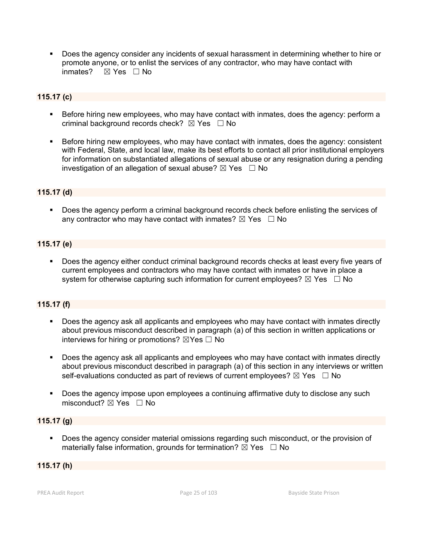Does the agency consider any incidents of sexual harassment in determining whether to hire or promote anyone, or to enlist the services of any contractor, who may have contact with inmates?  $⊠$  Yes  $□$  No

#### **115.17 (c)**

- Before hiring new employees, who may have contact with inmates, does the agency: perform a criminal background records check?  $\boxtimes$  Yes  $\Box$  No
- Before hiring new employees, who may have contact with inmates, does the agency: consistent with Federal, State, and local law, make its best efforts to contact all prior institutional employers for information on substantiated allegations of sexual abuse or any resignation during a pending investigation of an allegation of sexual abuse?  $\boxtimes$  Yes  $\Box$  No

#### **115.17 (d)**

 Does the agency perform a criminal background records check before enlisting the services of any contractor who may have contact with inmates?  $\boxtimes$  Yes  $\Box$  No

#### **115.17 (e)**

 Does the agency either conduct criminal background records checks at least every five years of current employees and contractors who may have contact with inmates or have in place a system for otherwise capturing such information for current employees?  $\boxtimes$  Yes  $\Box$  No

#### **115.17 (f)**

- Does the agency ask all applicants and employees who may have contact with inmates directly about previous misconduct described in paragraph (a) of this section in written applications or interviews for hiring or promotions?  $\boxtimes$  Yes  $\Box$  No
- Does the agency ask all applicants and employees who may have contact with inmates directly about previous misconduct described in paragraph (a) of this section in any interviews or written self-evaluations conducted as part of reviews of current employees?  $\boxtimes$  Yes  $\Box$  No
- Does the agency impose upon employees a continuing affirmative duty to disclose any such misconduct?  $\boxtimes$  Yes  $\Box$  No

#### **115.17 (g)**

 Does the agency consider material omissions regarding such misconduct, or the provision of materially false information, grounds for termination?  $\boxtimes$  Yes  $\Box$  No

#### **115.17 (h)**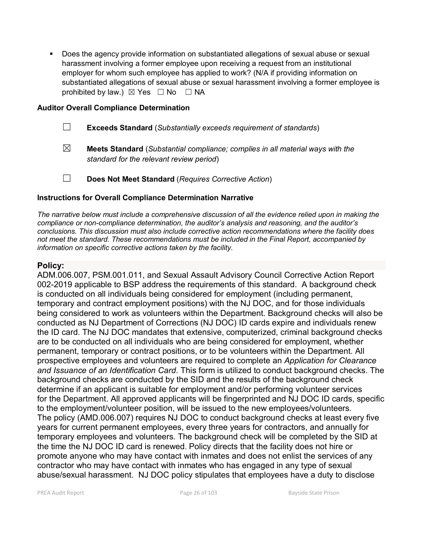Does the agency provide information on substantiated allegations of sexual abuse or sexual harassment involving a former employee upon receiving a request from an institutional employer for whom such employee has applied to work? (N/A if providing information on substantiated allegations of sexual abuse or sexual harassment involving a former employee is prohibited by law.)  $\boxtimes$  Yes  $\Box$  No  $\Box$  NA

#### **Auditor Overall Compliance Determination**

| $\Box$ |  |  | <b>Exceeds Standard</b> (Substantially exceeds requirement of standards) |
|--------|--|--|--------------------------------------------------------------------------|
|--------|--|--|--------------------------------------------------------------------------|

- ☒ **Meets Standard** (*Substantial compliance; complies in all material ways with the standard for the relevant review period*)
- ☐ **Does Not Meet Standard** (*Requires Corrective Action*)

#### **Instructions for Overall Compliance Determination Narrative**

*The narrative below must include a comprehensive discussion of all the evidence relied upon in making the compliance or non-compliance determination, the auditor's analysis and reasoning, and the auditor's conclusions. This discussion must also include corrective action recommendations where the facility does not meet the standard. These recommendations must be included in the Final Report, accompanied by information on specific corrective actions taken by the facility.*

#### **Policy:**

ADM.006.007, PSM.001.011, and Sexual Assault Advisory Council Corrective Action Report 002-2019 applicable to BSP address the requirements of this standard. A background check is conducted on all individuals being considered for employment (including permanent, temporary and contract employment positions) with the NJ DOC, and for those individuals being considered to work as volunteers within the Department. Background checks will also be conducted as NJ Department of Corrections (NJ DOC) ID cards expire and individuals renew the ID card. The NJ DOC mandates that extensive, computerized, criminal background checks are to be conducted on all individuals who are being considered for employment, whether permanent, temporary or contract positions, or to be volunteers within the Department. All prospective employees and volunteers are required to complete an *Application for Clearance and Issuance of an Identification Card*. This form is utilized to conduct background checks. The background checks are conducted by the SID and the results of the background check determine if an applicant is suitable for employment and/or performing volunteer services for the Department. All approved applicants will be fingerprinted and NJ DOC ID cards, specific to the employment/volunteer position, will be issued to the new employees/volunteers. The policy (AMD.006.007) requires NJ DOC to conduct background checks at least every five years for current permanent employees, every three years for contractors, and annually for temporary employees and volunteers. The background check will be completed by the SID at the time the NJ DOC ID card is renewed. Policy directs that the facility does not hire or promote anyone who may have contact with inmates and does not enlist the services of any contractor who may have contact with inmates who has engaged in any type of sexual abuse/sexual harassment. NJ DOC policy stipulates that employees have a duty to disclose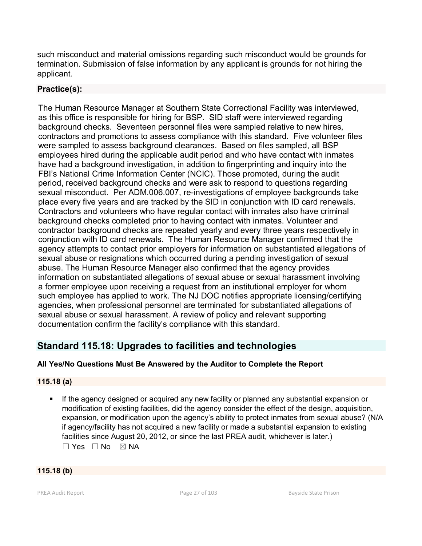such misconduct and material omissions regarding such misconduct would be grounds for termination. Submission of false information by any applicant is grounds for not hiring the applicant.

# **Practice(s):**

The Human Resource Manager at Southern State Correctional Facility was interviewed, as this office is responsible for hiring for BSP. SID staff were interviewed regarding background checks. Seventeen personnel files were sampled relative to new hires, contractors and promotions to assess compliance with this standard. Five volunteer files were sampled to assess background clearances. Based on files sampled, all BSP employees hired during the applicable audit period and who have contact with inmates have had a background investigation, in addition to fingerprinting and inquiry into the FBI's National Crime Information Center (NCIC). Those promoted, during the audit period, received background checks and were ask to respond to questions regarding sexual misconduct. Per ADM.006.007, re-investigations of employee backgrounds take place every five years and are tracked by the SID in conjunction with ID card renewals. Contractors and volunteers who have regular contact with inmates also have criminal background checks completed prior to having contact with inmates. Volunteer and contractor background checks are repeated yearly and every three years respectively in conjunction with ID card renewals. The Human Resource Manager confirmed that the agency attempts to contact prior employers for information on substantiated allegations of sexual abuse or resignations which occurred during a pending investigation of sexual abuse. The Human Resource Manager also confirmed that the agency provides information on substantiated allegations of sexual abuse or sexual harassment involving a former employee upon receiving a request from an institutional employer for whom such employee has applied to work. The NJ DOC notifies appropriate licensing/certifying agencies, when professional personnel are terminated for substantiated allegations of sexual abuse or sexual harassment. A review of policy and relevant supporting documentation confirm the facility's compliance with this standard.

# **Standard 115.18: Upgrades to facilities and technologies**

# **All Yes/No Questions Must Be Answered by the Auditor to Complete the Report**

## **115.18 (a)**

 If the agency designed or acquired any new facility or planned any substantial expansion or modification of existing facilities, did the agency consider the effect of the design, acquisition, expansion, or modification upon the agency's ability to protect inmates from sexual abuse? (N/A if agency/facility has not acquired a new facility or made a substantial expansion to existing facilities since August 20, 2012, or since the last PREA audit, whichever is later.)  $\Box$  Yes  $\Box$  No  $\boxtimes$  NA

## **115.18 (b)**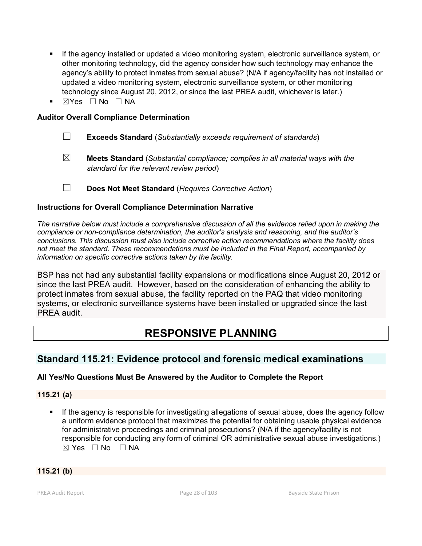- If the agency installed or updated a video monitoring system, electronic surveillance system, or other monitoring technology, did the agency consider how such technology may enhance the agency's ability to protect inmates from sexual abuse? (N/A if agency/facility has not installed or updated a video monitoring system, electronic surveillance system, or other monitoring technology since August 20, 2012, or since the last PREA audit, whichever is later.)
- ☒Yes ☐ No ☐ NA

#### **Auditor Overall Compliance Determination**

- ☐ **Exceeds Standard** (*Substantially exceeds requirement of standards*)
- ☒ **Meets Standard** (*Substantial compliance; complies in all material ways with the standard for the relevant review period*)

☐ **Does Not Meet Standard** (*Requires Corrective Action*)

#### **Instructions for Overall Compliance Determination Narrative**

*The narrative below must include a comprehensive discussion of all the evidence relied upon in making the compliance or non-compliance determination, the auditor's analysis and reasoning, and the auditor's conclusions. This discussion must also include corrective action recommendations where the facility does not meet the standard. These recommendations must be included in the Final Report, accompanied by information on specific corrective actions taken by the facility.*

BSP has not had any substantial facility expansions or modifications since August 20, 2012 or since the last PREA audit. However, based on the consideration of enhancing the ability to protect inmates from sexual abuse, the facility reported on the PAQ that video monitoring systems, or electronic surveillance systems have been installed or upgraded since the last PREA audit.

# **RESPONSIVE PLANNING**

# **Standard 115.21: Evidence protocol and forensic medical examinations**

#### **All Yes/No Questions Must Be Answered by the Auditor to Complete the Report**

**115.21 (a)**

**If the agency is responsible for investigating allegations of sexual abuse, does the agency follow** a uniform evidence protocol that maximizes the potential for obtaining usable physical evidence for administrative proceedings and criminal prosecutions? (N/A if the agency/facility is not responsible for conducting any form of criminal OR administrative sexual abuse investigations.)  $\boxtimes$  Yes  $\Box$  No  $\Box$  NA

**115.21 (b)**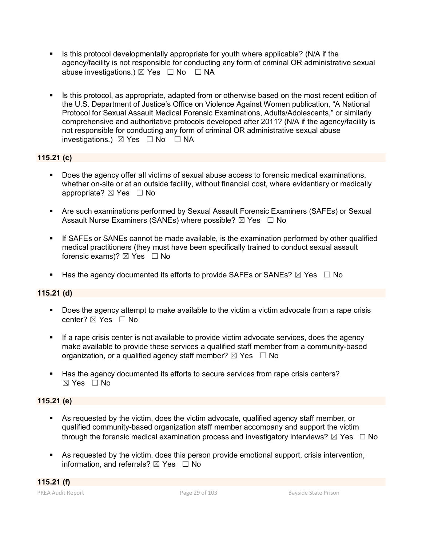- Is this protocol developmentally appropriate for youth where applicable? (N/A if the agency/facility is not responsible for conducting any form of criminal OR administrative sexual abuse investigations.)  $\boxtimes$  Yes  $\Box$  No  $\Box$  NA
- Is this protocol, as appropriate, adapted from or otherwise based on the most recent edition of the U.S. Department of Justice's Office on Violence Against Women publication, "A National Protocol for Sexual Assault Medical Forensic Examinations, Adults/Adolescents," or similarly comprehensive and authoritative protocols developed after 2011? (N/A if the agency/facility is not responsible for conducting any form of criminal OR administrative sexual abuse investigations.)  $\boxtimes$  Yes  $\Box$  No  $\Box$  NA

#### **115.21 (c)**

- Does the agency offer all victims of sexual abuse access to forensic medical examinations, whether on-site or at an outside facility, without financial cost, where evidentiary or medically appropriate? ⊠ Yes □ No
- Are such examinations performed by Sexual Assault Forensic Examiners (SAFEs) or Sexual Assault Nurse Examiners (SANEs) where possible?  $\boxtimes$  Yes  $\Box$  No
- If SAFEs or SANEs cannot be made available, is the examination performed by other qualified medical practitioners (they must have been specifically trained to conduct sexual assault forensic exams)?  $\boxtimes$  Yes  $\Box$  No
- Has the agency documented its efforts to provide SAFEs or SANEs?  $\boxtimes$  Yes  $\Box$  No

#### **115.21 (d)**

- Does the agency attempt to make available to the victim a victim advocate from a rape crisis center? ⊠ Yes □ No
- **If a rape crisis center is not available to provide victim advocate services, does the agency** make available to provide these services a qualified staff member from a community-based organization, or a qualified agency staff member?  $\boxtimes$  Yes  $\Box$  No
- Has the agency documented its efforts to secure services from rape crisis centers? ☒ Yes ☐ No

#### **115.21 (e)**

- As requested by the victim, does the victim advocate, qualified agency staff member, or qualified community-based organization staff member accompany and support the victim through the forensic medical examination process and investigatory interviews?  $\boxtimes$  Yes  $\Box$  No
- As requested by the victim, does this person provide emotional support, crisis intervention, information, and referrals?  $\boxtimes$  Yes  $\Box$  No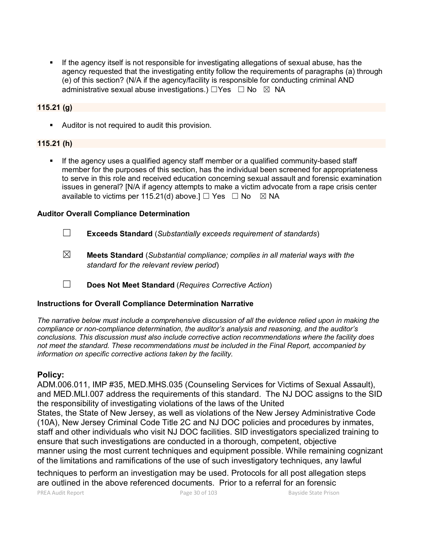If the agency itself is not responsible for investigating allegations of sexual abuse, has the agency requested that the investigating entity follow the requirements of paragraphs (a) through (e) of this section? (N/A if the agency/facility is responsible for conducting criminal AND administrative sexual abuse investigations.)  $\Box$ Yes  $\Box$  No  $\boxtimes$  NA

#### **115.21 (g)**

Auditor is not required to audit this provision.

#### **115.21 (h)**

If the agency uses a qualified agency staff member or a qualified community-based staff member for the purposes of this section, has the individual been screened for appropriateness to serve in this role and received education concerning sexual assault and forensic examination issues in general? [N/A if agency attempts to make a victim advocate from a rape crisis center available to victims per 115.21(d) above.]  $\Box$  Yes  $\Box$  No  $\boxtimes$  NA

#### **Auditor Overall Compliance Determination**

- ☐ **Exceeds Standard** (*Substantially exceeds requirement of standards*)
- ☒ **Meets Standard** (*Substantial compliance; complies in all material ways with the standard for the relevant review period*)
- ☐ **Does Not Meet Standard** (*Requires Corrective Action*)

#### **Instructions for Overall Compliance Determination Narrative**

*The narrative below must include a comprehensive discussion of all the evidence relied upon in making the compliance or non-compliance determination, the auditor's analysis and reasoning, and the auditor's conclusions. This discussion must also include corrective action recommendations where the facility does not meet the standard. These recommendations must be included in the Final Report, accompanied by information on specific corrective actions taken by the facility.*

#### **Policy:**

ADM.006.011, IMP #35, MED.MHS.035 (Counseling Services for Victims of Sexual Assault), and MED.MLI.007 address the requirements of this standard. The NJ DOC assigns to the SID the responsibility of investigating violations of the laws of the United States, the State of New Jersey, as well as violations of the New Jersey Administrative Code (10A), New Jersey Criminal Code Title 2C and NJ DOC policies and procedures by inmates, staff and other individuals who visit NJ DOC facilities. SID investigators specialized training to ensure that such investigations are conducted in a thorough, competent, objective manner using the most current techniques and equipment possible. While remaining cognizant of the limitations and ramifications of the use of such investigatory techniques, any lawful

techniques to perform an investigation may be used. Protocols for all post allegation steps are outlined in the above referenced documents. Prior to a referral for an forensic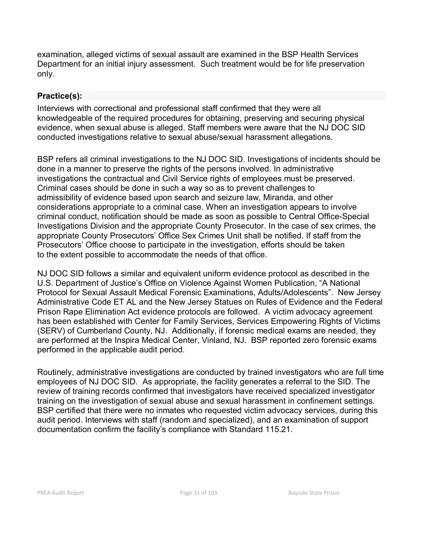examination, alleged victims of sexual assault are examined in the BSP Health Services Department for an initial injury assessment. Such treatment would be for life preservation only.

# **Practice(s):**

Interviews with correctional and professional staff confirmed that they were all knowledgeable of the required procedures for obtaining, preserving and securing physical evidence, when sexual abuse is alleged. Staff members were aware that the NJ DOC SID conducted investigations relative to sexual abuse/sexual harassment allegations.

BSP refers all criminal investigations to the NJ DOC SID. Investigations of incidents should be done in a manner to preserve the rights of the persons involved. In administrative investigations the contractual and Civil Service rights of employees must be preserved. Criminal cases should be done in such a way so as to prevent challenges to admissibility of evidence based upon search and seizure law, Miranda, and other considerations appropriate to a criminal case. When an investigation appears to involve criminal conduct, notification should be made as soon as possible to Central Office-Special Investigations Division and the appropriate County Prosecutor. In the case of sex crimes, the appropriate County Prosecutors' Office Sex Crimes Unit shall be notified. If staff from the Prosecutors' Office choose to participate in the investigation, efforts should be taken to the extent possible to accommodate the needs of that office.

NJ DOC SID follows a similar and equivalent uniform evidence protocol as described in the U.S. Department of Justice's Office on Violence Against Women Publication, "A National Protocol for Sexual Assault Medical Forensic Examinations, Adults/Adolescents". New Jersey Administrative Code ET AL and the New Jersey Statues on Rules of Evidence and the Federal Prison Rape Elimination Act evidence protocols are followed. A victim advocacy agreement has been established with Center for Family Services, Services Empowering Rights of Victims (SERV) of Cumberland County, NJ. Additionally, if forensic medical exams are needed, they are performed at the Inspira Medical Center, Vinland, NJ. BSP reported zero forensic exams performed in the applicable audit period.

Routinely, administrative investigations are conducted by trained investigators who are full time employees of NJ DOC SID. As appropriate, the facility generates a referral to the SID. The review of training records confirmed that investigators have received specialized investigator training on the investigation of sexual abuse and sexual harassment in confinement settings. BSP certified that there were no inmates who requested victim advocacy services, during this audit period. Interviews with staff (random and specialized), and an examination of support documentation confirm the facility's compliance with Standard 115.21.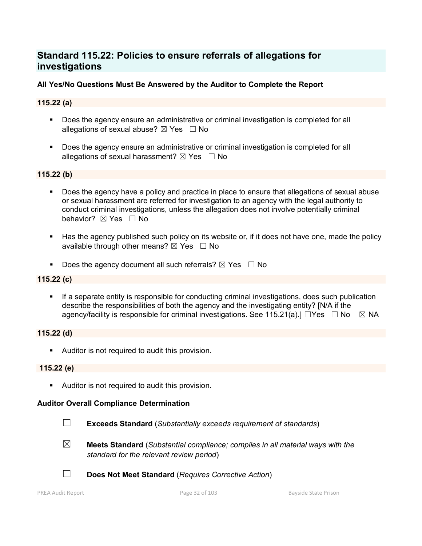# **Standard 115.22: Policies to ensure referrals of allegations for investigations**

#### **All Yes/No Questions Must Be Answered by the Auditor to Complete the Report**

#### **115.22 (a)**

- Does the agency ensure an administrative or criminal investigation is completed for all allegations of sexual abuse?  $\boxtimes$  Yes  $\Box$  No
- **Does the agency ensure an administrative or criminal investigation is completed for all** allegations of sexual harassment?  $\boxtimes$  Yes  $\Box$  No

#### **115.22 (b)**

- Does the agency have a policy and practice in place to ensure that allegations of sexual abuse or sexual harassment are referred for investigation to an agency with the legal authority to conduct criminal investigations, unless the allegation does not involve potentially criminal behavior? **⊠** Yes □ No
- Has the agency published such policy on its website or, if it does not have one, made the policy available through other means?  $\boxtimes$  Yes  $\Box$  No
- Does the agency document all such referrals?  $\boxtimes$  Yes  $\Box$  No

#### **115.22 (c)**

 If a separate entity is responsible for conducting criminal investigations, does such publication describe the responsibilities of both the agency and the investigating entity? [N/A if the agency/facility is responsible for criminal investigations. See 115.21(a).]  $\Box$ Yes  $\Box$  No  $\boxtimes$  NA

#### **115.22 (d)**

Auditor is not required to audit this provision.

#### **115.22 (e)**

Auditor is not required to audit this provision.

#### **Auditor Overall Compliance Determination**

- ☐ **Exceeds Standard** (*Substantially exceeds requirement of standards*)
- ☒ **Meets Standard** (*Substantial compliance; complies in all material ways with the standard for the relevant review period*)
- ☐ **Does Not Meet Standard** (*Requires Corrective Action*)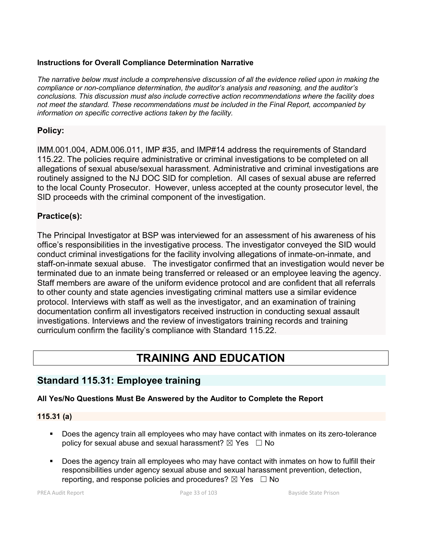#### **Instructions for Overall Compliance Determination Narrative**

*The narrative below must include a comprehensive discussion of all the evidence relied upon in making the compliance or non-compliance determination, the auditor's analysis and reasoning, and the auditor's conclusions. This discussion must also include corrective action recommendations where the facility does not meet the standard. These recommendations must be included in the Final Report, accompanied by information on specific corrective actions taken by the facility.*

### **Policy:**

IMM.001.004, ADM.006.011, IMP #35, and IMP#14 address the requirements of Standard 115.22. The policies require administrative or criminal investigations to be completed on all allegations of sexual abuse/sexual harassment. Administrative and criminal investigations are routinely assigned to the NJ DOC SID for completion. All cases of sexual abuse are referred to the local County Prosecutor. However, unless accepted at the county prosecutor level, the SID proceeds with the criminal component of the investigation.

## **Practice(s):**

The Principal Investigator at BSP was interviewed for an assessment of his awareness of his office's responsibilities in the investigative process. The investigator conveyed the SID would conduct criminal investigations for the facility involving allegations of inmate-on-inmate, and staff-on-inmate sexual abuse. The investigator confirmed that an investigation would never be terminated due to an inmate being transferred or released or an employee leaving the agency. Staff members are aware of the uniform evidence protocol and are confident that all referrals to other county and state agencies investigating criminal matters use a similar evidence protocol. Interviews with staff as well as the investigator, and an examination of training documentation confirm all investigators received instruction in conducting sexual assault investigations. Interviews and the review of investigators training records and training curriculum confirm the facility's compliance with Standard 115.22.

# **TRAINING AND EDUCATION**

# **Standard 115.31: Employee training**

#### **All Yes/No Questions Must Be Answered by the Auditor to Complete the Report**

#### **115.31 (a)**

- Does the agency train all employees who may have contact with inmates on its zero-tolerance policy for sexual abuse and sexual harassment?  $\boxtimes$  Yes  $\Box$  No
- Does the agency train all employees who may have contact with inmates on how to fulfill their responsibilities under agency sexual abuse and sexual harassment prevention, detection, reporting, and response policies and procedures?  $\boxtimes$  Yes  $\Box$  No

PREA Audit Report **Page 33 of 103** Bayside State Prison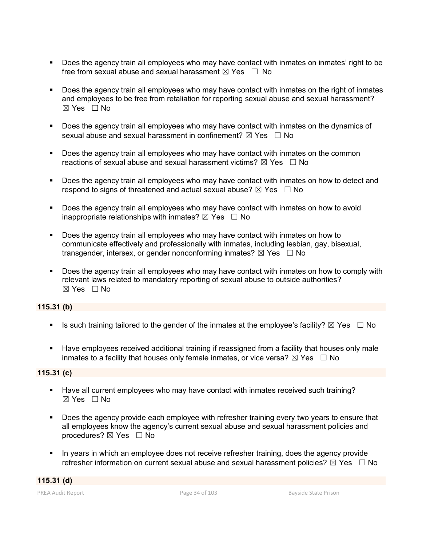- Does the agency train all employees who may have contact with inmates on inmates' right to be free from sexual abuse and sexual harassment  $\boxtimes$  Yes  $\Box$  No
- Does the agency train all employees who may have contact with inmates on the right of inmates and employees to be free from retaliation for reporting sexual abuse and sexual harassment?  $\boxtimes$  Yes  $\Box$  No
- Does the agency train all employees who may have contact with inmates on the dynamics of sexual abuse and sexual harassment in confinement?  $\boxtimes$  Yes  $\Box$  No
- **Does the agency train all employees who may have contact with inmates on the common** reactions of sexual abuse and sexual harassment victims?  $\boxtimes$  Yes  $\Box$  No
- Does the agency train all employees who may have contact with inmates on how to detect and respond to signs of threatened and actual sexual abuse?  $\boxtimes$  Yes  $\Box$  No
- **Does the agency train all employees who may have contact with inmates on how to avoid** inappropriate relationships with inmates?  $\boxtimes$  Yes  $\Box$  No
- Does the agency train all employees who may have contact with inmates on how to communicate effectively and professionally with inmates, including lesbian, gay, bisexual, transgender, intersex, or gender nonconforming inmates?  $\boxtimes$  Yes  $\Box$  No
- Does the agency train all employees who may have contact with inmates on how to comply with relevant laws related to mandatory reporting of sexual abuse to outside authorities? ☒ Yes ☐ No

#### **115.31 (b)**

- Is such training tailored to the gender of the inmates at the employee's facility?  $\boxtimes$  Yes  $\Box$  No
- Have employees received additional training if reassigned from a facility that houses only male inmates to a facility that houses only female inmates, or vice versa?  $\boxtimes$  Yes  $\Box$  No

#### **115.31 (c)**

- Have all current employees who may have contact with inmates received such training?  $\boxtimes$  Yes  $\Box$  No
- Does the agency provide each employee with refresher training every two years to ensure that all employees know the agency's current sexual abuse and sexual harassment policies and procedures? ☒ Yes ☐ No
- In years in which an employee does not receive refresher training, does the agency provide refresher information on current sexual abuse and sexual harassment policies?  $\boxtimes$  Yes  $\Box$  No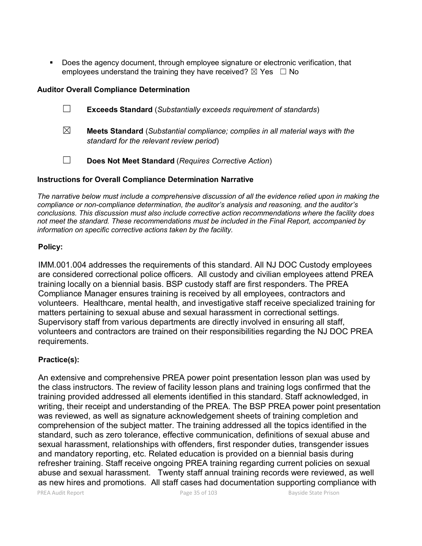Does the agency document, through employee signature or electronic verification, that employees understand the training they have received?  $\boxtimes$  Yes  $\Box$  No

#### **Auditor Overall Compliance Determination**

- ☐ **Exceeds Standard** (*Substantially exceeds requirement of standards*)
- ☒ **Meets Standard** (*Substantial compliance; complies in all material ways with the standard for the relevant review period*)
- ☐ **Does Not Meet Standard** (*Requires Corrective Action*)

#### **Instructions for Overall Compliance Determination Narrative**

*The narrative below must include a comprehensive discussion of all the evidence relied upon in making the compliance or non-compliance determination, the auditor's analysis and reasoning, and the auditor's conclusions. This discussion must also include corrective action recommendations where the facility does not meet the standard. These recommendations must be included in the Final Report, accompanied by information on specific corrective actions taken by the facility.*

#### **Policy:**

IMM.001.004 addresses the requirements of this standard. All NJ DOC Custody employees are considered correctional police officers. All custody and civilian employees attend PREA training locally on a biennial basis. BSP custody staff are first responders. The PREA Compliance Manager ensures training is received by all employees, contractors and volunteers. Healthcare, mental health, and investigative staff receive specialized training for matters pertaining to sexual abuse and sexual harassment in correctional settings. Supervisory staff from various departments are directly involved in ensuring all staff, volunteers and contractors are trained on their responsibilities regarding the NJ DOC PREA requirements.

#### **Practice(s):**

An extensive and comprehensive PREA power point presentation lesson plan was used by the class instructors. The review of facility lesson plans and training logs confirmed that the training provided addressed all elements identified in this standard. Staff acknowledged, in writing, their receipt and understanding of the PREA. The BSP PREA power point presentation was reviewed, as well as signature acknowledgement sheets of training completion and comprehension of the subject matter. The training addressed all the topics identified in the standard, such as zero tolerance, effective communication, definitions of sexual abuse and sexual harassment, relationships with offenders, first responder duties, transgender issues and mandatory reporting, etc. Related education is provided on a biennial basis during refresher training. Staff receive ongoing PREA training regarding current policies on sexual abuse and sexual harassment. Twenty staff annual training records were reviewed, as well as new hires and promotions. All staff cases had documentation supporting compliance with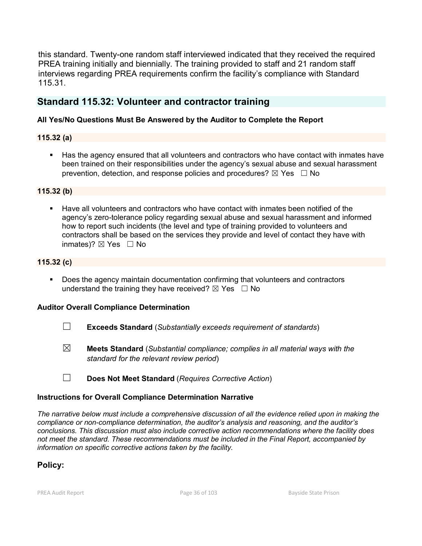this standard. Twenty-one random staff interviewed indicated that they received the required PREA training initially and biennially. The training provided to staff and 21 random staff interviews regarding PREA requirements confirm the facility's compliance with Standard 115.31.

# **Standard 115.32: Volunteer and contractor training**

### **All Yes/No Questions Must Be Answered by the Auditor to Complete the Report**

### **115.32 (a)**

Has the agency ensured that all volunteers and contractors who have contact with inmates have been trained on their responsibilities under the agency's sexual abuse and sexual harassment prevention, detection, and response policies and procedures?  $\boxtimes$  Yes  $\Box$  No

#### **115.32 (b)**

 Have all volunteers and contractors who have contact with inmates been notified of the agency's zero-tolerance policy regarding sexual abuse and sexual harassment and informed how to report such incidents (the level and type of training provided to volunteers and contractors shall be based on the services they provide and level of contact they have with inmates)?  $\boxtimes$  Yes  $\Box$  No

### **115.32 (c)**

 Does the agency maintain documentation confirming that volunteers and contractors understand the training they have received?  $\boxtimes$  Yes  $\Box$  No

#### **Auditor Overall Compliance Determination**

- ☐ **Exceeds Standard** (*Substantially exceeds requirement of standards*)
- ☒ **Meets Standard** (*Substantial compliance; complies in all material ways with the standard for the relevant review period*)
- ☐ **Does Not Meet Standard** (*Requires Corrective Action*)

#### **Instructions for Overall Compliance Determination Narrative**

*The narrative below must include a comprehensive discussion of all the evidence relied upon in making the compliance or non-compliance determination, the auditor's analysis and reasoning, and the auditor's conclusions. This discussion must also include corrective action recommendations where the facility does not meet the standard. These recommendations must be included in the Final Report, accompanied by information on specific corrective actions taken by the facility.*

## **Policy:**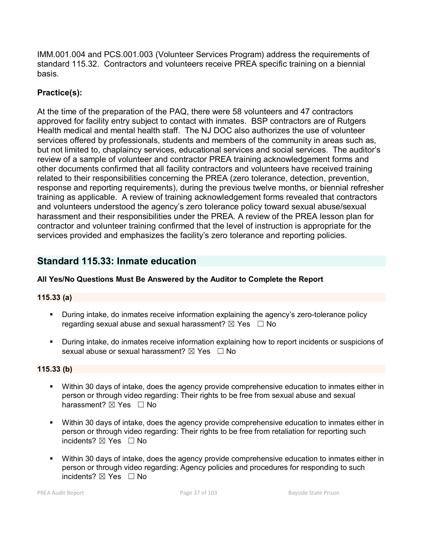IMM.001.004 and PCS.001.003 (Volunteer Services Program) address the requirements of standard 115.32. Contractors and volunteers receive PREA specific training on a biennial basis.

# **Practice(s):**

At the time of the preparation of the PAQ, there were 58 volunteers and 47 contractors approved for facility entry subject to contact with inmates. BSP contractors are of Rutgers Health medical and mental health staff. The NJ DOC also authorizes the use of volunteer services offered by professionals, students and members of the community in areas such as, but not limited to, chaplaincy services, educational services and social services. The auditor's review of a sample of volunteer and contractor PREA training acknowledgement forms and other documents confirmed that all facility contractors and volunteers have received training related to their responsibilities concerning the PREA (zero tolerance, detection, prevention, response and reporting requirements), during the previous twelve months, or biennial refresher training as applicable. A review of training acknowledgement forms revealed that contractors and volunteers understood the agency's zero tolerance policy toward sexual abuse/sexual harassment and their responsibilities under the PREA. A review of the PREA lesson plan for contractor and volunteer training confirmed that the level of instruction is appropriate for the services provided and emphasizes the facility's zero tolerance and reporting policies.

# **Standard 115.33: Inmate education**

# **All Yes/No Questions Must Be Answered by the Auditor to Complete the Report**

# **115.33 (a)**

- **During intake, do inmates receive information explaining the agency's zero-tolerance policy** regarding sexual abuse and sexual harassment?  $\boxtimes$  Yes  $\Box$  No
- During intake, do inmates receive information explaining how to report incidents or suspicions of sexual abuse or sexual harassment?  $\boxtimes$  Yes  $\Box$  No

# **115.33 (b)**

- Within 30 days of intake, does the agency provide comprehensive education to inmates either in person or through video regarding: Their rights to be free from sexual abuse and sexual harassment?  $\boxtimes$  Yes  $\Box$  No
- Within 30 days of intake, does the agency provide comprehensive education to inmates either in person or through video regarding: Their rights to be free from retaliation for reporting such incidents? ⊠ Yes □ No
- Within 30 days of intake, does the agency provide comprehensive education to inmates either in person or through video regarding: Agency policies and procedures for responding to such incidents? ⊠ Yes □ No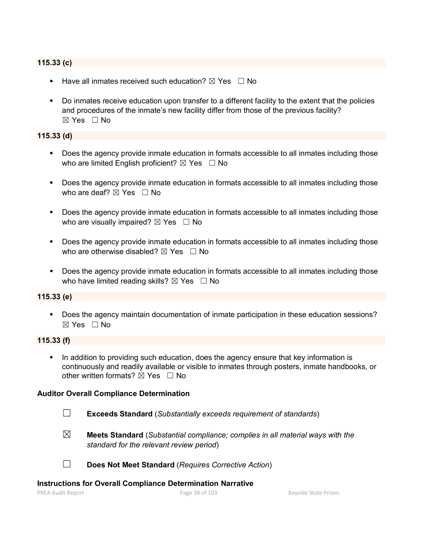# **115.33 (c)**

- **Have all inmates received such education?**  $\boxtimes$  Yes  $\Box$  No
- Do inmates receive education upon transfer to a different facility to the extent that the policies and procedures of the inmate's new facility differ from those of the previous facility?  $\boxtimes$  Yes  $\Box$  No

#### **115.33 (d)**

- Does the agency provide inmate education in formats accessible to all inmates including those who are limited English proficient?  $\boxtimes$  Yes  $\Box$  No
- Does the agency provide inmate education in formats accessible to all inmates including those who are deaf?  $\boxtimes$  Yes  $\Box$  No
- **Does the agency provide inmate education in formats accessible to all inmates including those** who are visually impaired?  $\boxtimes$  Yes  $\Box$  No
- Does the agency provide inmate education in formats accessible to all inmates including those who are otherwise disabled?  $\boxtimes$  Yes  $\Box$  No
- Does the agency provide inmate education in formats accessible to all inmates including those who have limited reading skills?  $\boxtimes$  Yes  $\Box$  No

#### **115.33 (e)**

**Does the agency maintain documentation of inmate participation in these education sessions?** ☒ Yes ☐ No

#### **115.33 (f)**

 In addition to providing such education, does the agency ensure that key information is continuously and readily available or visible to inmates through posters, inmate handbooks, or other written formats?  $\boxtimes$  Yes  $\Box$  No

#### **Auditor Overall Compliance Determination**

- 
- ☐ **Exceeds Standard** (*Substantially exceeds requirement of standards*)
- ☒ **Meets Standard** (*Substantial compliance; complies in all material ways with the standard for the relevant review period*)

☐ **Does Not Meet Standard** (*Requires Corrective Action*)

#### **Instructions for Overall Compliance Determination Narrative**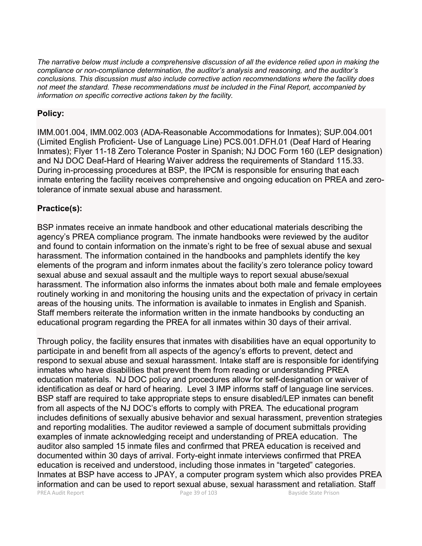*The narrative below must include a comprehensive discussion of all the evidence relied upon in making the compliance or non-compliance determination, the auditor's analysis and reasoning, and the auditor's conclusions. This discussion must also include corrective action recommendations where the facility does not meet the standard. These recommendations must be included in the Final Report, accompanied by information on specific corrective actions taken by the facility.*

# **Policy:**

IMM.001.004, IMM.002.003 (ADA-Reasonable Accommodations for Inmates); SUP.004.001 (Limited English Proficient- Use of Language Line) PCS.001.DFH.01 (Deaf Hard of Hearing Inmates); Flyer 11-18 Zero Tolerance Poster in Spanish; NJ DOC Form 160 (LEP designation) and NJ DOC Deaf-Hard of Hearing Waiver address the requirements of Standard 115.33. During in-processing procedures at BSP, the IPCM is responsible for ensuring that each inmate entering the facility receives comprehensive and ongoing education on PREA and zerotolerance of inmate sexual abuse and harassment.

# **Practice(s):**

BSP inmates receive an inmate handbook and other educational materials describing the agency's PREA compliance program. The inmate handbooks were reviewed by the auditor and found to contain information on the inmate's right to be free of sexual abuse and sexual harassment. The information contained in the handbooks and pamphlets identify the key elements of the program and inform inmates about the facility's zero tolerance policy toward sexual abuse and sexual assault and the multiple ways to report sexual abuse/sexual harassment. The information also informs the inmates about both male and female employees routinely working in and monitoring the housing units and the expectation of privacy in certain areas of the housing units. The information is available to inmates in English and Spanish. Staff members reiterate the information written in the inmate handbooks by conducting an educational program regarding the PREA for all inmates within 30 days of their arrival.

PREA Audit Report **Page 39 of 103** Bayside State Prison Through policy, the facility ensures that inmates with disabilities have an equal opportunity to participate in and benefit from all aspects of the agency's efforts to prevent, detect and respond to sexual abuse and sexual harassment. Intake staff are is responsible for identifying inmates who have disabilities that prevent them from reading or understanding PREA education materials. NJ DOC policy and procedures allow for self-designation or waiver of identification as deaf or hard of hearing. Level 3 IMP informs staff of language line services. BSP staff are required to take appropriate steps to ensure disabled/LEP inmates can benefit from all aspects of the NJ DOC's efforts to comply with PREA. The educational program includes definitions of sexually abusive behavior and sexual harassment, prevention strategies and reporting modalities. The auditor reviewed a sample of document submittals providing examples of inmate acknowledging receipt and understanding of PREA education. The auditor also sampled 15 inmate files and confirmed that PREA education is received and documented within 30 days of arrival. Forty-eight inmate interviews confirmed that PREA education is received and understood, including those inmates in "targeted" categories. Inmates at BSP have access to JPAY, a computer program system which also provides PREA information and can be used to report sexual abuse, sexual harassment and retaliation. Staff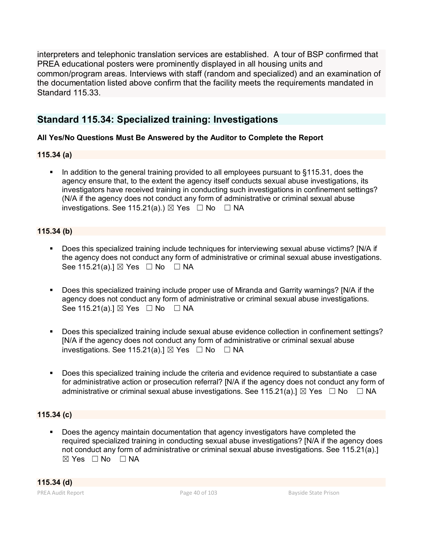interpreters and telephonic translation services are established. A tour of BSP confirmed that PREA educational posters were prominently displayed in all housing units and common/program areas. Interviews with staff (random and specialized) and an examination of the documentation listed above confirm that the facility meets the requirements mandated in Standard 115.33.

# **Standard 115.34: Specialized training: Investigations**

### **All Yes/No Questions Must Be Answered by the Auditor to Complete the Report**

### **115.34 (a)**

 In addition to the general training provided to all employees pursuant to §115.31, does the agency ensure that, to the extent the agency itself conducts sexual abuse investigations, its investigators have received training in conducting such investigations in confinement settings? (N/A if the agency does not conduct any form of administrative or criminal sexual abuse investigations. See 115.21(a).)  $\boxtimes$  Yes  $\Box$  No  $\Box$  NA

### **115.34 (b)**

- Does this specialized training include techniques for interviewing sexual abuse victims? [N/A if the agency does not conduct any form of administrative or criminal sexual abuse investigations. See 115.21(a).]  $\boxtimes$  Yes  $\Box$  No  $\Box$  NA
- Does this specialized training include proper use of Miranda and Garrity warnings? [N/A if the agency does not conduct any form of administrative or criminal sexual abuse investigations. See 115.21(a).]  $\boxtimes$  Yes  $\Box$  No  $\Box$  NA
- Does this specialized training include sexual abuse evidence collection in confinement settings? [N/A if the agency does not conduct any form of administrative or criminal sexual abuse investigations. See 115.21(a).]  $\boxtimes$  Yes  $\Box$  No  $\Box$  NA
- Does this specialized training include the criteria and evidence required to substantiate a case for administrative action or prosecution referral? [N/A if the agency does not conduct any form of administrative or criminal sexual abuse investigations. See 115.21(a). $\mathbb{I} \boxtimes \mathsf{Yes} \square \mathsf{No} \square \mathsf{NA}$

# **115.34 (c)**

 Does the agency maintain documentation that agency investigators have completed the required specialized training in conducting sexual abuse investigations? [N/A if the agency does not conduct any form of administrative or criminal sexual abuse investigations. See 115.21(a).]  $\boxtimes$  Yes  $\Box$  No  $\Box$  NA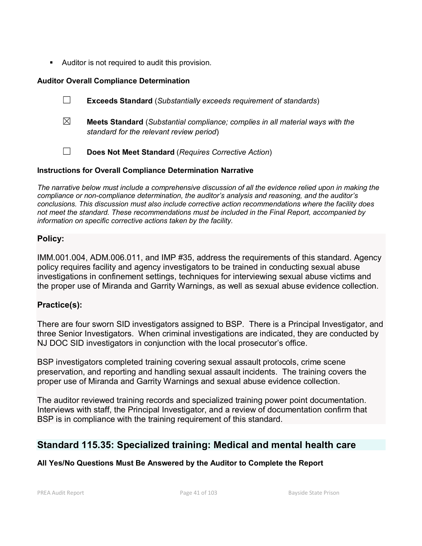Auditor is not required to audit this provision.

# **Auditor Overall Compliance Determination**

- ☐ **Exceeds Standard** (*Substantially exceeds requirement of standards*)
- ☒ **Meets Standard** (*Substantial compliance; complies in all material ways with the standard for the relevant review period*)
- ☐ **Does Not Meet Standard** (*Requires Corrective Action*)

# **Instructions for Overall Compliance Determination Narrative**

*The narrative below must include a comprehensive discussion of all the evidence relied upon in making the compliance or non-compliance determination, the auditor's analysis and reasoning, and the auditor's conclusions. This discussion must also include corrective action recommendations where the facility does not meet the standard. These recommendations must be included in the Final Report, accompanied by information on specific corrective actions taken by the facility.*

# **Policy:**

IMM.001.004, ADM.006.011, and IMP #35, address the requirements of this standard. Agency policy requires facility and agency investigators to be trained in conducting sexual abuse investigations in confinement settings, techniques for interviewing sexual abuse victims and the proper use of Miranda and Garrity Warnings, as well as sexual abuse evidence collection.

# **Practice(s):**

There are four sworn SID investigators assigned to BSP. There is a Principal Investigator, and three Senior Investigators. When criminal investigations are indicated, they are conducted by NJ DOC SID investigators in conjunction with the local prosecutor's office.

BSP investigators completed training covering sexual assault protocols, crime scene preservation, and reporting and handling sexual assault incidents. The training covers the proper use of Miranda and Garrity Warnings and sexual abuse evidence collection.

The auditor reviewed training records and specialized training power point documentation. Interviews with staff, the Principal Investigator, and a review of documentation confirm that BSP is in compliance with the training requirement of this standard.

# **Standard 115.35: Specialized training: Medical and mental health care**

# **All Yes/No Questions Must Be Answered by the Auditor to Complete the Report**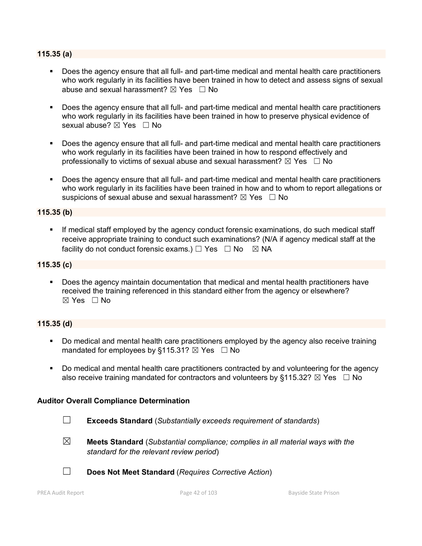#### **115.35 (a)**

- Does the agency ensure that all full- and part-time medical and mental health care practitioners who work regularly in its facilities have been trained in how to detect and assess signs of sexual abuse and sexual harassment?  $\boxtimes$  Yes  $\Box$  No
- **Does the agency ensure that all full- and part-time medical and mental health care practitioners** who work regularly in its facilities have been trained in how to preserve physical evidence of sexual abuse? ⊠ Yes □ No
- Does the agency ensure that all full- and part-time medical and mental health care practitioners who work regularly in its facilities have been trained in how to respond effectively and professionally to victims of sexual abuse and sexual harassment?  $\boxtimes$  Yes  $\Box$  No
- Does the agency ensure that all full- and part-time medical and mental health care practitioners who work regularly in its facilities have been trained in how and to whom to report allegations or suspicions of sexual abuse and sexual harassment?  $\boxtimes$  Yes  $\Box$  No

#### **115.35 (b)**

 If medical staff employed by the agency conduct forensic examinations, do such medical staff receive appropriate training to conduct such examinations? (N/A if agency medical staff at the facility do not conduct forensic exams.)  $\Box$  Yes  $\Box$  No  $\boxtimes$  NA

#### **115.35 (c)**

 Does the agency maintain documentation that medical and mental health practitioners have received the training referenced in this standard either from the agency or elsewhere?  $\boxtimes$  Yes  $\Box$  No

#### **115.35 (d)**

- Do medical and mental health care practitioners employed by the agency also receive training mandated for employees by §115.31?  $\boxtimes$  Yes  $\Box$  No
- Do medical and mental health care practitioners contracted by and volunteering for the agency also receive training mandated for contractors and volunteers by §115.32?  $\boxtimes$  Yes  $\Box$  No

#### **Auditor Overall Compliance Determination**

- ☐ **Exceeds Standard** (*Substantially exceeds requirement of standards*)
- 
- ☒ **Meets Standard** (*Substantial compliance; complies in all material ways with the standard for the relevant review period*)
- ☐ **Does Not Meet Standard** (*Requires Corrective Action*)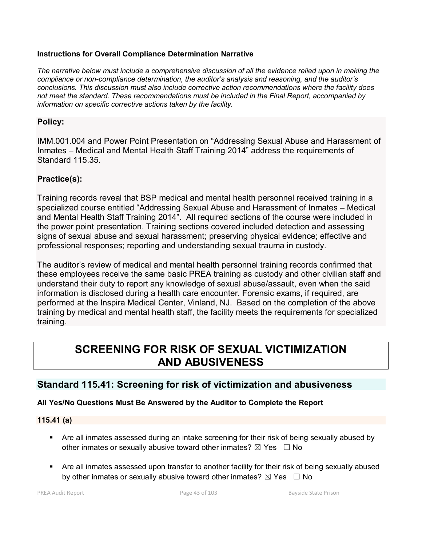#### **Instructions for Overall Compliance Determination Narrative**

*The narrative below must include a comprehensive discussion of all the evidence relied upon in making the compliance or non-compliance determination, the auditor's analysis and reasoning, and the auditor's conclusions. This discussion must also include corrective action recommendations where the facility does not meet the standard. These recommendations must be included in the Final Report, accompanied by information on specific corrective actions taken by the facility.*

# **Policy:**

IMM.001.004 and Power Point Presentation on "Addressing Sexual Abuse and Harassment of Inmates – Medical and Mental Health Staff Training 2014" address the requirements of Standard 115.35.

# **Practice(s):**

Training records reveal that BSP medical and mental health personnel received training in a specialized course entitled "Addressing Sexual Abuse and Harassment of Inmates – Medical and Mental Health Staff Training 2014". All required sections of the course were included in the power point presentation. Training sections covered included detection and assessing signs of sexual abuse and sexual harassment; preserving physical evidence; effective and professional responses; reporting and understanding sexual trauma in custody.

The auditor's review of medical and mental health personnel training records confirmed that these employees receive the same basic PREA training as custody and other civilian staff and understand their duty to report any knowledge of sexual abuse/assault, even when the said information is disclosed during a health care encounter. Forensic exams, if required, are performed at the Inspira Medical Center, Vinland, NJ. Based on the completion of the above training by medical and mental health staff, the facility meets the requirements for specialized training.

# **SCREENING FOR RISK OF SEXUAL VICTIMIZATION AND ABUSIVENESS**

# **Standard 115.41: Screening for risk of victimization and abusiveness**

# **All Yes/No Questions Must Be Answered by the Auditor to Complete the Report**

#### **115.41 (a)**

- Are all inmates assessed during an intake screening for their risk of being sexually abused by other inmates or sexually abusive toward other inmates?  $\boxtimes$  Yes  $\Box$  No
- Are all inmates assessed upon transfer to another facility for their risk of being sexually abused by other inmates or sexually abusive toward other inmates?  $\boxtimes$  Yes  $\Box$  No

PREA Audit Report **Page 43 of 103** Bayside State Prison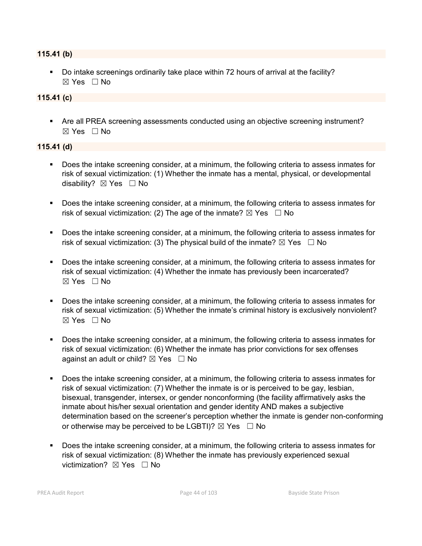#### **115.41 (b)**

Do intake screenings ordinarily take place within 72 hours of arrival at the facility?  $\boxtimes$  Yes  $\Box$  No

#### **115.41 (c)**

 Are all PREA screening assessments conducted using an objective screening instrument?  $\boxtimes$  Yes  $\Box$  No

#### **115.41 (d)**

- Does the intake screening consider, at a minimum, the following criteria to assess inmates for risk of sexual victimization: (1) Whether the inmate has a mental, physical, or developmental disability? **⊠** Yes □ No
- Does the intake screening consider, at a minimum, the following criteria to assess inmates for risk of sexual victimization: (2) The age of the inmate?  $\boxtimes$  Yes  $\Box$  No
- Does the intake screening consider, at a minimum, the following criteria to assess inmates for risk of sexual victimization: (3) The physical build of the inmate?  $\boxtimes$  Yes  $\Box$  No
- Does the intake screening consider, at a minimum, the following criteria to assess inmates for risk of sexual victimization: (4) Whether the inmate has previously been incarcerated? ☒ Yes ☐ No
- Does the intake screening consider, at a minimum, the following criteria to assess inmates for risk of sexual victimization: (5) Whether the inmate's criminal history is exclusively nonviolent?  $\boxtimes$  Yes  $\Box$  No
- Does the intake screening consider, at a minimum, the following criteria to assess inmates for risk of sexual victimization: (6) Whether the inmate has prior convictions for sex offenses against an adult or child?  $\boxtimes$  Yes  $\Box$  No
- Does the intake screening consider, at a minimum, the following criteria to assess inmates for risk of sexual victimization: (7) Whether the inmate is or is perceived to be gay, lesbian, bisexual, transgender, intersex, or gender nonconforming (the facility affirmatively asks the inmate about his/her sexual orientation and gender identity AND makes a subjective determination based on the screener's perception whether the inmate is gender non-conforming or otherwise may be perceived to be LGBTI)?  $\boxtimes$  Yes  $\Box$  No
- Does the intake screening consider, at a minimum, the following criteria to assess inmates for risk of sexual victimization: (8) Whether the inmate has previously experienced sexual victimization? ⊠ Yes □ No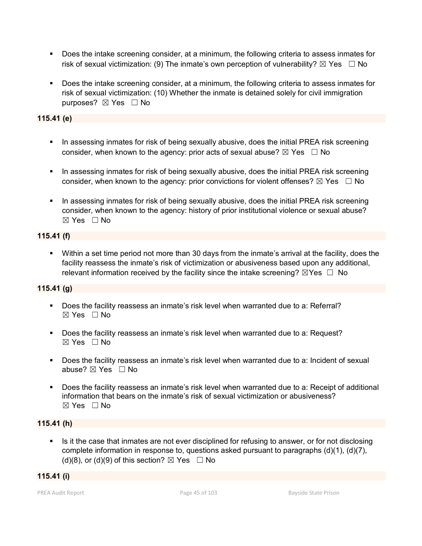- Does the intake screening consider, at a minimum, the following criteria to assess inmates for risk of sexual victimization: (9) The inmate's own perception of vulnerability?  $\boxtimes$  Yes  $\Box$  No
- Does the intake screening consider, at a minimum, the following criteria to assess inmates for risk of sexual victimization: (10) Whether the inmate is detained solely for civil immigration purposes? ⊠ Yes □ No

### **115.41 (e)**

- In assessing inmates for risk of being sexually abusive, does the initial PREA risk screening consider, when known to the agency: prior acts of sexual abuse?  $\boxtimes$  Yes  $\Box$  No
- In assessing inmates for risk of being sexually abusive, does the initial PREA risk screening consider, when known to the agency: prior convictions for violent offenses?  $\boxtimes$  Yes  $\Box$  No
- In assessing inmates for risk of being sexually abusive, does the initial PREA risk screening consider, when known to the agency: history of prior institutional violence or sexual abuse? ☒ Yes ☐ No

#### **115.41 (f)**

 Within a set time period not more than 30 days from the inmate's arrival at the facility, does the facility reassess the inmate's risk of victimization or abusiveness based upon any additional, relevant information received by the facility since the intake screening?  $\boxtimes$ Yes  $\Box$  No

#### **115.41 (g)**

- Does the facility reassess an inmate's risk level when warranted due to a: Referral?  $\boxtimes$  Yes  $\Box$  No
- Does the facility reassess an inmate's risk level when warranted due to a: Request? ☒ Yes ☐ No
- Does the facility reassess an inmate's risk level when warranted due to a: Incident of sexual abuse?  $\boxtimes$  Yes  $\Box$  No
- Does the facility reassess an inmate's risk level when warranted due to a: Receipt of additional information that bears on the inmate's risk of sexual victimization or abusiveness? ☒ Yes ☐ No

#### **115.41 (h)**

Is it the case that inmates are not ever disciplined for refusing to answer, or for not disclosing complete information in response to, questions asked pursuant to paragraphs  $(d)(1)$ ,  $(d)(7)$ , (d)(8), or (d)(9) of this section?  $\boxtimes$  Yes  $\Box$  No

#### **115.41 (i)**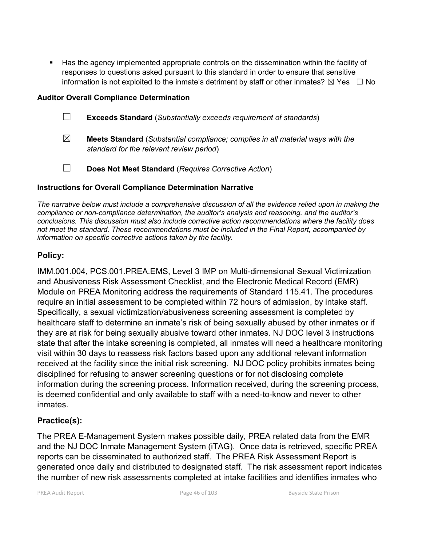Has the agency implemented appropriate controls on the dissemination within the facility of responses to questions asked pursuant to this standard in order to ensure that sensitive information is not exploited to the inmate's detriment by staff or other inmates?  $\boxtimes$  Yes  $\Box$  No

#### **Auditor Overall Compliance Determination**

- ☐ **Exceeds Standard** (*Substantially exceeds requirement of standards*)
- ☒ **Meets Standard** (*Substantial compliance; complies in all material ways with the standard for the relevant review period*)
- ☐ **Does Not Meet Standard** (*Requires Corrective Action*)

#### **Instructions for Overall Compliance Determination Narrative**

*The narrative below must include a comprehensive discussion of all the evidence relied upon in making the compliance or non-compliance determination, the auditor's analysis and reasoning, and the auditor's conclusions. This discussion must also include corrective action recommendations where the facility does not meet the standard. These recommendations must be included in the Final Report, accompanied by information on specific corrective actions taken by the facility.*

### **Policy:**

IMM.001.004, PCS.001.PREA.EMS, Level 3 IMP on Multi-dimensional Sexual Victimization and Abusiveness Risk Assessment Checklist, and the Electronic Medical Record (EMR) Module on PREA Monitoring address the requirements of Standard 115.41. The procedures require an initial assessment to be completed within 72 hours of admission, by intake staff. Specifically, a sexual victimization/abusiveness screening assessment is completed by healthcare staff to determine an inmate's risk of being sexually abused by other inmates or if they are at risk for being sexually abusive toward other inmates. NJ DOC level 3 instructions state that after the intake screening is completed, all inmates will need a healthcare monitoring visit within 30 days to reassess risk factors based upon any additional relevant information received at the facility since the initial risk screening. NJ DOC policy prohibits inmates being disciplined for refusing to answer screening questions or for not disclosing complete information during the screening process. Information received, during the screening process, is deemed confidential and only available to staff with a need-to-know and never to other inmates.

# **Practice(s):**

The PREA E-Management System makes possible daily, PREA related data from the EMR and the NJ DOC Inmate Management System (iTAG). Once data is retrieved, specific PREA reports can be disseminated to authorized staff. The PREA Risk Assessment Report is generated once daily and distributed to designated staff. The risk assessment report indicates the number of new risk assessments completed at intake facilities and identifies inmates who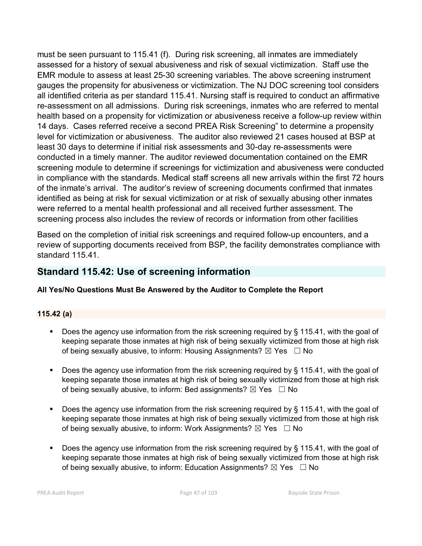must be seen pursuant to 115.41 (f). During risk screening, all inmates are immediately assessed for a history of sexual abusiveness and risk of sexual victimization. Staff use the EMR module to assess at least 25-30 screening variables. The above screening instrument gauges the propensity for abusiveness or victimization. The NJ DOC screening tool considers all identified criteria as per standard 115.41. Nursing staff is required to conduct an affirmative re-assessment on all admissions. During risk screenings, inmates who are referred to mental health based on a propensity for victimization or abusiveness receive a follow-up review within 14 days. Cases referred receive a second PREA Risk Screening" to determine a propensity level for victimization or abusiveness. The auditor also reviewed 21 cases housed at BSP at least 30 days to determine if initial risk assessments and 30-day re-assessments were conducted in a timely manner. The auditor reviewed documentation contained on the EMR screening module to determine if screenings for victimization and abusiveness were conducted in compliance with the standards. Medical staff screens all new arrivals within the first 72 hours of the inmate's arrival. The auditor's review of screening documents confirmed that inmates identified as being at risk for sexual victimization or at risk of sexually abusing other inmates were referred to a mental health professional and all received further assessment. The screening process also includes the review of records or information from other facilities

Based on the completion of initial risk screenings and required follow-up encounters, and a review of supporting documents received from BSP, the facility demonstrates compliance with standard 115.41.

# **Standard 115.42: Use of screening information**

# **All Yes/No Questions Must Be Answered by the Auditor to Complete the Report**

# **115.42 (a)**

- Does the agency use information from the risk screening required by § 115.41, with the goal of keeping separate those inmates at high risk of being sexually victimized from those at high risk of being sexually abusive, to inform: Housing Assignments?  $\boxtimes$  Yes  $\Box$  No
- Does the agency use information from the risk screening required by § 115.41, with the goal of keeping separate those inmates at high risk of being sexually victimized from those at high risk of being sexually abusive, to inform: Bed assignments?  $\boxtimes$  Yes  $\Box$  No
- Does the agency use information from the risk screening required by § 115.41, with the goal of keeping separate those inmates at high risk of being sexually victimized from those at high risk of being sexually abusive, to inform: Work Assignments?  $\boxtimes$  Yes  $\Box$  No
- Does the agency use information from the risk screening required by § 115.41, with the goal of keeping separate those inmates at high risk of being sexually victimized from those at high risk of being sexually abusive, to inform: Education Assignments?  $\boxtimes$  Yes  $\Box$  No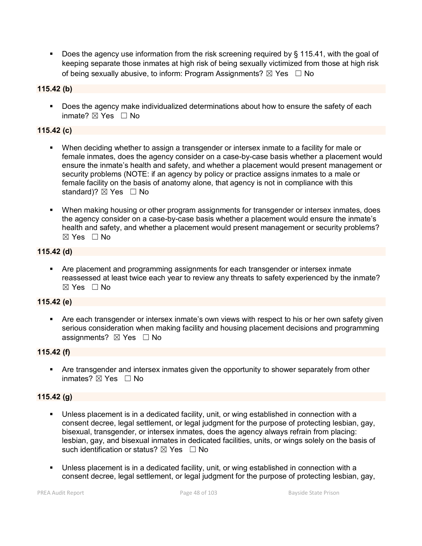■ Does the agency use information from the risk screening required by § 115.41, with the goal of keeping separate those inmates at high risk of being sexually victimized from those at high risk of being sexually abusive, to inform: Program Assignments?  $\boxtimes$  Yes  $\Box$  No

### **115.42 (b)**

Does the agency make individualized determinations about how to ensure the safety of each inmate?  $\boxtimes$  Yes  $\Box$  No

### **115.42 (c)**

- When deciding whether to assign a transgender or intersex inmate to a facility for male or female inmates, does the agency consider on a case-by-case basis whether a placement would ensure the inmate's health and safety, and whether a placement would present management or security problems (NOTE: if an agency by policy or practice assigns inmates to a male or female facility on the basis of anatomy alone, that agency is not in compliance with this standard)?  $\boxtimes$  Yes  $\Box$  No
- When making housing or other program assignments for transgender or intersex inmates, does the agency consider on a case-by-case basis whether a placement would ensure the inmate's health and safety, and whether a placement would present management or security problems?  $\boxtimes$  Yes  $\Box$  No

### **115.42 (d)**

 Are placement and programming assignments for each transgender or intersex inmate reassessed at least twice each year to review any threats to safety experienced by the inmate? ☒ Yes ☐ No

#### **115.42 (e)**

 Are each transgender or intersex inmate's own views with respect to his or her own safety given serious consideration when making facility and housing placement decisions and programming assignments? ⊠ Yes □ No

#### **115.42 (f)**

 Are transgender and intersex inmates given the opportunity to shower separately from other inmates? ☒ Yes ☐ No

# **115.42 (g)**

- Unless placement is in a dedicated facility, unit, or wing established in connection with a consent decree, legal settlement, or legal judgment for the purpose of protecting lesbian, gay, bisexual, transgender, or intersex inmates, does the agency always refrain from placing: lesbian, gay, and bisexual inmates in dedicated facilities, units, or wings solely on the basis of such identification or status?  $\boxtimes$  Yes  $\Box$  No
- Unless placement is in a dedicated facility, unit, or wing established in connection with a consent decree, legal settlement, or legal judgment for the purpose of protecting lesbian, gay,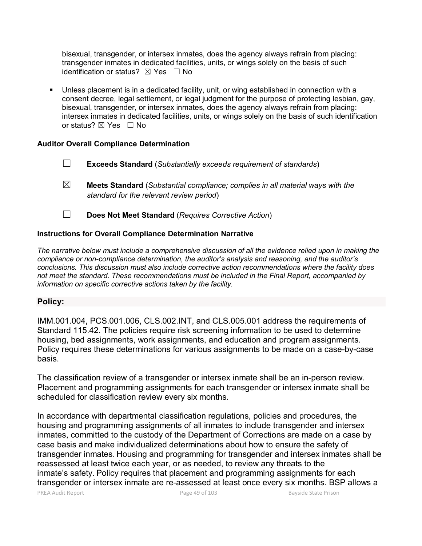bisexual, transgender, or intersex inmates, does the agency always refrain from placing: transgender inmates in dedicated facilities, units, or wings solely on the basis of such identification or status?  $\boxtimes$  Yes  $\Box$  No

 Unless placement is in a dedicated facility, unit, or wing established in connection with a consent decree, legal settlement, or legal judgment for the purpose of protecting lesbian, gay, bisexual, transgender, or intersex inmates, does the agency always refrain from placing: intersex inmates in dedicated facilities, units, or wings solely on the basis of such identification or status? ⊠ Yes □ No

#### **Auditor Overall Compliance Determination**

- ☐ **Exceeds Standard** (*Substantially exceeds requirement of standards*)
- ☒ **Meets Standard** (*Substantial compliance; complies in all material ways with the standard for the relevant review period*)
- ☐ **Does Not Meet Standard** (*Requires Corrective Action*)

#### **Instructions for Overall Compliance Determination Narrative**

*The narrative below must include a comprehensive discussion of all the evidence relied upon in making the compliance or non-compliance determination, the auditor's analysis and reasoning, and the auditor's conclusions. This discussion must also include corrective action recommendations where the facility does not meet the standard. These recommendations must be included in the Final Report, accompanied by information on specific corrective actions taken by the facility.*

#### **Policy:**

IMM.001.004, PCS.001.006, CLS.002.INT, and CLS.005.001 address the requirements of Standard 115.42. The policies require risk screening information to be used to determine housing, bed assignments, work assignments, and education and program assignments. Policy requires these determinations for various assignments to be made on a case-by-case basis.

The classification review of a transgender or intersex inmate shall be an in-person review. Placement and programming assignments for each transgender or intersex inmate shall be scheduled for classification review every six months.

In accordance with departmental classification regulations, policies and procedures, the housing and programming assignments of all inmates to include transgender and intersex inmates, committed to the custody of the Department of Corrections are made on a case by case basis and make individualized determinations about how to ensure the safety of transgender inmates. Housing and programming for transgender and intersex inmates shall be reassessed at least twice each year, or as needed, to review any threats to the inmate's safety. Policy requires that placement and programming assignments for each transgender or intersex inmate are re-assessed at least once every six months. BSP allows a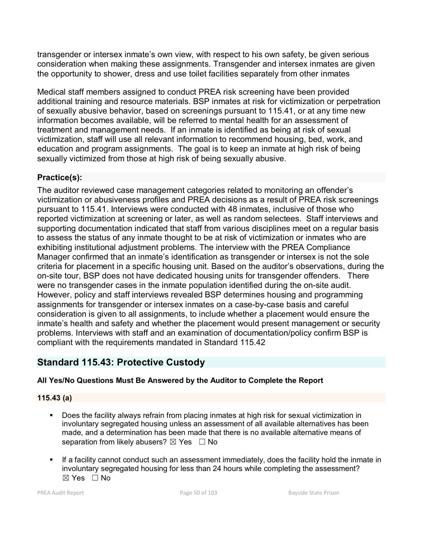transgender or intersex inmate's own view, with respect to his own safety, be given serious consideration when making these assignments. Transgender and intersex inmates are given the opportunity to shower, dress and use toilet facilities separately from other inmates

Medical staff members assigned to conduct PREA risk screening have been provided additional training and resource materials. BSP inmates at risk for victimization or perpetration of sexually abusive behavior, based on screenings pursuant to 115.41, or at any time new information becomes available, will be referred to mental health for an assessment of treatment and management needs. If an inmate is identified as being at risk of sexual victimization, staff will use all relevant information to recommend housing, bed, work, and education and program assignments. The goal is to keep an inmate at high risk of being sexually victimized from those at high risk of being sexually abusive.

# **Practice(s):**

The auditor reviewed case management categories related to monitoring an offender's victimization or abusiveness profiles and PREA decisions as a result of PREA risk screenings pursuant to 115.41. Interviews were conducted with 48 inmates, inclusive of those who reported victimization at screening or later, as well as random selectees. Staff interviews and supporting documentation indicated that staff from various disciplines meet on a regular basis to assess the status of any inmate thought to be at risk of victimization or inmates who are exhibiting institutional adjustment problems. The interview with the PREA Compliance Manager confirmed that an inmate's identification as transgender or intersex is not the sole criteria for placement in a specific housing unit. Based on the auditor's observations, during the on-site tour, BSP does not have dedicated housing units for transgender offenders. There were no transgender cases in the inmate population identified during the on-site audit. However, policy and staff interviews revealed BSP determines housing and programming assignments for transgender or intersex inmates on a case-by-case basis and careful consideration is given to all assignments, to include whether a placement would ensure the inmate's health and safety and whether the placement would present management or security problems. Interviews with staff and an examination of documentation/policy confirm BSP is compliant with the requirements mandated in Standard 115.42

# **Standard 115.43: Protective Custody**

# **All Yes/No Questions Must Be Answered by the Auditor to Complete the Report**

# **115.43 (a)**

- Does the facility always refrain from placing inmates at high risk for sexual victimization in involuntary segregated housing unless an assessment of all available alternatives has been made, and a determination has been made that there is no available alternative means of separation from likely abusers?  $\boxtimes$  Yes  $\Box$  No
- If a facility cannot conduct such an assessment immediately, does the facility hold the inmate in involuntary segregated housing for less than 24 hours while completing the assessment? ☒ Yes ☐ No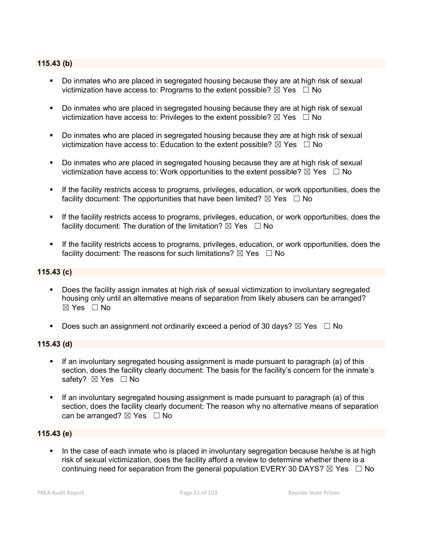#### **115.43 (b)**

- Do inmates who are placed in segregated housing because they are at high risk of sexual victimization have access to: Programs to the extent possible?  $\boxtimes$  Yes  $\Box$  No
- Do inmates who are placed in segregated housing because they are at high risk of sexual victimization have access to: Privileges to the extent possible?  $\boxtimes$  Yes  $\Box$  No
- Do inmates who are placed in segregated housing because they are at high risk of sexual victimization have access to: Education to the extent possible?  $\boxtimes$  Yes  $\Box$  No
- **Do inmates who are placed in segregated housing because they are at high risk of sexual** victimization have access to: Work opportunities to the extent possible?  $\boxtimes$  Yes  $\Box$  No
- **If the facility restricts access to programs, privileges, education, or work opportunities, does the** facility document: The opportunities that have been limited?  $\boxtimes$  Yes  $\Box$  No
- If the facility restricts access to programs, privileges, education, or work opportunities, does the facility document: The duration of the limitation?  $\boxtimes$  Yes  $\Box$  No
- If the facility restricts access to programs, privileges, education, or work opportunities, does the facility document: The reasons for such limitations?  $\boxtimes$  Yes  $\Box$  No

#### **115.43 (c)**

- Does the facility assign inmates at high risk of sexual victimization to involuntary segregated housing only until an alternative means of separation from likely abusers can be arranged? ☒ Yes ☐ No
- Does such an assignment not ordinarily exceed a period of 30 days?  $\boxtimes$  Yes  $\Box$  No

#### **115.43 (d)**

- If an involuntary segregated housing assignment is made pursuant to paragraph (a) of this section, does the facility clearly document: The basis for the facility's concern for the inmate's safety? ⊠ Yes □ No
- If an involuntary segregated housing assignment is made pursuant to paragraph (a) of this section, does the facility clearly document: The reason why no alternative means of separation can be arranged?  $\boxtimes$  Yes  $\Box$  No

#### **115.43 (e)**

 In the case of each inmate who is placed in involuntary segregation because he/she is at high risk of sexual victimization, does the facility afford a review to determine whether there is a continuing need for separation from the general population EVERY 30 DAYS?  $\boxtimes$  Yes  $\Box$  No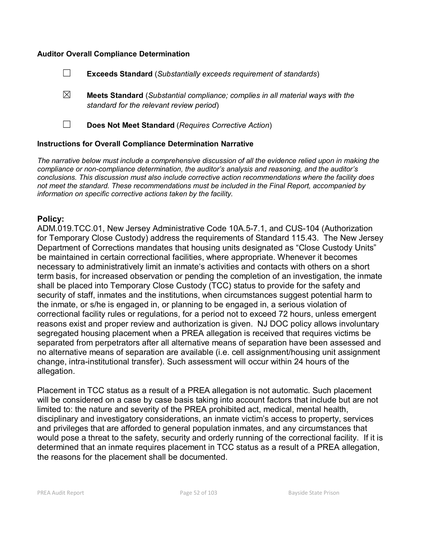#### **Auditor Overall Compliance Determination**

- ☐ **Exceeds Standard** (*Substantially exceeds requirement of standards*)
- ☒ **Meets Standard** (*Substantial compliance; complies in all material ways with the standard for the relevant review period*)
- 

☐ **Does Not Meet Standard** (*Requires Corrective Action*)

#### **Instructions for Overall Compliance Determination Narrative**

*The narrative below must include a comprehensive discussion of all the evidence relied upon in making the compliance or non-compliance determination, the auditor's analysis and reasoning, and the auditor's conclusions. This discussion must also include corrective action recommendations where the facility does not meet the standard. These recommendations must be included in the Final Report, accompanied by information on specific corrective actions taken by the facility.*

# **Policy:**

ADM.019.TCC.01, New Jersey Administrative Code 10A.5-7.1, and CUS-104 (Authorization for Temporary Close Custody) address the requirements of Standard 115.43. The New Jersey Department of Corrections mandates that housing units designated as "Close Custody Units" be maintained in certain correctional facilities, where appropriate. Whenever it becomes necessary to administratively limit an inmate's activities and contacts with others on a short term basis, for increased observation or pending the completion of an investigation, the inmate shall be placed into Temporary Close Custody (TCC) status to provide for the safety and security of staff, inmates and the institutions, when circumstances suggest potential harm to the inmate, or s/he is engaged in, or planning to be engaged in, a serious violation of correctional facility rules or regulations, for a period not to exceed 72 hours, unless emergent reasons exist and proper review and authorization is given. NJ DOC policy allows involuntary segregated housing placement when a PREA allegation is received that requires victims be separated from perpetrators after all alternative means of separation have been assessed and no alternative means of separation are available (i.e. cell assignment/housing unit assignment change, intra-institutional transfer). Such assessment will occur within 24 hours of the allegation.

Placement in TCC status as a result of a PREA allegation is not automatic. Such placement will be considered on a case by case basis taking into account factors that include but are not limited to: the nature and severity of the PREA prohibited act, medical, mental health, disciplinary and investigatory considerations, an inmate victim's access to property, services and privileges that are afforded to general population inmates, and any circumstances that would pose a threat to the safety, security and orderly running of the correctional facility. If it is determined that an inmate requires placement in TCC status as a result of a PREA allegation, the reasons for the placement shall be documented.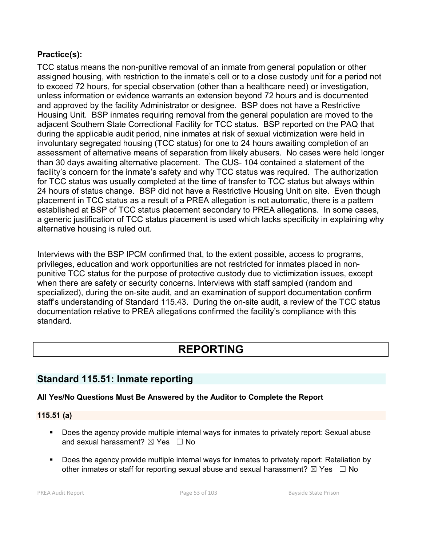# **Practice(s):**

TCC status means the non-punitive removal of an inmate from general population or other assigned housing, with restriction to the inmate's cell or to a close custody unit for a period not to exceed 72 hours, for special observation (other than a healthcare need) or investigation, unless information or evidence warrants an extension beyond 72 hours and is documented and approved by the facility Administrator or designee. BSP does not have a Restrictive Housing Unit. BSP inmates requiring removal from the general population are moved to the adjacent Southern State Correctional Facility for TCC status. BSP reported on the PAQ that during the applicable audit period, nine inmates at risk of sexual victimization were held in involuntary segregated housing (TCC status) for one to 24 hours awaiting completion of an assessment of alternative means of separation from likely abusers. No cases were held longer than 30 days awaiting alternative placement. The CUS- 104 contained a statement of the facility's concern for the inmate's safety and why TCC status was required. The authorization for TCC status was usually completed at the time of transfer to TCC status but always within 24 hours of status change. BSP did not have a Restrictive Housing Unit on site. Even though placement in TCC status as a result of a PREA allegation is not automatic, there is a pattern established at BSP of TCC status placement secondary to PREA allegations. In some cases, a generic justification of TCC status placement is used which lacks specificity in explaining why alternative housing is ruled out.

Interviews with the BSP IPCM confirmed that, to the extent possible, access to programs, privileges, education and work opportunities are not restricted for inmates placed in nonpunitive TCC status for the purpose of protective custody due to victimization issues, except when there are safety or security concerns. Interviews with staff sampled (random and specialized), during the on-site audit, and an examination of support documentation confirm staff's understanding of Standard 115.43. During the on-site audit, a review of the TCC status documentation relative to PREA allegations confirmed the facility's compliance with this standard.

# **REPORTING**

# **Standard 115.51: Inmate reporting**

# **All Yes/No Questions Must Be Answered by the Auditor to Complete the Report**

# **115.51 (a)**

- Does the agency provide multiple internal ways for inmates to privately report: Sexual abuse and sexual harassment?  $\boxtimes$  Yes  $\Box$  No
- Does the agency provide multiple internal ways for inmates to privately report: Retaliation by other inmates or staff for reporting sexual abuse and sexual harassment?  $\boxtimes$  Yes  $\Box$  No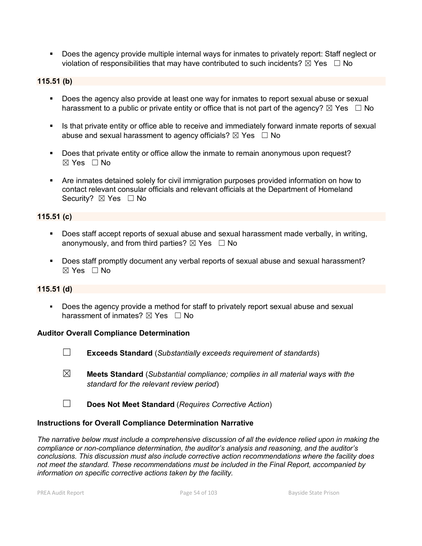Does the agency provide multiple internal ways for inmates to privately report: Staff neglect or violation of responsibilities that may have contributed to such incidents?  $\boxtimes$  Yes  $\Box$  No

#### **115.51 (b)**

- **Does the agency also provide at least one way for inmates to report sexual abuse or sexual** harassment to a public or private entity or office that is not part of the agency?  $\boxtimes$  Yes  $\Box$  No
- In Its that private entity or office able to receive and immediately forward inmate reports of sexual abuse and sexual harassment to agency officials?  $\boxtimes$  Yes  $\Box$  No
- Does that private entity or office allow the inmate to remain anonymous upon request?  $\boxtimes$  Yes  $\Box$  No
- Are inmates detained solely for civil immigration purposes provided information on how to contact relevant consular officials and relevant officials at the Department of Homeland Security? ⊠ Yes □ No

#### **115.51 (c)**

- Does staff accept reports of sexual abuse and sexual harassment made verbally, in writing, anonymously, and from third parties?  $\boxtimes$  Yes  $\Box$  No
- Does staff promptly document any verbal reports of sexual abuse and sexual harassment?  $\boxtimes$  Yes  $\Box$  No

#### **115.51 (d)**

**Does the agency provide a method for staff to privately report sexual abuse and sexual** harassment of inmates?  $\boxtimes$  Yes  $\Box$  No

#### **Auditor Overall Compliance Determination**

- ☐ **Exceeds Standard** (*Substantially exceeds requirement of standards*)
- ☒ **Meets Standard** (*Substantial compliance; complies in all material ways with the standard for the relevant review period*)
- ☐ **Does Not Meet Standard** (*Requires Corrective Action*)

#### **Instructions for Overall Compliance Determination Narrative**

*The narrative below must include a comprehensive discussion of all the evidence relied upon in making the compliance or non-compliance determination, the auditor's analysis and reasoning, and the auditor's conclusions. This discussion must also include corrective action recommendations where the facility does not meet the standard. These recommendations must be included in the Final Report, accompanied by information on specific corrective actions taken by the facility.*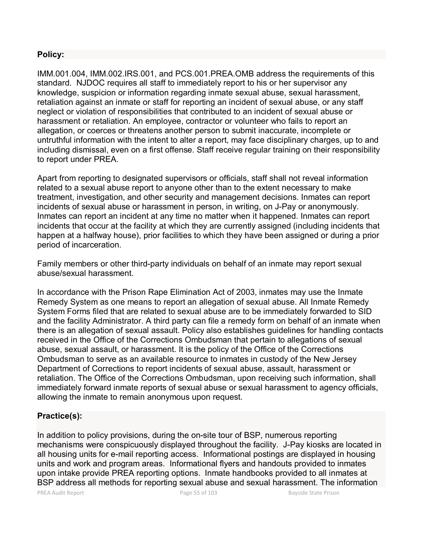# **Policy:**

IMM.001.004, IMM.002.IRS.001, and PCS.001.PREA.OMB address the requirements of this standard. NJDOC requires all staff to immediately report to his or her supervisor any knowledge, suspicion or information regarding inmate sexual abuse, sexual harassment, retaliation against an inmate or staff for reporting an incident of sexual abuse, or any staff neglect or violation of responsibilities that contributed to an incident of sexual abuse or harassment or retaliation. An employee, contractor or volunteer who fails to report an allegation, or coerces or threatens another person to submit inaccurate, incomplete or untruthful information with the intent to alter a report, may face disciplinary charges, up to and including dismissal, even on a first offense. Staff receive regular training on their responsibility to report under PREA.

Apart from reporting to designated supervisors or officials, staff shall not reveal information related to a sexual abuse report to anyone other than to the extent necessary to make treatment, investigation, and other security and management decisions. Inmates can report incidents of sexual abuse or harassment in person, in writing, on J-Pay or anonymously. Inmates can report an incident at any time no matter when it happened. Inmates can report incidents that occur at the facility at which they are currently assigned (including incidents that happen at a halfway house), prior facilities to which they have been assigned or during a prior period of incarceration.

Family members or other third-party individuals on behalf of an inmate may report sexual abuse/sexual harassment.

In accordance with the Prison Rape Elimination Act of 2003, inmates may use the Inmate Remedy System as one means to report an allegation of sexual abuse. All Inmate Remedy System Forms filed that are related to sexual abuse are to be immediately forwarded to SID and the facility Administrator. A third party can file a remedy form on behalf of an inmate when there is an allegation of sexual assault. Policy also establishes guidelines for handling contacts received in the Office of the Corrections Ombudsman that pertain to allegations of sexual abuse, sexual assault, or harassment. It is the policy of the Office of the Corrections Ombudsman to serve as an available resource to inmates in custody of the New Jersey Department of Corrections to report incidents of sexual abuse, assault, harassment or retaliation. The Office of the Corrections Ombudsman, upon receiving such information, shall immediately forward inmate reports of sexual abuse or sexual harassment to agency officials, allowing the inmate to remain anonymous upon request.

# **Practice(s):**

In addition to policy provisions, during the on-site tour of BSP, numerous reporting mechanisms were conspicuously displayed throughout the facility. J-Pay kiosks are located in all housing units for e-mail reporting access. Informational postings are displayed in housing units and work and program areas. Informational flyers and handouts provided to inmates upon intake provide PREA reporting options. Inmate handbooks provided to all inmates at BSP address all methods for reporting sexual abuse and sexual harassment. The information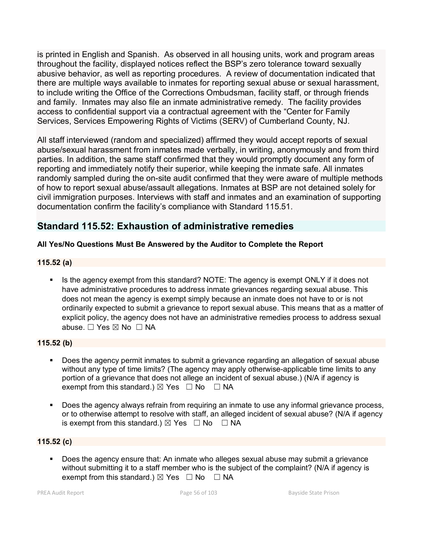is printed in English and Spanish. As observed in all housing units, work and program areas throughout the facility, displayed notices reflect the BSP's zero tolerance toward sexually abusive behavior, as well as reporting procedures. A review of documentation indicated that there are multiple ways available to inmates for reporting sexual abuse or sexual harassment, to include writing the Office of the Corrections Ombudsman, facility staff, or through friends and family. Inmates may also file an inmate administrative remedy. The facility provides access to confidential support via a contractual agreement with the "Center for Family Services, Services Empowering Rights of Victims (SERV) of Cumberland County, NJ.

All staff interviewed (random and specialized) affirmed they would accept reports of sexual abuse/sexual harassment from inmates made verbally, in writing, anonymously and from third parties. In addition, the same staff confirmed that they would promptly document any form of reporting and immediately notify their superior, while keeping the inmate safe. All inmates randomly sampled during the on-site audit confirmed that they were aware of multiple methods of how to report sexual abuse/assault allegations. Inmates at BSP are not detained solely for civil immigration purposes. Interviews with staff and inmates and an examination of supporting documentation confirm the facility's compliance with Standard 115.51.

# **Standard 115.52: Exhaustion of administrative remedies**

# **All Yes/No Questions Must Be Answered by the Auditor to Complete the Report**

### **115.52 (a)**

Is the agency exempt from this standard? NOTE: The agency is exempt ONLY if it does not have administrative procedures to address inmate grievances regarding sexual abuse. This does not mean the agency is exempt simply because an inmate does not have to or is not ordinarily expected to submit a grievance to report sexual abuse. This means that as a matter of explicit policy, the agency does not have an administrative remedies process to address sexual abuse. □ Yes ⊠ No □ NA

### **115.52 (b)**

- Does the agency permit inmates to submit a grievance regarding an allegation of sexual abuse without any type of time limits? (The agency may apply otherwise-applicable time limits to any portion of a grievance that does not allege an incident of sexual abuse.) (N/A if agency is exempt from this standard.)  $\boxtimes$  Yes  $\Box$  No  $\Box$  NA
- Does the agency always refrain from requiring an inmate to use any informal grievance process, or to otherwise attempt to resolve with staff, an alleged incident of sexual abuse? (N/A if agency is exempt from this standard.)  $\boxtimes$  Yes  $\Box$  No  $\Box$  NA

# **115.52 (c)**

 Does the agency ensure that: An inmate who alleges sexual abuse may submit a grievance without submitting it to a staff member who is the subject of the complaint? (N/A if agency is exempt from this standard.)  $\boxtimes$  Yes  $\Box$  No  $\Box$  NA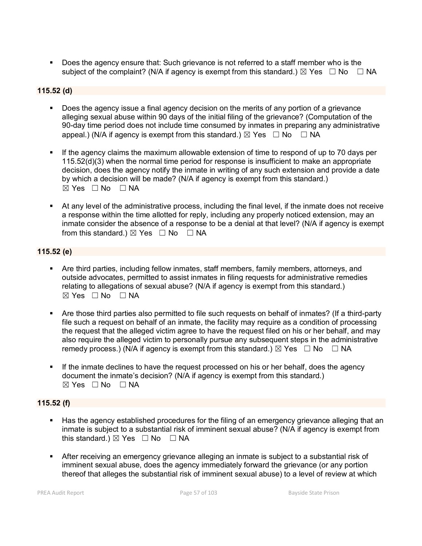Does the agency ensure that: Such grievance is not referred to a staff member who is the subject of the complaint? (N/A if agency is exempt from this standard.)  $\boxtimes$  Yes  $\Box$  No  $\Box$  NA

#### **115.52 (d)**

- Does the agency issue a final agency decision on the merits of any portion of a grievance alleging sexual abuse within 90 days of the initial filing of the grievance? (Computation of the 90-day time period does not include time consumed by inmates in preparing any administrative appeal.) (N/A if agency is exempt from this standard.)  $\boxtimes$  Yes  $\Box$  No  $\Box$  NA
- If the agency claims the maximum allowable extension of time to respond of up to 70 days per 115.52(d)(3) when the normal time period for response is insufficient to make an appropriate decision, does the agency notify the inmate in writing of any such extension and provide a date by which a decision will be made? (N/A if agency is exempt from this standard.)  $\boxtimes$  Yes  $\Box$  No  $\Box$  NA
- At any level of the administrative process, including the final level, if the inmate does not receive a response within the time allotted for reply, including any properly noticed extension, may an inmate consider the absence of a response to be a denial at that level? (N/A if agency is exempt from this standard.)  $\boxtimes$  Yes  $\Box$  No  $\Box$  NA

### **115.52 (e)**

- Are third parties, including fellow inmates, staff members, family members, attorneys, and outside advocates, permitted to assist inmates in filing requests for administrative remedies relating to allegations of sexual abuse? (N/A if agency is exempt from this standard.) ☒ Yes ☐ No ☐ NA
- Are those third parties also permitted to file such requests on behalf of inmates? (If a third-party file such a request on behalf of an inmate, the facility may require as a condition of processing the request that the alleged victim agree to have the request filed on his or her behalf, and may also require the alleged victim to personally pursue any subsequent steps in the administrative remedy process.) (N/A if agency is exempt from this standard.)  $\boxtimes$  Yes  $\Box$  No  $\Box$  NA
- If the inmate declines to have the request processed on his or her behalf, does the agency document the inmate's decision? (N/A if agency is exempt from this standard.)  $⊠ Yes ⊡ No ⊡ NA$

#### **115.52 (f)**

- Has the agency established procedures for the filing of an emergency grievance alleging that an inmate is subject to a substantial risk of imminent sexual abuse? (N/A if agency is exempt from this standard.)  $\boxtimes$  Yes  $\Box$  No  $\Box$  NA
- After receiving an emergency grievance alleging an inmate is subject to a substantial risk of imminent sexual abuse, does the agency immediately forward the grievance (or any portion thereof that alleges the substantial risk of imminent sexual abuse) to a level of review at which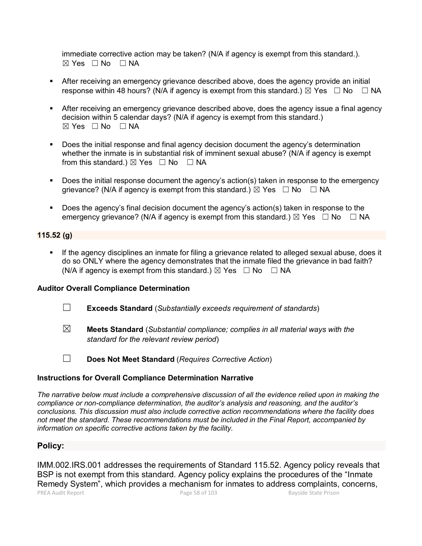immediate corrective action may be taken? (N/A if agency is exempt from this standard.).  $⊠ Yes ⊡ No ⊡ NA$ 

- After receiving an emergency grievance described above, does the agency provide an initial response within 48 hours? (N/A if agency is exempt from this standard.)  $\boxtimes$  Yes  $\Box$  No  $\Box$  NA
- After receiving an emergency grievance described above, does the agency issue a final agency decision within 5 calendar days? (N/A if agency is exempt from this standard.)  $\boxtimes$  Yes  $\Box$  No  $\Box$  NA
- Does the initial response and final agency decision document the agency's determination whether the inmate is in substantial risk of imminent sexual abuse? (N/A if agency is exempt from this standard.)  $\boxtimes$  Yes  $\Box$  No  $\Box$  NA
- Does the initial response document the agency's action(s) taken in response to the emergency grievance? (N/A if agency is exempt from this standard.)  $\boxtimes$  Yes  $\Box$  No  $\Box$  NA
- Does the agency's final decision document the agency's action(s) taken in response to the emergency grievance? (N/A if agency is exempt from this standard.)  $\boxtimes$  Yes  $\Box$  No  $\Box$  NA

#### **115.52 (g)**

 If the agency disciplines an inmate for filing a grievance related to alleged sexual abuse, does it do so ONLY where the agency demonstrates that the inmate filed the grievance in bad faith? (N/A if agency is exempt from this standard.)  $\boxtimes$  Yes  $\Box$  No  $\Box$  NA

#### **Auditor Overall Compliance Determination**

- ☐ **Exceeds Standard** (*Substantially exceeds requirement of standards*)
- ☒ **Meets Standard** (*Substantial compliance; complies in all material ways with the standard for the relevant review period*)
- 
- ☐ **Does Not Meet Standard** (*Requires Corrective Action*)

#### **Instructions for Overall Compliance Determination Narrative**

*The narrative below must include a comprehensive discussion of all the evidence relied upon in making the compliance or non-compliance determination, the auditor's analysis and reasoning, and the auditor's conclusions. This discussion must also include corrective action recommendations where the facility does not meet the standard. These recommendations must be included in the Final Report, accompanied by information on specific corrective actions taken by the facility.*

#### **Policy:**

IMM.002.IRS.001 addresses the requirements of Standard 115.52. Agency policy reveals that BSP is not exempt from this standard. Agency policy explains the procedures of the "Inmate Remedy System", which provides a mechanism for inmates to address complaints, concerns,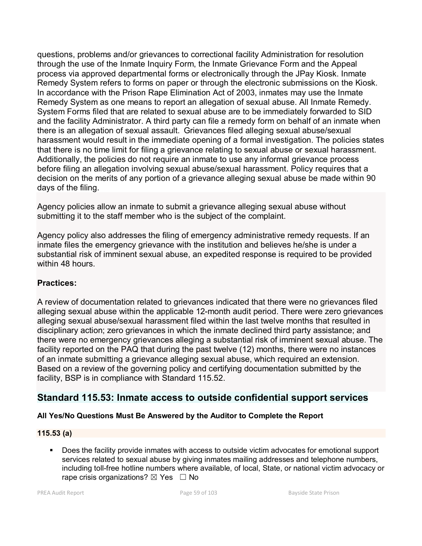questions, problems and/or grievances to correctional facility Administration for resolution through the use of the Inmate Inquiry Form, the Inmate Grievance Form and the Appeal process via approved departmental forms or electronically through the JPay Kiosk. Inmate Remedy System refers to forms on paper or through the electronic submissions on the Kiosk. In accordance with the Prison Rape Elimination Act of 2003, inmates may use the Inmate Remedy System as one means to report an allegation of sexual abuse. All Inmate Remedy. System Forms filed that are related to sexual abuse are to be immediately forwarded to SID and the facility Administrator. A third party can file a remedy form on behalf of an inmate when there is an allegation of sexual assault. Grievances filed alleging sexual abuse/sexual harassment would result in the immediate opening of a formal investigation. The policies states that there is no time limit for filing a grievance relating to sexual abuse or sexual harassment. Additionally, the policies do not require an inmate to use any informal grievance process before filing an allegation involving sexual abuse/sexual harassment. Policy requires that a decision on the merits of any portion of a grievance alleging sexual abuse be made within 90 days of the filing.

Agency policies allow an inmate to submit a grievance alleging sexual abuse without submitting it to the staff member who is the subject of the complaint.

Agency policy also addresses the filing of emergency administrative remedy requests. If an inmate files the emergency grievance with the institution and believes he/she is under a substantial risk of imminent sexual abuse, an expedited response is required to be provided within 48 hours.

# **Practices:**

A review of documentation related to grievances indicated that there were no grievances filed alleging sexual abuse within the applicable 12-month audit period. There were zero grievances alleging sexual abuse/sexual harassment filed within the last twelve months that resulted in disciplinary action; zero grievances in which the inmate declined third party assistance; and there were no emergency grievances alleging a substantial risk of imminent sexual abuse. The facility reported on the PAQ that during the past twelve (12) months, there were no instances of an inmate submitting a grievance alleging sexual abuse, which required an extension. Based on a review of the governing policy and certifying documentation submitted by the facility, BSP is in compliance with Standard 115.52.

# **Standard 115.53: Inmate access to outside confidential support services**

# **All Yes/No Questions Must Be Answered by the Auditor to Complete the Report**

# **115.53 (a)**

 Does the facility provide inmates with access to outside victim advocates for emotional support services related to sexual abuse by giving inmates mailing addresses and telephone numbers, including toll-free hotline numbers where available, of local, State, or national victim advocacy or rape crisis organizations?  $\boxtimes$  Yes  $\Box$  No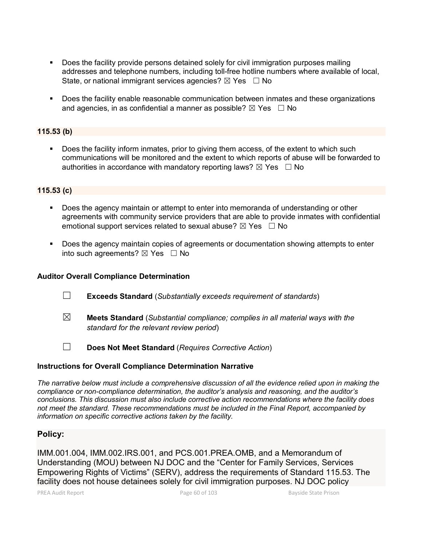- Does the facility provide persons detained solely for civil immigration purposes mailing addresses and telephone numbers, including toll-free hotline numbers where available of local, State, or national immigrant services agencies?  $\boxtimes$  Yes  $\Box$  No
- **Does the facility enable reasonable communication between inmates and these organizations** and agencies, in as confidential a manner as possible?  $\boxtimes$  Yes  $\Box$  No

#### **115.53 (b)**

 Does the facility inform inmates, prior to giving them access, of the extent to which such communications will be monitored and the extent to which reports of abuse will be forwarded to authorities in accordance with mandatory reporting laws?  $\boxtimes$  Yes  $\Box$  No

#### **115.53 (c)**

- Does the agency maintain or attempt to enter into memoranda of understanding or other agreements with community service providers that are able to provide inmates with confidential emotional support services related to sexual abuse?  $\boxtimes$  Yes  $\Box$  No
- Does the agency maintain copies of agreements or documentation showing attempts to enter into such agreements?  $\boxtimes$  Yes  $\Box$  No

#### **Auditor Overall Compliance Determination**

- ☐ **Exceeds Standard** (*Substantially exceeds requirement of standards*)
- ☒ **Meets Standard** (*Substantial compliance; complies in all material ways with the standard for the relevant review period*)
- ☐ **Does Not Meet Standard** (*Requires Corrective Action*)

#### **Instructions for Overall Compliance Determination Narrative**

*The narrative below must include a comprehensive discussion of all the evidence relied upon in making the compliance or non-compliance determination, the auditor's analysis and reasoning, and the auditor's conclusions. This discussion must also include corrective action recommendations where the facility does not meet the standard. These recommendations must be included in the Final Report, accompanied by information on specific corrective actions taken by the facility.*

#### **Policy:**

IMM.001.004, IMM.002.IRS.001, and PCS.001.PREA.OMB, and a Memorandum of Understanding (MOU) between NJ DOC and the "Center for Family Services, Services Empowering Rights of Victims" (SERV), address the requirements of Standard 115.53. The facility does not house detainees solely for civil immigration purposes. NJ DOC policy

PREA Audit Report Page 60 of 103 Bayside State Prison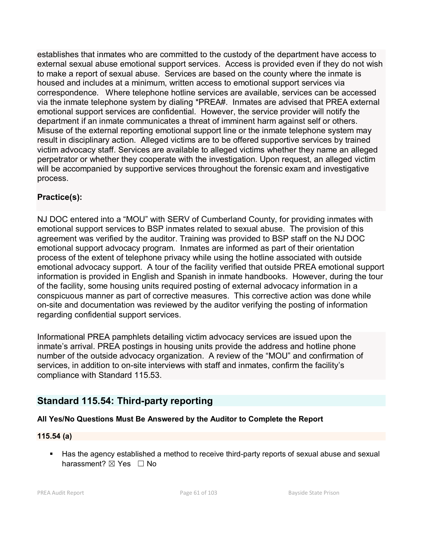establishes that inmates who are committed to the custody of the department have access to external sexual abuse emotional support services. Access is provided even if they do not wish to make a report of sexual abuse. Services are based on the county where the inmate is housed and includes at a minimum, written access to emotional support services via correspondence. Where telephone hotline services are available, services can be accessed via the inmate telephone system by dialing \*PREA#. Inmates are advised that PREA external emotional support services are confidential. However, the service provider will notify the department if an inmate communicates a threat of imminent harm against self or others. Misuse of the external reporting emotional support line or the inmate telephone system may result in disciplinary action. Alleged victims are to be offered supportive services by trained victim advocacy staff. Services are available to alleged victims whether they name an alleged perpetrator or whether they cooperate with the investigation. Upon request, an alleged victim will be accompanied by supportive services throughout the forensic exam and investigative process.

# **Practice(s):**

NJ DOC entered into a "MOU" with SERV of Cumberland County, for providing inmates with emotional support services to BSP inmates related to sexual abuse. The provision of this agreement was verified by the auditor. Training was provided to BSP staff on the NJ DOC emotional support advocacy program. Inmates are informed as part of their orientation process of the extent of telephone privacy while using the hotline associated with outside emotional advocacy support. A tour of the facility verified that outside PREA emotional support information is provided in English and Spanish in inmate handbooks. However, during the tour of the facility, some housing units required posting of external advocacy information in a conspicuous manner as part of corrective measures. This corrective action was done while on-site and documentation was reviewed by the auditor verifying the posting of information regarding confidential support services.

Informational PREA pamphlets detailing victim advocacy services are issued upon the inmate's arrival. PREA postings in housing units provide the address and hotline phone number of the outside advocacy organization. A review of the "MOU" and confirmation of services, in addition to on-site interviews with staff and inmates, confirm the facility's compliance with Standard 115.53.

# **Standard 115.54: Third-party reporting**

# **All Yes/No Questions Must Be Answered by the Auditor to Complete the Report**

# **115.54 (a)**

Has the agency established a method to receive third-party reports of sexual abuse and sexual harassment? ⊠ Yes □ No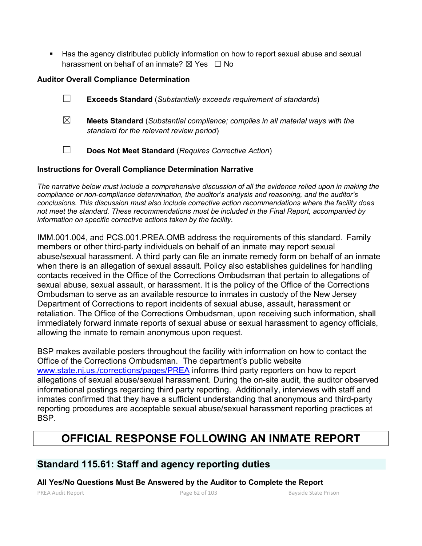Has the agency distributed publicly information on how to report sexual abuse and sexual harassment on behalf of an inmate?  $\boxtimes$  Yes  $\Box$  No

# **Auditor Overall Compliance Determination**

- ☐ **Exceeds Standard** (*Substantially exceeds requirement of standards*)
- ☒ **Meets Standard** (*Substantial compliance; complies in all material ways with the standard for the relevant review period*)
- ☐ **Does Not Meet Standard** (*Requires Corrective Action*)

### **Instructions for Overall Compliance Determination Narrative**

*The narrative below must include a comprehensive discussion of all the evidence relied upon in making the compliance or non-compliance determination, the auditor's analysis and reasoning, and the auditor's conclusions. This discussion must also include corrective action recommendations where the facility does not meet the standard. These recommendations must be included in the Final Report, accompanied by information on specific corrective actions taken by the facility.*

IMM.001.004, and PCS.001.PREA.OMB address the requirements of this standard. Family members or other third-party individuals on behalf of an inmate may report sexual abuse/sexual harassment. A third party can file an inmate remedy form on behalf of an inmate when there is an allegation of sexual assault. Policy also establishes guidelines for handling contacts received in the Office of the Corrections Ombudsman that pertain to allegations of sexual abuse, sexual assault, or harassment. It is the policy of the Office of the Corrections Ombudsman to serve as an available resource to inmates in custody of the New Jersey Department of Corrections to report incidents of sexual abuse, assault, harassment or retaliation. The Office of the Corrections Ombudsman, upon receiving such information, shall immediately forward inmate reports of sexual abuse or sexual harassment to agency officials, allowing the inmate to remain anonymous upon request.

BSP makes available posters throughout the facility with information on how to contact the Office of the Corrections Ombudsman. The department's public website [www.state.nj.us./corrections/pages/PREA](http://www.state.nj.us./corrections/pages/PREA) informs third party reporters on how to report allegations of sexual abuse/sexual harassment. During the on-site audit, the auditor observed informational postings regarding third party reporting. Additionally, interviews with staff and inmates confirmed that they have a sufficient understanding that anonymous and third-party reporting procedures are acceptable sexual abuse/sexual harassment reporting practices at BSP.

# **OFFICIAL RESPONSE FOLLOWING AN INMATE REPORT**

# **Standard 115.61: Staff and agency reporting duties**

**All Yes/No Questions Must Be Answered by the Auditor to Complete the Report**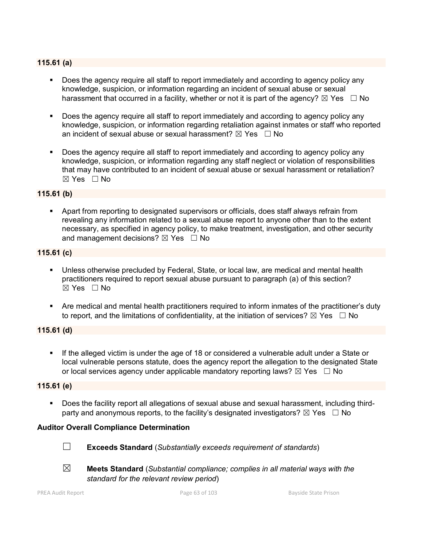# **115.61 (a)**

- Does the agency require all staff to report immediately and according to agency policy any knowledge, suspicion, or information regarding an incident of sexual abuse or sexual harassment that occurred in a facility, whether or not it is part of the agency?  $\boxtimes$  Yes  $\Box$  No
- Does the agency require all staff to report immediately and according to agency policy any knowledge, suspicion, or information regarding retaliation against inmates or staff who reported an incident of sexual abuse or sexual harassment?  $\boxtimes$  Yes  $\Box$  No
- Does the agency require all staff to report immediately and according to agency policy any knowledge, suspicion, or information regarding any staff neglect or violation of responsibilities that may have contributed to an incident of sexual abuse or sexual harassment or retaliation?  $\boxtimes$  Yes  $\Box$  No

#### **115.61 (b)**

 Apart from reporting to designated supervisors or officials, does staff always refrain from revealing any information related to a sexual abuse report to anyone other than to the extent necessary, as specified in agency policy, to make treatment, investigation, and other security and management decisions?  $\boxtimes$  Yes  $\Box$  No

#### **115.61 (c)**

- Unless otherwise precluded by Federal, State, or local law, are medical and mental health practitioners required to report sexual abuse pursuant to paragraph (a) of this section?  $\boxtimes$  Yes  $\Box$  No
- Are medical and mental health practitioners required to inform inmates of the practitioner's duty to report, and the limitations of confidentiality, at the initiation of services?  $\boxtimes$  Yes  $\Box$  No

#### **115.61 (d)**

 If the alleged victim is under the age of 18 or considered a vulnerable adult under a State or local vulnerable persons statute, does the agency report the allegation to the designated State or local services agency under applicable mandatory reporting laws?  $\boxtimes$  Yes  $\Box$  No

#### **115.61 (e)**

 Does the facility report all allegations of sexual abuse and sexual harassment, including thirdparty and anonymous reports, to the facility's designated investigators?  $\boxtimes$  Yes  $\Box$  No

#### **Auditor Overall Compliance Determination**



- ☐ **Exceeds Standard** (*Substantially exceeds requirement of standards*)
- ☒ **Meets Standard** (*Substantial compliance; complies in all material ways with the standard for the relevant review period*)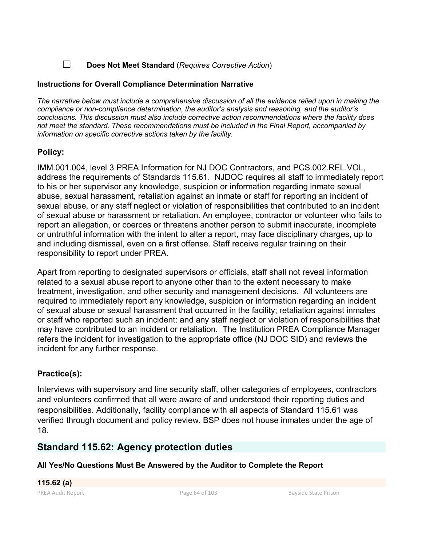# ☐ **Does Not Meet Standard** (*Requires Corrective Action*)

# **Instructions for Overall Compliance Determination Narrative**

*The narrative below must include a comprehensive discussion of all the evidence relied upon in making the compliance or non-compliance determination, the auditor's analysis and reasoning, and the auditor's conclusions. This discussion must also include corrective action recommendations where the facility does not meet the standard. These recommendations must be included in the Final Report, accompanied by information on specific corrective actions taken by the facility.*

# **Policy:**

IMM.001.004, level 3 PREA Information for NJ DOC Contractors, and PCS.002.REL.VOL, address the requirements of Standards 115.61. NJDOC requires all staff to immediately report to his or her supervisor any knowledge, suspicion or information regarding inmate sexual abuse, sexual harassment, retaliation against an inmate or staff for reporting an incident of sexual abuse, or any staff neglect or violation of responsibilities that contributed to an incident of sexual abuse or harassment or retaliation. An employee, contractor or volunteer who fails to report an allegation, or coerces or threatens another person to submit inaccurate, incomplete or untruthful information with the intent to alter a report, may face disciplinary charges, up to and including dismissal, even on a first offense. Staff receive regular training on their responsibility to report under PREA.

Apart from reporting to designated supervisors or officials, staff shall not reveal information related to a sexual abuse report to anyone other than to the extent necessary to make treatment, investigation, and other security and management decisions. All volunteers are required to immediately report any knowledge, suspicion or information regarding an incident of sexual abuse or sexual harassment that occurred in the facility; retaliation against inmates or staff who reported such an incident: and any staff neglect or violation of responsibilities that may have contributed to an incident or retaliation. The Institution PREA Compliance Manager refers the incident for investigation to the appropriate office (NJ DOC SID) and reviews the incident for any further response.

# **Practice(s):**

Interviews with supervisory and line security staff, other categories of employees, contractors and volunteers confirmed that all were aware of and understood their reporting duties and responsibilities. Additionally, facility compliance with all aspects of Standard 115.61 was verified through document and policy review. BSP does not house inmates under the age of 18.

# **Standard 115.62: Agency protection duties**

**All Yes/No Questions Must Be Answered by the Auditor to Complete the Report**

**115.62 (a)**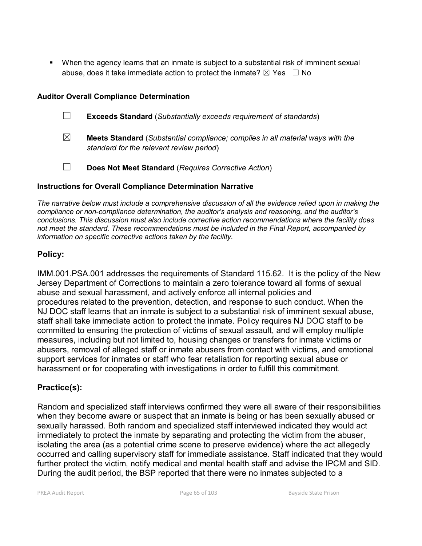When the agency learns that an inmate is subject to a substantial risk of imminent sexual abuse, does it take immediate action to protect the inmate?  $\boxtimes$  Yes  $\Box$  No

### **Auditor Overall Compliance Determination**

- ☐ **Exceeds Standard** (*Substantially exceeds requirement of standards*)
- ☒ **Meets Standard** (*Substantial compliance; complies in all material ways with the standard for the relevant review period*)
- ☐ **Does Not Meet Standard** (*Requires Corrective Action*)

### **Instructions for Overall Compliance Determination Narrative**

*The narrative below must include a comprehensive discussion of all the evidence relied upon in making the compliance or non-compliance determination, the auditor's analysis and reasoning, and the auditor's conclusions. This discussion must also include corrective action recommendations where the facility does not meet the standard. These recommendations must be included in the Final Report, accompanied by information on specific corrective actions taken by the facility.*

# **Policy:**

IMM.001.PSA.001 addresses the requirements of Standard 115.62. It is the policy of the New Jersey Department of Corrections to maintain a zero tolerance toward all forms of sexual abuse and sexual harassment, and actively enforce all internal policies and procedures related to the prevention, detection, and response to such conduct. When the NJ DOC staff learns that an inmate is subject to a substantial risk of imminent sexual abuse, staff shall take immediate action to protect the inmate. Policy requires NJ DOC staff to be committed to ensuring the protection of victims of sexual assault, and will employ multiple measures, including but not limited to, housing changes or transfers for inmate victims or abusers, removal of alleged staff or inmate abusers from contact with victims, and emotional support services for inmates or staff who fear retaliation for reporting sexual abuse or harassment or for cooperating with investigations in order to fulfill this commitment.

# **Practice(s):**

Random and specialized staff interviews confirmed they were all aware of their responsibilities when they become aware or suspect that an inmate is being or has been sexually abused or sexually harassed. Both random and specialized staff interviewed indicated they would act immediately to protect the inmate by separating and protecting the victim from the abuser, isolating the area (as a potential crime scene to preserve evidence) where the act allegedly occurred and calling supervisory staff for immediate assistance. Staff indicated that they would further protect the victim, notify medical and mental health staff and advise the IPCM and SID. During the audit period, the BSP reported that there were no inmates subjected to a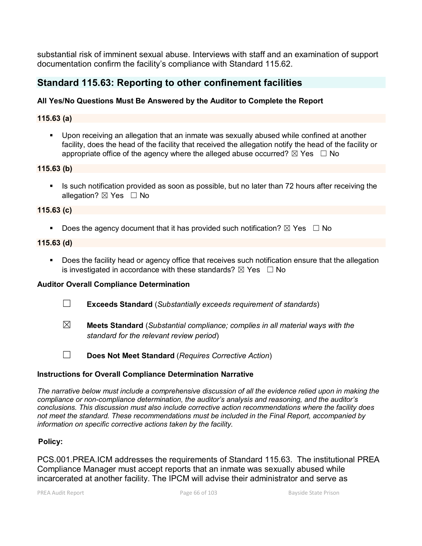substantial risk of imminent sexual abuse. Interviews with staff and an examination of support documentation confirm the facility's compliance with Standard 115.62.

# **Standard 115.63: Reporting to other confinement facilities**

# **All Yes/No Questions Must Be Answered by the Auditor to Complete the Report**

### **115.63 (a)**

 Upon receiving an allegation that an inmate was sexually abused while confined at another facility, does the head of the facility that received the allegation notify the head of the facility or appropriate office of the agency where the alleged abuse occurred?  $\boxtimes$  Yes  $\Box$  No

#### **115.63 (b)**

If Is such notification provided as soon as possible, but no later than 72 hours after receiving the allegation?  $\boxtimes$  Yes  $\Box$  No

#### **115.63 (c)**

Does the agency document that it has provided such notification?  $\boxtimes$  Yes  $\Box$  No

#### **115.63 (d)**

 Does the facility head or agency office that receives such notification ensure that the allegation is investigated in accordance with these standards?  $\boxtimes$  Yes  $\Box$  No

#### **Auditor Overall Compliance Determination**

- ☐ **Exceeds Standard** (*Substantially exceeds requirement of standards*)
- ☒ **Meets Standard** (*Substantial compliance; complies in all material ways with the standard for the relevant review period*)

☐ **Does Not Meet Standard** (*Requires Corrective Action*)

#### **Instructions for Overall Compliance Determination Narrative**

*The narrative below must include a comprehensive discussion of all the evidence relied upon in making the compliance or non-compliance determination, the auditor's analysis and reasoning, and the auditor's conclusions. This discussion must also include corrective action recommendations where the facility does not meet the standard. These recommendations must be included in the Final Report, accompanied by information on specific corrective actions taken by the facility.*

#### **Policy:**

PCS.001.PREA.ICM addresses the requirements of Standard 115.63. The institutional PREA Compliance Manager must accept reports that an inmate was sexually abused while incarcerated at another facility. The IPCM will advise their administrator and serve as

PREA Audit Report **Page 66 of 103** Bayside State Prison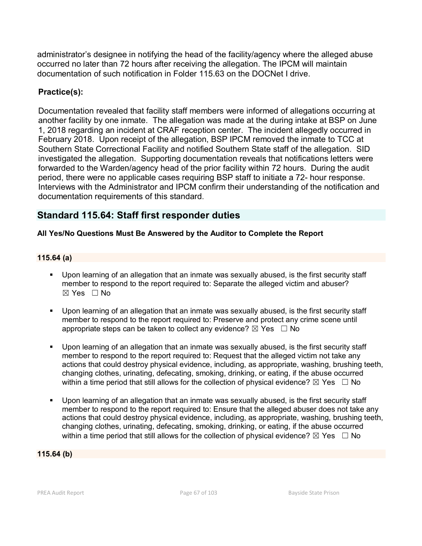administrator's designee in notifying the head of the facility/agency where the alleged abuse occurred no later than 72 hours after receiving the allegation. The IPCM will maintain documentation of such notification in Folder 115.63 on the DOCNet I drive.

# **Practice(s):**

Documentation revealed that facility staff members were informed of allegations occurring at another facility by one inmate. The allegation was made at the during intake at BSP on June 1, 2018 regarding an incident at CRAF reception center. The incident allegedly occurred in February 2018. Upon receipt of the allegation, BSP IPCM removed the inmate to TCC at Southern State Correctional Facility and notified Southern State staff of the allegation. SID investigated the allegation. Supporting documentation reveals that notifications letters were forwarded to the Warden/agency head of the prior facility within 72 hours. During the audit period, there were no applicable cases requiring BSP staff to initiate a 72- hour response. Interviews with the Administrator and IPCM confirm their understanding of the notification and documentation requirements of this standard.

# **Standard 115.64: Staff first responder duties**

# **All Yes/No Questions Must Be Answered by the Auditor to Complete the Report**

# **115.64 (a)**

- Upon learning of an allegation that an inmate was sexually abused, is the first security staff member to respond to the report required to: Separate the alleged victim and abuser? ☒ Yes ☐ No
- Upon learning of an allegation that an inmate was sexually abused, is the first security staff member to respond to the report required to: Preserve and protect any crime scene until appropriate steps can be taken to collect any evidence?  $\boxtimes$  Yes  $\Box$  No
- Upon learning of an allegation that an inmate was sexually abused, is the first security staff member to respond to the report required to: Request that the alleged victim not take any actions that could destroy physical evidence, including, as appropriate, washing, brushing teeth, changing clothes, urinating, defecating, smoking, drinking, or eating, if the abuse occurred within a time period that still allows for the collection of physical evidence?  $\boxtimes$  Yes  $\Box$  No
- Upon learning of an allegation that an inmate was sexually abused, is the first security staff member to respond to the report required to: Ensure that the alleged abuser does not take any actions that could destroy physical evidence, including, as appropriate, washing, brushing teeth, changing clothes, urinating, defecating, smoking, drinking, or eating, if the abuse occurred within a time period that still allows for the collection of physical evidence?  $\boxtimes$  Yes  $\Box$  No

#### **115.64 (b)**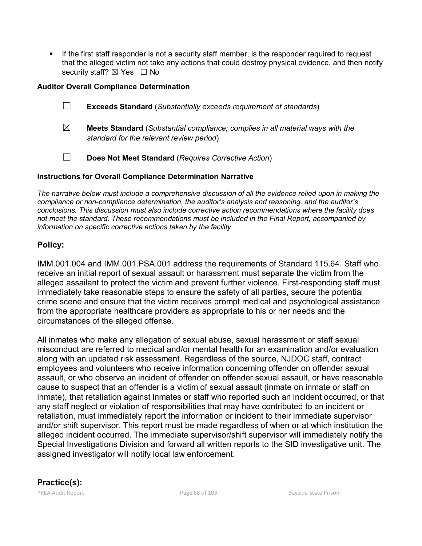If the first staff responder is not a security staff member, is the responder required to request that the alleged victim not take any actions that could destroy physical evidence, and then notify security staff?  $\boxtimes$  Yes  $\Box$  No

### **Auditor Overall Compliance Determination**

- ☐ **Exceeds Standard** (*Substantially exceeds requirement of standards*)
- ☒ **Meets Standard** (*Substantial compliance; complies in all material ways with the standard for the relevant review period*)
- ☐ **Does Not Meet Standard** (*Requires Corrective Action*)

### **Instructions for Overall Compliance Determination Narrative**

*The narrative below must include a comprehensive discussion of all the evidence relied upon in making the compliance or non-compliance determination, the auditor's analysis and reasoning, and the auditor's conclusions. This discussion must also include corrective action recommendations where the facility does not meet the standard. These recommendations must be included in the Final Report, accompanied by information on specific corrective actions taken by the facility.*

# **Policy:**

IMM.001.004 and IMM.001.PSA.001 address the requirements of Standard 115.64. Staff who receive an initial report of sexual assault or harassment must separate the victim from the alleged assailant to protect the victim and prevent further violence. First-responding staff must immediately take reasonable steps to ensure the safety of all parties, secure the potential crime scene and ensure that the victim receives prompt medical and psychological assistance from the appropriate healthcare providers as appropriate to his or her needs and the circumstances of the alleged offense.

All inmates who make any allegation of sexual abuse, sexual harassment or staff sexual misconduct are referred to medical and/or mental health for an examination and/or evaluation along with an updated risk assessment. Regardless of the source, NJDOC staff, contract employees and volunteers who receive information concerning offender on offender sexual assault, or who observe an incident of offender on offender sexual assault, or have reasonable cause to suspect that an offender is a victim of sexual assault (inmate on inmate or staff on inmate), that retaliation against inmates or staff who reported such an incident occurred, or that any staff neglect or violation of responsibilities that may have contributed to an incident or retaliation, must immediately report the information or incident to their immediate supervisor and/or shift supervisor. This report must be made regardless of when or at which institution the alleged incident occurred. The immediate supervisor/shift supervisor will immediately notify the Special Investigations Division and forward all written reports to the SID investigative unit. The assigned investigator will notify local law enforcement.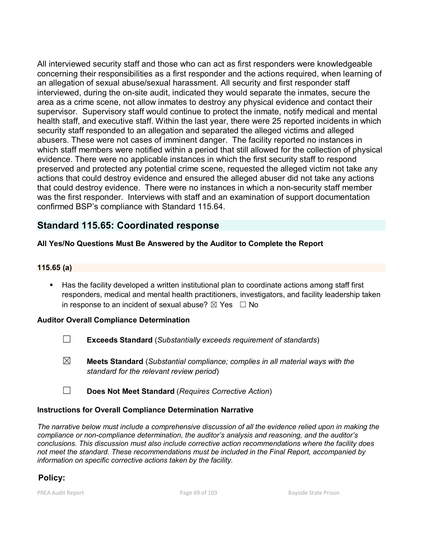All interviewed security staff and those who can act as first responders were knowledgeable concerning their responsibilities as a first responder and the actions required, when learning of an allegation of sexual abuse/sexual harassment. All security and first responder staff interviewed, during the on-site audit, indicated they would separate the inmates, secure the area as a crime scene, not allow inmates to destroy any physical evidence and contact their supervisor. Supervisory staff would continue to protect the inmate, notify medical and mental health staff, and executive staff. Within the last year, there were 25 reported incidents in which security staff responded to an allegation and separated the alleged victims and alleged abusers. These were not cases of imminent danger. The facility reported no instances in which staff members were notified within a period that still allowed for the collection of physical evidence. There were no applicable instances in which the first security staff to respond preserved and protected any potential crime scene, requested the alleged victim not take any actions that could destroy evidence and ensured the alleged abuser did not take any actions that could destroy evidence. There were no instances in which a non-security staff member was the first responder. Interviews with staff and an examination of support documentation confirmed BSP's compliance with Standard 115.64.

# **Standard 115.65: Coordinated response**

# **All Yes/No Questions Must Be Answered by the Auditor to Complete the Report**

# **115.65 (a)**

 Has the facility developed a written institutional plan to coordinate actions among staff first responders, medical and mental health practitioners, investigators, and facility leadership taken in response to an incident of sexual abuse?  $\boxtimes$  Yes  $\Box$  No

#### **Auditor Overall Compliance Determination**

- ☐ **Exceeds Standard** (*Substantially exceeds requirement of standards*)
- ☒ **Meets Standard** (*Substantial compliance; complies in all material ways with the standard for the relevant review period*)
- ☐ **Does Not Meet Standard** (*Requires Corrective Action*)

#### **Instructions for Overall Compliance Determination Narrative**

*The narrative below must include a comprehensive discussion of all the evidence relied upon in making the compliance or non-compliance determination, the auditor's analysis and reasoning, and the auditor's conclusions. This discussion must also include corrective action recommendations where the facility does not meet the standard. These recommendations must be included in the Final Report, accompanied by information on specific corrective actions taken by the facility.*

# **Policy:**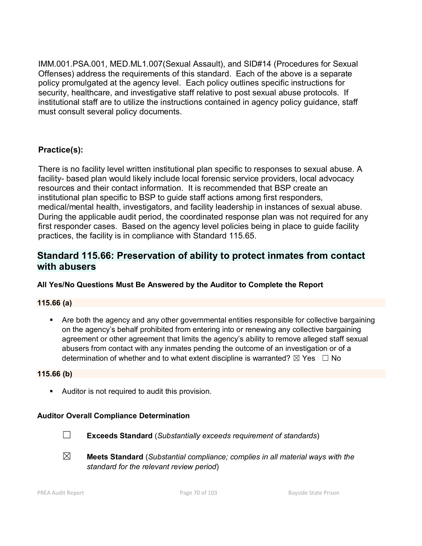IMM.001.PSA.001, MED.ML1.007(Sexual Assault), and SID#14 (Procedures for Sexual Offenses) address the requirements of this standard. Each of the above is a separate policy promulgated at the agency level. Each policy outlines specific instructions for security, healthcare, and investigative staff relative to post sexual abuse protocols. If institutional staff are to utilize the instructions contained in agency policy guidance, staff must consult several policy documents.

# **Practice(s):**

There is no facility level written institutional plan specific to responses to sexual abuse. A facility- based plan would likely include local forensic service providers, local advocacy resources and their contact information. It is recommended that BSP create an institutional plan specific to BSP to guide staff actions among first responders, medical/mental health, investigators, and facility leadership in instances of sexual abuse. During the applicable audit period, the coordinated response plan was not required for any first responder cases. Based on the agency level policies being in place to guide facility practices, the facility is in compliance with Standard 115.65.

# **Standard 115.66: Preservation of ability to protect inmates from contact with abusers**

# **All Yes/No Questions Must Be Answered by the Auditor to Complete the Report**

# **115.66 (a)**

 Are both the agency and any other governmental entities responsible for collective bargaining on the agency's behalf prohibited from entering into or renewing any collective bargaining agreement or other agreement that limits the agency's ability to remove alleged staff sexual abusers from contact with any inmates pending the outcome of an investigation or of a determination of whether and to what extent discipline is warranted?  $\boxtimes$  Yes  $\Box$  No

#### **115.66 (b)**

**Auditor is not required to audit this provision.** 

# **Auditor Overall Compliance Determination**



☐ **Exceeds Standard** (*Substantially exceeds requirement of standards*)

☒ **Meets Standard** (*Substantial compliance; complies in all material ways with the standard for the relevant review period*)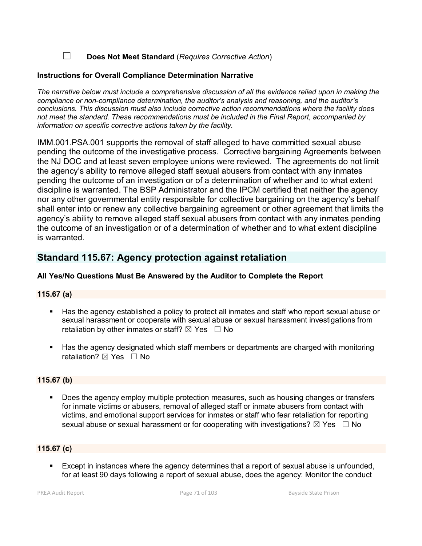☐ **Does Not Meet Standard** (*Requires Corrective Action*)

#### **Instructions for Overall Compliance Determination Narrative**

*The narrative below must include a comprehensive discussion of all the evidence relied upon in making the compliance or non-compliance determination, the auditor's analysis and reasoning, and the auditor's conclusions. This discussion must also include corrective action recommendations where the facility does not meet the standard. These recommendations must be included in the Final Report, accompanied by information on specific corrective actions taken by the facility.*

IMM.001.PSA.001 supports the removal of staff alleged to have committed sexual abuse pending the outcome of the investigative process. Corrective bargaining Agreements between the NJ DOC and at least seven employee unions were reviewed. The agreements do not limit the agency's ability to remove alleged staff sexual abusers from contact with any inmates pending the outcome of an investigation or of a determination of whether and to what extent discipline is warranted. The BSP Administrator and the IPCM certified that neither the agency nor any other governmental entity responsible for collective bargaining on the agency's behalf shall enter into or renew any collective bargaining agreement or other agreement that limits the agency's ability to remove alleged staff sexual abusers from contact with any inmates pending the outcome of an investigation or of a determination of whether and to what extent discipline is warranted.

# **Standard 115.67: Agency protection against retaliation**

#### **All Yes/No Questions Must Be Answered by the Auditor to Complete the Report**

#### **115.67 (a)**

- Has the agency established a policy to protect all inmates and staff who report sexual abuse or sexual harassment or cooperate with sexual abuse or sexual harassment investigations from retaliation by other inmates or staff?  $\boxtimes$  Yes  $\Box$  No
- Has the agency designated which staff members or departments are charged with monitoring retaliation? **⊠** Yes □ No

#### **115.67 (b)**

 Does the agency employ multiple protection measures, such as housing changes or transfers for inmate victims or abusers, removal of alleged staff or inmate abusers from contact with victims, and emotional support services for inmates or staff who fear retaliation for reporting sexual abuse or sexual harassment or for cooperating with investigations?  $\boxtimes$  Yes  $\Box$  No

# **115.67 (c)**

 Except in instances where the agency determines that a report of sexual abuse is unfounded, for at least 90 days following a report of sexual abuse, does the agency: Monitor the conduct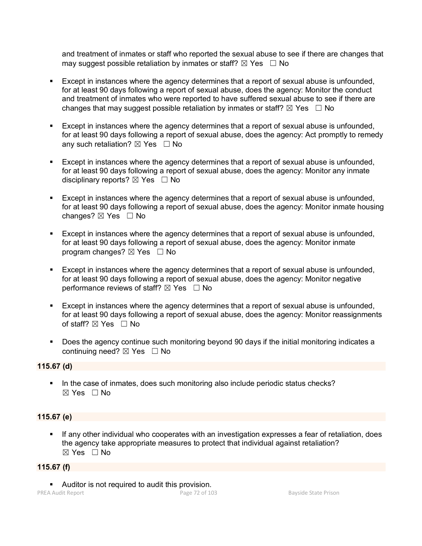and treatment of inmates or staff who reported the sexual abuse to see if there are changes that may suggest possible retaliation by inmates or staff?  $\boxtimes$  Yes  $\Box$  No

- Except in instances where the agency determines that a report of sexual abuse is unfounded, for at least 90 days following a report of sexual abuse, does the agency: Monitor the conduct and treatment of inmates who were reported to have suffered sexual abuse to see if there are changes that may suggest possible retaliation by inmates or staff?  $\boxtimes$  Yes  $\Box$  No
- Except in instances where the agency determines that a report of sexual abuse is unfounded, for at least 90 days following a report of sexual abuse, does the agency: Act promptly to remedy any such retaliation?  $\boxtimes$  Yes  $\Box$  No
- Except in instances where the agency determines that a report of sexual abuse is unfounded, for at least 90 days following a report of sexual abuse, does the agency: Monitor any inmate disciplinary reports?  $\boxtimes$  Yes  $\Box$  No
- **Except in instances where the agency determines that a report of sexual abuse is unfounded.** for at least 90 days following a report of sexual abuse, does the agency: Monitor inmate housing changes? ☒ Yes ☐ No
- Except in instances where the agency determines that a report of sexual abuse is unfounded, for at least 90 days following a report of sexual abuse, does the agency: Monitor inmate program changes?  $\boxtimes$  Yes  $\Box$  No
- Except in instances where the agency determines that a report of sexual abuse is unfounded, for at least 90 days following a report of sexual abuse, does the agency: Monitor negative performance reviews of staff?  $\boxtimes$  Yes  $\Box$  No
- Except in instances where the agency determines that a report of sexual abuse is unfounded, for at least 90 days following a report of sexual abuse, does the agency: Monitor reassignments of staff?  $\boxtimes$  Yes  $\Box$  No
- Does the agency continue such monitoring beyond 90 days if the initial monitoring indicates a continuing need?  $\boxtimes$  Yes  $\Box$  No

#### **115.67 (d)**

In the case of inmates, does such monitoring also include periodic status checks?  $\boxtimes$  Yes  $\Box$  No

#### **115.67 (e)**

 If any other individual who cooperates with an investigation expresses a fear of retaliation, does the agency take appropriate measures to protect that individual against retaliation? ☒ Yes ☐ No

#### **115.67 (f)**

Auditor is not required to audit this provision.

PREA Audit Report **Page 72 of 103** Bayside State Prison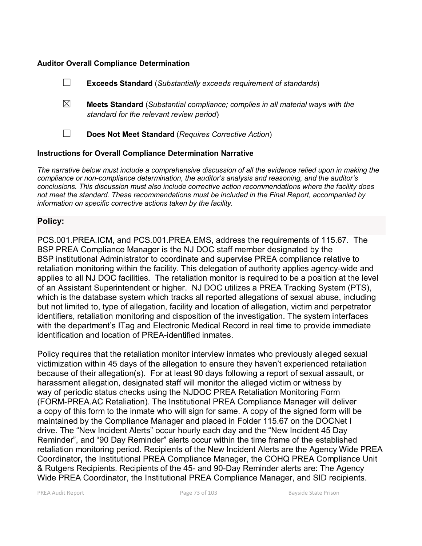#### **Auditor Overall Compliance Determination**

|             | <b>Exceeds Standard</b> (Substantially exceeds requirement of standards)                                                          |
|-------------|-----------------------------------------------------------------------------------------------------------------------------------|
| $\boxtimes$ | <b>Meets Standard</b> (Substantial compliance; complies in all material ways with the<br>standard for the relevant review period) |
|             | Does Not Meet Standard (Requires Corrective Action)                                                                               |
|             |                                                                                                                                   |

#### **Instructions for Overall Compliance Determination Narrative**

*The narrative below must include a comprehensive discussion of all the evidence relied upon in making the compliance or non-compliance determination, the auditor's analysis and reasoning, and the auditor's conclusions. This discussion must also include corrective action recommendations where the facility does not meet the standard. These recommendations must be included in the Final Report, accompanied by information on specific corrective actions taken by the facility.*

## **Policy:**

PCS.001.PREA.ICM, and PCS.001.PREA.EMS, address the requirements of 115.67. The BSP PREA Compliance Manager is the NJ DOC staff member designated by the BSP institutional Administrator to coordinate and supervise PREA compliance relative to retaliation monitoring within the facility. This delegation of authority applies agency-wide and applies to all NJ DOC facilities. The retaliation monitor is required to be a position at the level of an Assistant Superintendent or higher. NJ DOC utilizes a PREA Tracking System (PTS), which is the database system which tracks all reported allegations of sexual abuse, including but not limited to, type of allegation, facility and location of allegation, victim and perpetrator identifiers, retaliation monitoring and disposition of the investigation. The system interfaces with the department's ITag and Electronic Medical Record in real time to provide immediate identification and location of PREA-identified inmates.

Policy requires that the retaliation monitor interview inmates who previously alleged sexual victimization within 45 days of the allegation to ensure they haven't experienced retaliation because of their allegation(s). For at least 90 days following a report of sexual assault, or harassment allegation, designated staff will monitor the alleged victim or witness by way of periodic status checks using the NJDOC PREA Retaliation Monitoring Form (FORM-PREA.AC Retaliation). The Institutional PREA Compliance Manager will deliver a copy of this form to the inmate who will sign for same. A copy of the signed form will be maintained by the Compliance Manager and placed in Folder 115.67 on the DOCNet I drive. The "New Incident Alerts" occur hourly each day and the "New Incident 45 Day Reminder", and "90 Day Reminder" alerts occur within the time frame of the established retaliation monitoring period. Recipients of the New Incident Alerts are the Agency Wide PREA Coordinator**,** the Institutional PREA Compliance Manager, the COHQ PREA Compliance Unit & Rutgers Recipients. Recipients of the 45- and 90-Day Reminder alerts are: The Agency Wide PREA Coordinator, the Institutional PREA Compliance Manager, and SID recipients.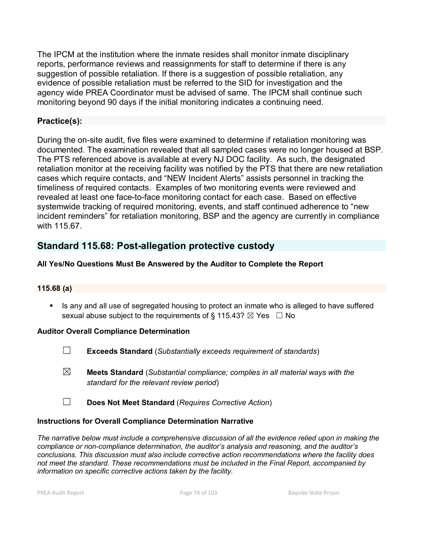The IPCM at the institution where the inmate resides shall monitor inmate disciplinary reports, performance reviews and reassignments for staff to determine if there is any suggestion of possible retaliation. If there is a suggestion of possible retaliation, any evidence of possible retaliation must be referred to the SID for investigation and the agency wide PREA Coordinator must be advised of same. The IPCM shall continue such monitoring beyond 90 days if the initial monitoring indicates a continuing need.

## **Practice(s):**

During the on-site audit, five files were examined to determine if retaliation monitoring was documented. The examination revealed that all sampled cases were no longer housed at BSP. The PTS referenced above is available at every NJ DOC facility. As such, the designated retaliation monitor at the receiving facility was notified by the PTS that there are new retaliation cases which require contacts, and "NEW Incident Alerts" assists personnel in tracking the timeliness of required contacts. Examples of two monitoring events were reviewed and revealed at least one face-to-face monitoring contact for each case. Based on effective systemwide tracking of required monitoring, events, and staff continued adherence to "new incident reminders" for retaliation monitoring, BSP and the agency are currently in compliance with 115.67.

# **Standard 115.68: Post-allegation protective custody**

## **All Yes/No Questions Must Be Answered by the Auditor to Complete the Report**

## **115.68 (a)**

**If all is any and all use of segregated housing to protect an inmate who is alleged to have suffered** sexual abuse subject to the requirements of § 115.43?  $\boxtimes$  Yes  $\Box$  No

## **Auditor Overall Compliance Determination**

- ☐ **Exceeds Standard** (*Substantially exceeds requirement of standards*)
- ☒ **Meets Standard** (*Substantial compliance; complies in all material ways with the standard for the relevant review period*)
- ☐ **Does Not Meet Standard** (*Requires Corrective Action*)

## **Instructions for Overall Compliance Determination Narrative**

*The narrative below must include a comprehensive discussion of all the evidence relied upon in making the compliance or non-compliance determination, the auditor's analysis and reasoning, and the auditor's conclusions. This discussion must also include corrective action recommendations where the facility does not meet the standard. These recommendations must be included in the Final Report, accompanied by information on specific corrective actions taken by the facility.*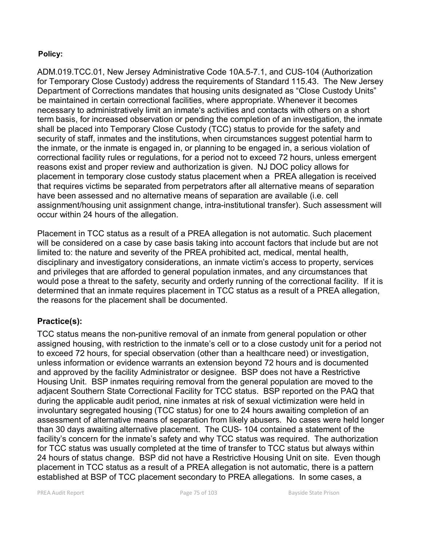## **Policy:**

ADM.019.TCC.01, New Jersey Administrative Code 10A.5-7.1, and CUS-104 (Authorization for Temporary Close Custody) address the requirements of Standard 115.43. The New Jersey Department of Corrections mandates that housing units designated as "Close Custody Units" be maintained in certain correctional facilities, where appropriate. Whenever it becomes necessary to administratively limit an inmate's activities and contacts with others on a short term basis, for increased observation or pending the completion of an investigation, the inmate shall be placed into Temporary Close Custody (TCC) status to provide for the safety and security of staff, inmates and the institutions, when circumstances suggest potential harm to the inmate, or the inmate is engaged in, or planning to be engaged in, a serious violation of correctional facility rules or regulations, for a period not to exceed 72 hours, unless emergent reasons exist and proper review and authorization is given. NJ DOC policy allows for placement in temporary close custody status placement when a PREA allegation is received that requires victims be separated from perpetrators after all alternative means of separation have been assessed and no alternative means of separation are available (i.e. cell assignment/housing unit assignment change, intra-institutional transfer). Such assessment will occur within 24 hours of the allegation.

Placement in TCC status as a result of a PREA allegation is not automatic. Such placement will be considered on a case by case basis taking into account factors that include but are not limited to: the nature and severity of the PREA prohibited act, medical, mental health, disciplinary and investigatory considerations, an inmate victim's access to property, services and privileges that are afforded to general population inmates, and any circumstances that would pose a threat to the safety, security and orderly running of the correctional facility. If it is determined that an inmate requires placement in TCC status as a result of a PREA allegation, the reasons for the placement shall be documented.

## **Practice(s):**

TCC status means the non-punitive removal of an inmate from general population or other assigned housing, with restriction to the inmate's cell or to a close custody unit for a period not to exceed 72 hours, for special observation (other than a healthcare need) or investigation, unless information or evidence warrants an extension beyond 72 hours and is documented and approved by the facility Administrator or designee. BSP does not have a Restrictive Housing Unit. BSP inmates requiring removal from the general population are moved to the adjacent Southern State Correctional Facility for TCC status. BSP reported on the PAQ that during the applicable audit period, nine inmates at risk of sexual victimization were held in involuntary segregated housing (TCC status) for one to 24 hours awaiting completion of an assessment of alternative means of separation from likely abusers. No cases were held longer than 30 days awaiting alternative placement. The CUS- 104 contained a statement of the facility's concern for the inmate's safety and why TCC status was required. The authorization for TCC status was usually completed at the time of transfer to TCC status but always within 24 hours of status change. BSP did not have a Restrictive Housing Unit on site. Even though placement in TCC status as a result of a PREA allegation is not automatic, there is a pattern established at BSP of TCC placement secondary to PREA allegations. In some cases, a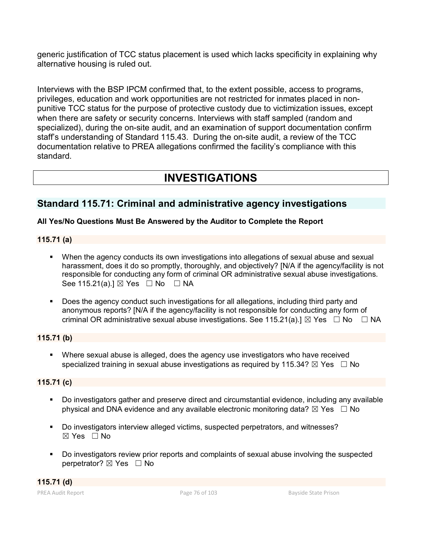generic justification of TCC status placement is used which lacks specificity in explaining why alternative housing is ruled out.

Interviews with the BSP IPCM confirmed that, to the extent possible, access to programs, privileges, education and work opportunities are not restricted for inmates placed in nonpunitive TCC status for the purpose of protective custody due to victimization issues, except when there are safety or security concerns. Interviews with staff sampled (random and specialized), during the on-site audit, and an examination of support documentation confirm staff's understanding of Standard 115.43. During the on-site audit, a review of the TCC documentation relative to PREA allegations confirmed the facility's compliance with this standard.

# **INVESTIGATIONS**

# **Standard 115.71: Criminal and administrative agency investigations**

## **All Yes/No Questions Must Be Answered by the Auditor to Complete the Report**

## **115.71 (a)**

- When the agency conducts its own investigations into allegations of sexual abuse and sexual harassment, does it do so promptly, thoroughly, and objectively? [N/A if the agency/facility is not responsible for conducting any form of criminal OR administrative sexual abuse investigations. See 115.21(a).]  $\boxtimes$  Yes  $\Box$  No  $\Box$  NA
- Does the agency conduct such investigations for all allegations, including third party and anonymous reports? [N/A if the agency/facility is not responsible for conducting any form of criminal OR administrative sexual abuse investigations. See 115.21(a).]  $\boxtimes$  Yes  $\Box$  No  $\Box$  NA

## **115.71 (b)**

 Where sexual abuse is alleged, does the agency use investigators who have received specialized training in sexual abuse investigations as required by 115.34?  $\boxtimes$  Yes  $\Box$  No

## **115.71 (c)**

- Do investigators gather and preserve direct and circumstantial evidence, including any available physical and DNA evidence and any available electronic monitoring data?  $\boxtimes$  Yes  $\Box$  No
- Do investigators interview alleged victims, suspected perpetrators, and witnesses?  $\boxtimes$  Yes  $\Box$  No
- Do investigators review prior reports and complaints of sexual abuse involving the suspected perpetrator? ⊠ Yes □ No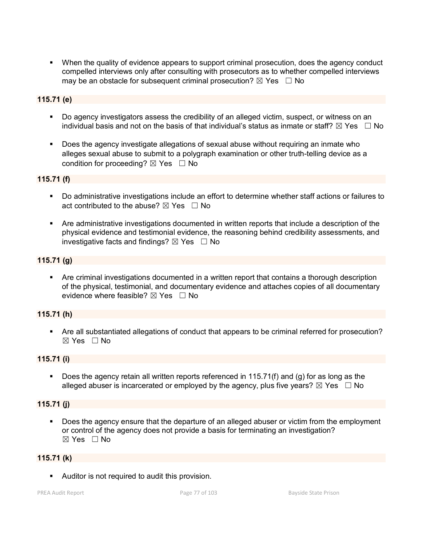When the quality of evidence appears to support criminal prosecution, does the agency conduct compelled interviews only after consulting with prosecutors as to whether compelled interviews may be an obstacle for subsequent criminal prosecution?  $\boxtimes$  Yes  $\Box$  No

## **115.71 (e)**

- Do agency investigators assess the credibility of an alleged victim, suspect, or witness on an individual basis and not on the basis of that individual's status as inmate or staff?  $\boxtimes$  Yes  $\;\;\Box$  No
- Does the agency investigate allegations of sexual abuse without requiring an inmate who alleges sexual abuse to submit to a polygraph examination or other truth-telling device as a condition for proceeding?  $\boxtimes$  Yes  $\Box$  No

#### **115.71 (f)**

- Do administrative investigations include an effort to determine whether staff actions or failures to act contributed to the abuse?  $\boxtimes$  Yes  $\Box$  No
- Are administrative investigations documented in written reports that include a description of the physical evidence and testimonial evidence, the reasoning behind credibility assessments, and investigative facts and findings?  $\boxtimes$  Yes  $\Box$  No

#### **115.71 (g)**

 Are criminal investigations documented in a written report that contains a thorough description of the physical, testimonial, and documentary evidence and attaches copies of all documentary evidence where feasible?  $\boxtimes$  Yes  $\Box$  No

#### **115.71 (h)**

 Are all substantiated allegations of conduct that appears to be criminal referred for prosecution?  $\boxtimes$  Yes  $\Box$  No

#### **115.71 (i)**

Does the agency retain all written reports referenced in 115.71(f) and (g) for as long as the alleged abuser is incarcerated or employed by the agency, plus five years?  $\boxtimes$  Yes  $\Box$  No

#### **115.71 (j)**

Does the agency ensure that the departure of an alleged abuser or victim from the employment or control of the agency does not provide a basis for terminating an investigation? ☒ Yes ☐ No

#### **115.71 (k)**

Auditor is not required to audit this provision.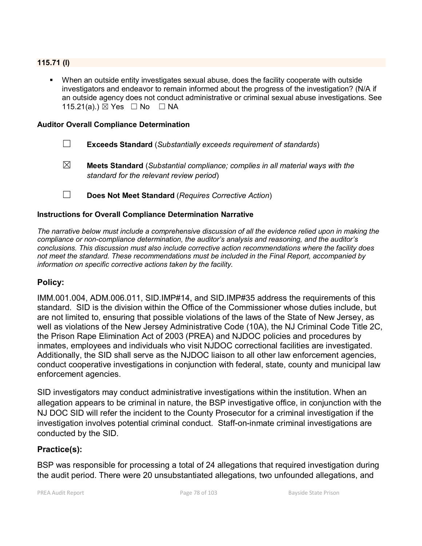## **115.71 (l)**

 When an outside entity investigates sexual abuse, does the facility cooperate with outside investigators and endeavor to remain informed about the progress of the investigation? (N/A if an outside agency does not conduct administrative or criminal sexual abuse investigations. See 115.21(a).) ⊠ Yes □ No □ NA

#### **Auditor Overall Compliance Determination**

- ☐ **Exceeds Standard** (*Substantially exceeds requirement of standards*)
- ☒ **Meets Standard** (*Substantial compliance; complies in all material ways with the standard for the relevant review period*)
- ☐ **Does Not Meet Standard** (*Requires Corrective Action*)

#### **Instructions for Overall Compliance Determination Narrative**

*The narrative below must include a comprehensive discussion of all the evidence relied upon in making the compliance or non-compliance determination, the auditor's analysis and reasoning, and the auditor's conclusions. This discussion must also include corrective action recommendations where the facility does not meet the standard. These recommendations must be included in the Final Report, accompanied by information on specific corrective actions taken by the facility.*

## **Policy:**

IMM.001.004, ADM.006.011, SID.IMP#14, and SID.IMP#35 address the requirements of this standard. SID is the division within the Office of the Commissioner whose duties include, but are not limited to, ensuring that possible violations of the laws of the State of New Jersey, as well as violations of the New Jersey Administrative Code (10A), the NJ Criminal Code Title 2C, the Prison Rape Elimination Act of 2003 (PREA) and NJDOC policies and procedures by inmates, employees and individuals who visit NJDOC correctional facilities are investigated. Additionally, the SID shall serve as the NJDOC liaison to all other law enforcement agencies, conduct cooperative investigations in conjunction with federal, state, county and municipal law enforcement agencies.

SID investigators may conduct administrative investigations within the institution. When an allegation appears to be criminal in nature, the BSP investigative office, in conjunction with the NJ DOC SID will refer the incident to the County Prosecutor for a criminal investigation if the investigation involves potential criminal conduct. Staff-on-inmate criminal investigations are conducted by the SID.

## **Practice(s):**

BSP was responsible for processing a total of 24 allegations that required investigation during the audit period. There were 20 unsubstantiated allegations, two unfounded allegations, and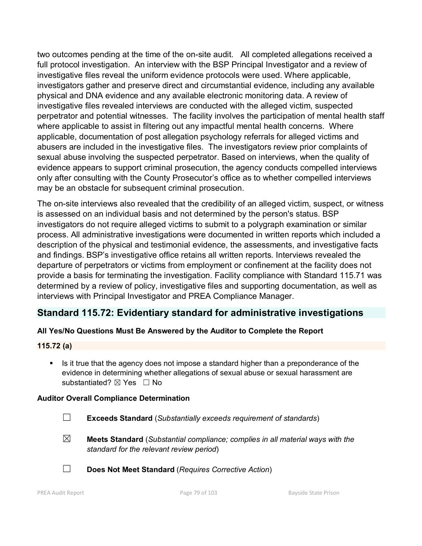two outcomes pending at the time of the on-site audit. All completed allegations received a full protocol investigation. An interview with the BSP Principal Investigator and a review of investigative files reveal the uniform evidence protocols were used. Where applicable, investigators gather and preserve direct and circumstantial evidence, including any available physical and DNA evidence and any available electronic monitoring data. A review of investigative files revealed interviews are conducted with the alleged victim, suspected perpetrator and potential witnesses. The facility involves the participation of mental health staff where applicable to assist in filtering out any impactful mental health concerns. Where applicable, documentation of post allegation psychology referrals for alleged victims and abusers are included in the investigative files. The investigators review prior complaints of sexual abuse involving the suspected perpetrator. Based on interviews, when the quality of evidence appears to support criminal prosecution, the agency conducts compelled interviews only after consulting with the County Prosecutor's office as to whether compelled interviews may be an obstacle for subsequent criminal prosecution.

The on-site interviews also revealed that the credibility of an alleged victim, suspect, or witness is assessed on an individual basis and not determined by the person's status. BSP investigators do not require alleged victims to submit to a polygraph examination or similar process. All administrative investigations were documented in written reports which included a description of the physical and testimonial evidence, the assessments, and investigative facts and findings. BSP's investigative office retains all written reports. Interviews revealed the departure of perpetrators or victims from employment or confinement at the facility does not provide a basis for terminating the investigation. Facility compliance with Standard 115.71 was determined by a review of policy, investigative files and supporting documentation, as well as interviews with Principal Investigator and PREA Compliance Manager.

# **Standard 115.72: Evidentiary standard for administrative investigations**

## **All Yes/No Questions Must Be Answered by the Auditor to Complete the Report**

## **115.72 (a)**

Is it true that the agency does not impose a standard higher than a preponderance of the evidence in determining whether allegations of sexual abuse or sexual harassment are substantiated? ⊠ Yes □ No

## **Auditor Overall Compliance Determination**

- ☐ **Exceeds Standard** (*Substantially exceeds requirement of standards*)
- ☒ **Meets Standard** (*Substantial compliance; complies in all material ways with the standard for the relevant review period*)
- ☐ **Does Not Meet Standard** (*Requires Corrective Action*)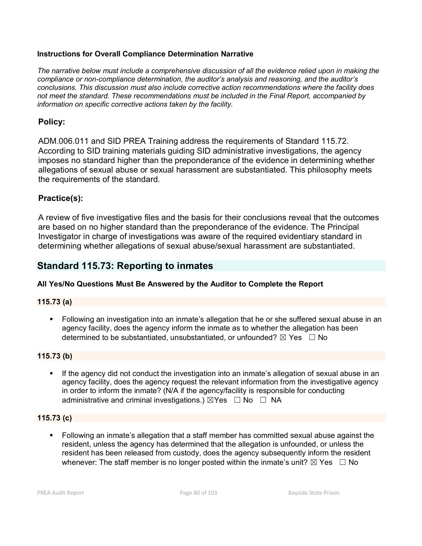## **Instructions for Overall Compliance Determination Narrative**

*The narrative below must include a comprehensive discussion of all the evidence relied upon in making the compliance or non-compliance determination, the auditor's analysis and reasoning, and the auditor's conclusions. This discussion must also include corrective action recommendations where the facility does not meet the standard. These recommendations must be included in the Final Report, accompanied by information on specific corrective actions taken by the facility.*

## **Policy:**

ADM.006.011 and SID PREA Training address the requirements of Standard 115.72. According to SID training materials guiding SID administrative investigations, the agency imposes no standard higher than the preponderance of the evidence in determining whether allegations of sexual abuse or sexual harassment are substantiated. This philosophy meets the requirements of the standard.

## **Practice(s):**

A review of five investigative files and the basis for their conclusions reveal that the outcomes are based on no higher standard than the preponderance of the evidence. The Principal Investigator in charge of investigations was aware of the required evidentiary standard in determining whether allegations of sexual abuse/sexual harassment are substantiated.

# **Standard 115.73: Reporting to inmates**

## **All Yes/No Questions Must Be Answered by the Auditor to Complete the Report**

## **115.73 (a)**

 Following an investigation into an inmate's allegation that he or she suffered sexual abuse in an agency facility, does the agency inform the inmate as to whether the allegation has been determined to be substantiated, unsubstantiated, or unfounded?  $\boxtimes$  Yes  $\Box$  No

## **115.73 (b)**

 If the agency did not conduct the investigation into an inmate's allegation of sexual abuse in an agency facility, does the agency request the relevant information from the investigative agency in order to inform the inmate? (N/A if the agency/facility is responsible for conducting administrative and criminal investigations.)  $\boxtimes$ Yes  $\Box$  No  $\Box$  NA

## **115.73 (c)**

 Following an inmate's allegation that a staff member has committed sexual abuse against the resident, unless the agency has determined that the allegation is unfounded, or unless the resident has been released from custody, does the agency subsequently inform the resident whenever: The staff member is no longer posted within the inmate's unit?  $\boxtimes$  Yes  $\Box$  No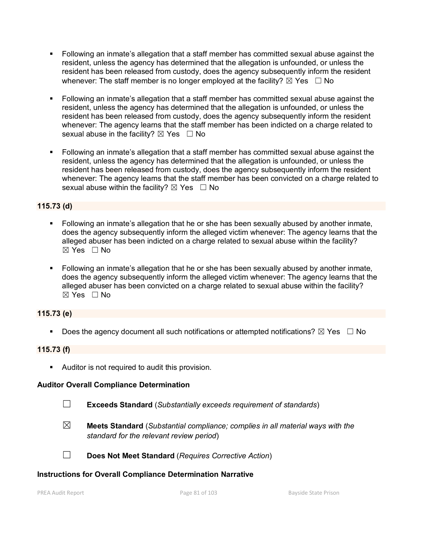- Following an inmate's allegation that a staff member has committed sexual abuse against the resident, unless the agency has determined that the allegation is unfounded, or unless the resident has been released from custody, does the agency subsequently inform the resident whenever: The staff member is no longer employed at the facility?  $\boxtimes$  Yes  $\Box$  No
- Following an inmate's allegation that a staff member has committed sexual abuse against the resident, unless the agency has determined that the allegation is unfounded, or unless the resident has been released from custody, does the agency subsequently inform the resident whenever: The agency learns that the staff member has been indicted on a charge related to sexual abuse in the facility?  $\boxtimes$  Yes  $\Box$  No
- Following an inmate's allegation that a staff member has committed sexual abuse against the resident, unless the agency has determined that the allegation is unfounded, or unless the resident has been released from custody, does the agency subsequently inform the resident whenever: The agency learns that the staff member has been convicted on a charge related to sexual abuse within the facility?  $\boxtimes$  Yes  $\Box$  No

## **115.73 (d)**

- Following an inmate's allegation that he or she has been sexually abused by another inmate, does the agency subsequently inform the alleged victim whenever: The agency learns that the alleged abuser has been indicted on a charge related to sexual abuse within the facility?  $\boxtimes$  Yes  $\Box$  No
- Following an inmate's allegation that he or she has been sexually abused by another inmate, does the agency subsequently inform the alleged victim whenever: The agency learns that the alleged abuser has been convicted on a charge related to sexual abuse within the facility?  $\boxtimes$  Yes  $\Box$  No

## **115.73 (e)**

Does the agency document all such notifications or attempted notifications?  $\boxtimes$  Yes  $\Box$  No

## **115.73 (f)**

**Auditor is not required to audit this provision.** 

## **Auditor Overall Compliance Determination**

- ☐ **Exceeds Standard** (*Substantially exceeds requirement of standards*)
- ☒ **Meets Standard** (*Substantial compliance; complies in all material ways with the standard for the relevant review period*)
- ☐ **Does Not Meet Standard** (*Requires Corrective Action*)

## **Instructions for Overall Compliance Determination Narrative**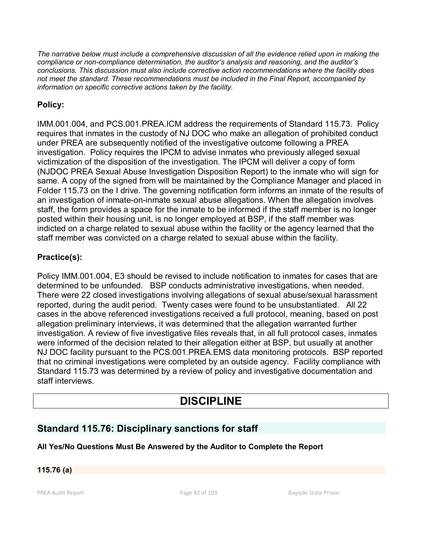*The narrative below must include a comprehensive discussion of all the evidence relied upon in making the compliance or non-compliance determination, the auditor's analysis and reasoning, and the auditor's conclusions. This discussion must also include corrective action recommendations where the facility does not meet the standard. These recommendations must be included in the Final Report, accompanied by information on specific corrective actions taken by the facility.*

# **Policy:**

IMM.001.004, and PCS.001.PREA.ICM address the requirements of Standard 115.73. Policy requires that inmates in the custody of NJ DOC who make an allegation of prohibited conduct under PREA are subsequently notified of the investigative outcome following a PREA investigation. Policy requires the IPCM to advise inmates who previously alleged sexual victimization of the disposition of the investigation. The IPCM will deliver a copy of form (NJDOC PREA Sexual Abuse Investigation Disposition Report) to the inmate who will sign for same. A copy of the signed from will be maintained by the Compliance Manager and placed in Folder 115.73 on the I drive. The governing notification form informs an inmate of the results of an investigation of inmate-on-inmate sexual abuse allegations. When the allegation involves staff, the form provides a space for the inmate to be informed if the staff member is no longer posted within their housing unit, is no longer employed at BSP, if the staff member was indicted on a charge related to sexual abuse within the facility or the agency learned that the staff member was convicted on a charge related to sexual abuse within the facility.

# **Practice(s):**

Policy IMM.001.004, E3 should be revised to include notification to inmates for cases that are determined to be unfounded. BSP conducts administrative investigations, when needed. There were 22 closed investigations involving allegations of sexual abuse/sexual harassment reported, during the audit period. Twenty cases were found to be unsubstantiated. All 22 cases in the above referenced investigations received a full protocol, meaning, based on post allegation preliminary interviews, it was determined that the allegation warranted further investigation. A review of five investigative files reveals that, in all full protocol cases, inmates were informed of the decision related to their allegation either at BSP, but usually at another NJ DOC facility pursuant to the PCS.001.PREA.EMS data monitoring protocols. BSP reported that no criminal investigations were completed by an outside agency. Facility compliance with Standard 115.73 was determined by a review of policy and investigative documentation and staff interviews.

# **DISCIPLINE**

# **Standard 115.76: Disciplinary sanctions for staff**

## **All Yes/No Questions Must Be Answered by the Auditor to Complete the Report**

## **115.76 (a)**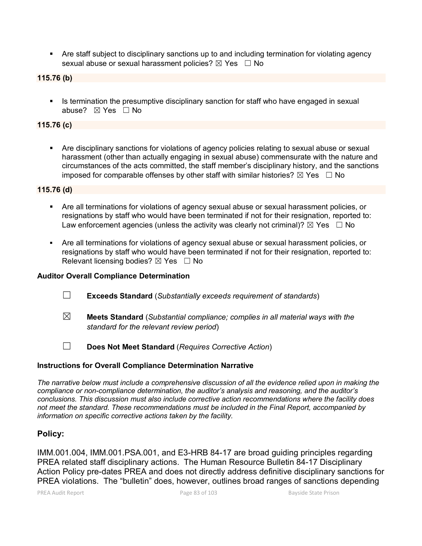Are staff subject to disciplinary sanctions up to and including termination for violating agency sexual abuse or sexual harassment policies?  $\boxtimes$  Yes  $\Box$  No

**115.76 (b)**

Is termination the presumptive disciplinary sanction for staff who have engaged in sexual abuse? ☒ Yes ☐ No

## **115.76 (c)**

 Are disciplinary sanctions for violations of agency policies relating to sexual abuse or sexual harassment (other than actually engaging in sexual abuse) commensurate with the nature and circumstances of the acts committed, the staff member's disciplinary history, and the sanctions imposed for comparable offenses by other staff with similar histories?  $\boxtimes$  Yes  $\Box$  No

#### **115.76 (d)**

- Are all terminations for violations of agency sexual abuse or sexual harassment policies, or resignations by staff who would have been terminated if not for their resignation, reported to: Law enforcement agencies (unless the activity was clearly not criminal)?  $\boxtimes$  Yes  $\Box$  No
- Are all terminations for violations of agency sexual abuse or sexual harassment policies, or resignations by staff who would have been terminated if not for their resignation, reported to: Relevant licensing bodies?  $\boxtimes$  Yes  $\Box$  No

#### **Auditor Overall Compliance Determination**

- ☐ **Exceeds Standard** (*Substantially exceeds requirement of standards*)
- ☒ **Meets Standard** (*Substantial compliance; complies in all material ways with the standard for the relevant review period*)
- ☐ **Does Not Meet Standard** (*Requires Corrective Action*)

## **Instructions for Overall Compliance Determination Narrative**

*The narrative below must include a comprehensive discussion of all the evidence relied upon in making the compliance or non-compliance determination, the auditor's analysis and reasoning, and the auditor's conclusions. This discussion must also include corrective action recommendations where the facility does not meet the standard. These recommendations must be included in the Final Report, accompanied by information on specific corrective actions taken by the facility.*

## **Policy:**

IMM.001.004, IMM.001.PSA.001, and E3-HRB 84-17 are broad guiding principles regarding PREA related staff disciplinary actions. The Human Resource Bulletin 84-17 Disciplinary Action Policy pre-dates PREA and does not directly address definitive disciplinary sanctions for PREA violations. The "bulletin" does, however, outlines broad ranges of sanctions depending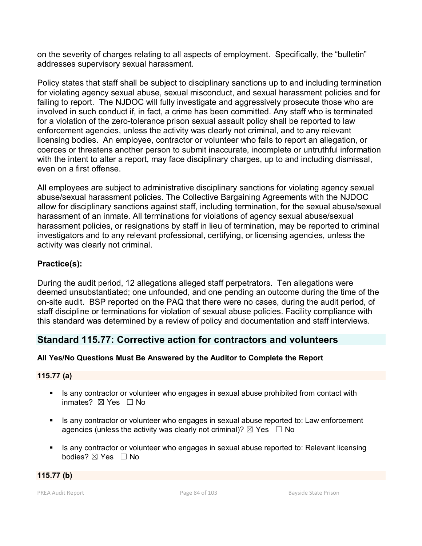on the severity of charges relating to all aspects of employment. Specifically, the "bulletin" addresses supervisory sexual harassment.

Policy states that staff shall be subject to disciplinary sanctions up to and including termination for violating agency sexual abuse, sexual misconduct, and sexual harassment policies and for failing to report. The NJDOC will fully investigate and aggressively prosecute those who are involved in such conduct if, in fact, a crime has been committed. Any staff who is terminated for a violation of the zero-tolerance prison sexual assault policy shall be reported to law enforcement agencies, unless the activity was clearly not criminal, and to any relevant licensing bodies. An employee, contractor or volunteer who fails to report an allegation, or coerces or threatens another person to submit inaccurate, incomplete or untruthful information with the intent to alter a report, may face disciplinary charges, up to and including dismissal, even on a first offense.

All employees are subject to administrative disciplinary sanctions for violating agency sexual abuse/sexual harassment policies. The Collective Bargaining Agreements with the NJDOC allow for disciplinary sanctions against staff, including termination, for the sexual abuse/sexual harassment of an inmate. All terminations for violations of agency sexual abuse/sexual harassment policies, or resignations by staff in lieu of termination, may be reported to criminal investigators and to any relevant professional, certifying, or licensing agencies, unless the activity was clearly not criminal.

## **Practice(s):**

During the audit period, 12 allegations alleged staff perpetrators. Ten allegations were deemed unsubstantiated; one unfounded, and one pending an outcome during the time of the on-site audit. BSP reported on the PAQ that there were no cases, during the audit period, of staff discipline or terminations for violation of sexual abuse policies. Facility compliance with this standard was determined by a review of policy and documentation and staff interviews.

# **Standard 115.77: Corrective action for contractors and volunteers**

## **All Yes/No Questions Must Be Answered by the Auditor to Complete the Report**

## **115.77 (a)**

- Is any contractor or volunteer who engages in sexual abuse prohibited from contact with inmates? ⊠ Yes □ No
- Is any contractor or volunteer who engages in sexual abuse reported to: Law enforcement agencies (unless the activity was clearly not criminal)?  $\boxtimes$  Yes  $\Box$  No
- Is any contractor or volunteer who engages in sexual abuse reported to: Relevant licensing bodies? ⊠ Yes □ No

## **115.77 (b)**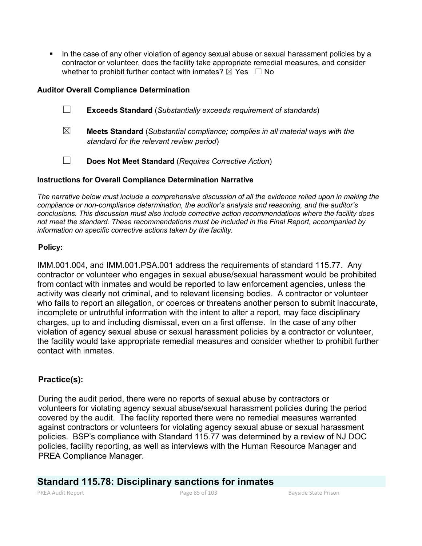In the case of any other violation of agency sexual abuse or sexual harassment policies by a contractor or volunteer, does the facility take appropriate remedial measures, and consider whether to prohibit further contact with inmates?  $\boxtimes$  Yes  $\Box$  No

## **Auditor Overall Compliance Determination**

- ☐ **Exceeds Standard** (*Substantially exceeds requirement of standards*)
- ☒ **Meets Standard** (*Substantial compliance; complies in all material ways with the standard for the relevant review period*)
- ☐ **Does Not Meet Standard** (*Requires Corrective Action*)

## **Instructions for Overall Compliance Determination Narrative**

*The narrative below must include a comprehensive discussion of all the evidence relied upon in making the compliance or non-compliance determination, the auditor's analysis and reasoning, and the auditor's conclusions. This discussion must also include corrective action recommendations where the facility does not meet the standard. These recommendations must be included in the Final Report, accompanied by information on specific corrective actions taken by the facility.*

## **Policy:**

IMM.001.004, and IMM.001.PSA.001 address the requirements of standard 115.77. Any contractor or volunteer who engages in sexual abuse/sexual harassment would be prohibited from contact with inmates and would be reported to law enforcement agencies, unless the activity was clearly not criminal, and to relevant licensing bodies. A contractor or volunteer who fails to report an allegation, or coerces or threatens another person to submit inaccurate, incomplete or untruthful information with the intent to alter a report, may face disciplinary charges, up to and including dismissal, even on a first offense. In the case of any other violation of agency sexual abuse or sexual harassment policies by a contractor or volunteer, the facility would take appropriate remedial measures and consider whether to prohibit further contact with inmates.

## **Practice(s):**

During the audit period, there were no reports of sexual abuse by contractors or volunteers for violating agency sexual abuse/sexual harassment policies during the period covered by the audit. The facility reported there were no remedial measures warranted against contractors or volunteers for violating agency sexual abuse or sexual harassment policies. BSP's compliance with Standard 115.77 was determined by a review of NJ DOC policies, facility reporting, as well as interviews with the Human Resource Manager and PREA Compliance Manager.

## **Standard 115.78: Disciplinary sanctions for inmates**

PREA Audit Report **Page 85 of 103** Bayside State Prison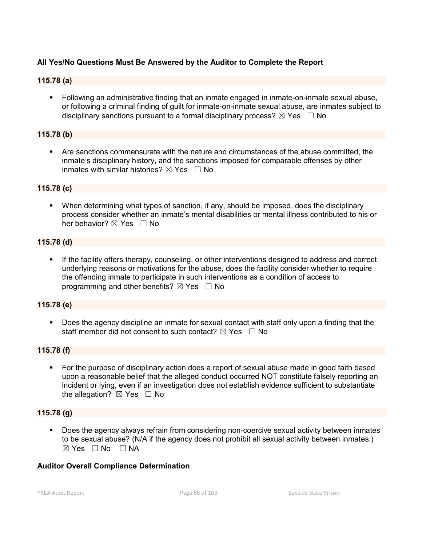## **All Yes/No Questions Must Be Answered by the Auditor to Complete the Report**

#### **115.78 (a)**

 Following an administrative finding that an inmate engaged in inmate-on-inmate sexual abuse, or following a criminal finding of guilt for inmate-on-inmate sexual abuse, are inmates subject to disciplinary sanctions pursuant to a formal disciplinary process?  $\boxtimes$  Yes  $\Box$  No

#### **115.78 (b)**

 Are sanctions commensurate with the nature and circumstances of the abuse committed, the inmate's disciplinary history, and the sanctions imposed for comparable offenses by other inmates with similar histories?  $\boxtimes$  Yes  $\Box$  No

#### **115.78 (c)**

 When determining what types of sanction, if any, should be imposed, does the disciplinary process consider whether an inmate's mental disabilities or mental illness contributed to his or her behavior? ⊠ Yes □ No

#### **115.78 (d)**

 If the facility offers therapy, counseling, or other interventions designed to address and correct underlying reasons or motivations for the abuse, does the facility consider whether to require the offending inmate to participate in such interventions as a condition of access to programming and other benefits?  $\boxtimes$  Yes  $\Box$  No

#### **115.78 (e)**

 Does the agency discipline an inmate for sexual contact with staff only upon a finding that the staff member did not consent to such contact?  $\boxtimes$  Yes  $\Box$  No

#### **115.78 (f)**

 For the purpose of disciplinary action does a report of sexual abuse made in good faith based upon a reasonable belief that the alleged conduct occurred NOT constitute falsely reporting an incident or lying, even if an investigation does not establish evidence sufficient to substantiate the allegation?  $\boxtimes$  Yes  $\Box$  No

#### **115.78 (g)**

 Does the agency always refrain from considering non-coercive sexual activity between inmates to be sexual abuse? (N/A if the agency does not prohibit all sexual activity between inmates.)  $\boxtimes$  Yes  $\Box$  No  $\Box$  NA

#### **Auditor Overall Compliance Determination**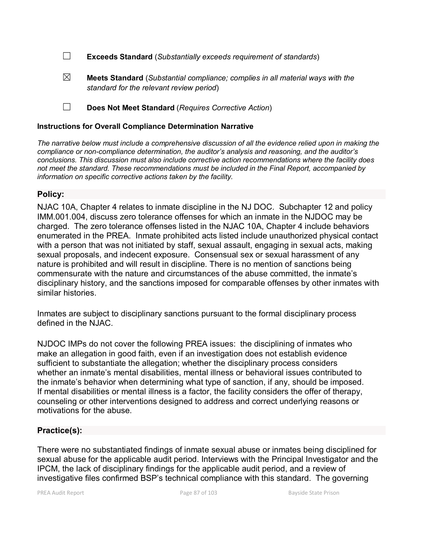☐ **Exceeds Standard** (*Substantially exceeds requirement of standards*)

- ☒ **Meets Standard** (*Substantial compliance; complies in all material ways with the standard for the relevant review period*)
- ☐ **Does Not Meet Standard** (*Requires Corrective Action*)

## **Instructions for Overall Compliance Determination Narrative**

*The narrative below must include a comprehensive discussion of all the evidence relied upon in making the compliance or non-compliance determination, the auditor's analysis and reasoning, and the auditor's conclusions. This discussion must also include corrective action recommendations where the facility does not meet the standard. These recommendations must be included in the Final Report, accompanied by information on specific corrective actions taken by the facility.*

## **Policy:**

NJAC 10A, Chapter 4 relates to inmate discipline in the NJ DOC. Subchapter 12 and policy IMM.001.004, discuss zero tolerance offenses for which an inmate in the NJDOC may be charged. The zero tolerance offenses listed in the NJAC 10A, Chapter 4 include behaviors enumerated in the PREA. Inmate prohibited acts listed include unauthorized physical contact with a person that was not initiated by staff, sexual assault, engaging in sexual acts, making sexual proposals, and indecent exposure. Consensual sex or sexual harassment of any nature is prohibited and will result in discipline. There is no mention of sanctions being commensurate with the nature and circumstances of the abuse committed, the inmate's disciplinary history, and the sanctions imposed for comparable offenses by other inmates with similar histories.

Inmates are subject to disciplinary sanctions pursuant to the formal disciplinary process defined in the NJAC.

NJDOC IMPs do not cover the following PREA issues: the disciplining of inmates who make an allegation in good faith, even if an investigation does not establish evidence sufficient to substantiate the allegation; whether the disciplinary process considers whether an inmate's mental disabilities, mental illness or behavioral issues contributed to the inmate's behavior when determining what type of sanction, if any, should be imposed. If mental disabilities or mental illness is a factor, the facility considers the offer of therapy, counseling or other interventions designed to address and correct underlying reasons or motivations for the abuse.

## **Practice(s):**

There were no substantiated findings of inmate sexual abuse or inmates being disciplined for sexual abuse for the applicable audit period. Interviews with the Principal Investigator and the IPCM, the lack of disciplinary findings for the applicable audit period, and a review of investigative files confirmed BSP's technical compliance with this standard. The governing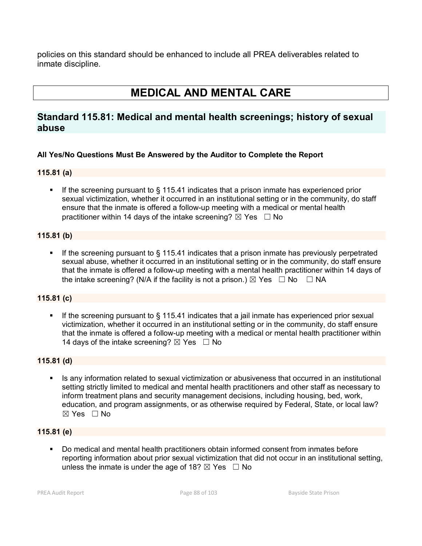policies on this standard should be enhanced to include all PREA deliverables related to inmate discipline.

# **MEDICAL AND MENTAL CARE**

# **Standard 115.81: Medical and mental health screenings; history of sexual abuse**

## **All Yes/No Questions Must Be Answered by the Auditor to Complete the Report**

## **115.81 (a)**

If the screening pursuant to  $\S$  115.41 indicates that a prison inmate has experienced prior sexual victimization, whether it occurred in an institutional setting or in the community, do staff ensure that the inmate is offered a follow-up meeting with a medical or mental health practitioner within 14 days of the intake screening?  $\boxtimes$  Yes  $\Box$  No

#### **115.81 (b)**

If the screening pursuant to  $\S$  115.41 indicates that a prison inmate has previously perpetrated sexual abuse, whether it occurred in an institutional setting or in the community, do staff ensure that the inmate is offered a follow-up meeting with a mental health practitioner within 14 days of the intake screening? (N/A if the facility is not a prison.)  $\boxtimes$  Yes  $\Box$  No  $\Box$  NA

## **115.81 (c)**

If the screening pursuant to § 115.41 indicates that a jail inmate has experienced prior sexual victimization, whether it occurred in an institutional setting or in the community, do staff ensure that the inmate is offered a follow-up meeting with a medical or mental health practitioner within 14 days of the intake screening?  $\boxtimes$  Yes  $\Box$  No

#### **115.81 (d)**

 Is any information related to sexual victimization or abusiveness that occurred in an institutional setting strictly limited to medical and mental health practitioners and other staff as necessary to inform treatment plans and security management decisions, including housing, bed, work, education, and program assignments, or as otherwise required by Federal, State, or local law? ☒ Yes ☐ No

#### **115.81 (e)**

 Do medical and mental health practitioners obtain informed consent from inmates before reporting information about prior sexual victimization that did not occur in an institutional setting, unless the inmate is under the age of 18?  $\boxtimes$  Yes  $\Box$  No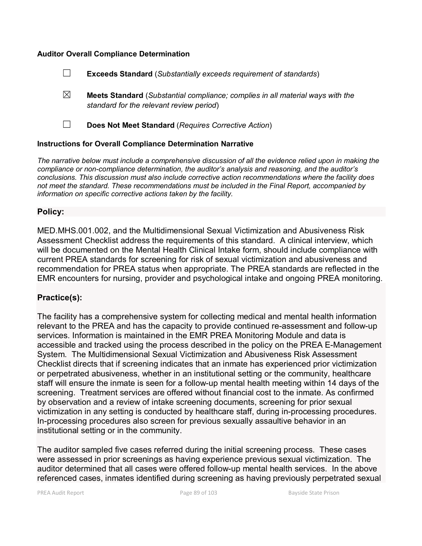#### **Auditor Overall Compliance Determination**

| $\Box$ |  | <b>Exceeds Standard (Substantially exceeds requirement of standards)</b> |
|--------|--|--------------------------------------------------------------------------|
|--------|--|--------------------------------------------------------------------------|

- ☒ **Meets Standard** (*Substantial compliance; complies in all material ways with the standard for the relevant review period*)
- 

☐ **Does Not Meet Standard** (*Requires Corrective Action*)

#### **Instructions for Overall Compliance Determination Narrative**

*The narrative below must include a comprehensive discussion of all the evidence relied upon in making the compliance or non-compliance determination, the auditor's analysis and reasoning, and the auditor's conclusions. This discussion must also include corrective action recommendations where the facility does not meet the standard. These recommendations must be included in the Final Report, accompanied by information on specific corrective actions taken by the facility.*

## **Policy:**

MED.MHS.001.002, and the Multidimensional Sexual Victimization and Abusiveness Risk Assessment Checklist address the requirements of this standard. A clinical interview, which will be documented on the Mental Health Clinical Intake form, should include compliance with current PREA standards for screening for risk of sexual victimization and abusiveness and recommendation for PREA status when appropriate. The PREA standards are reflected in the EMR encounters for nursing, provider and psychological intake and ongoing PREA monitoring.

## **Practice(s):**

The facility has a comprehensive system for collecting medical and mental health information relevant to the PREA and has the capacity to provide continued re-assessment and follow-up services. Information is maintained in the EMR PREA Monitoring Module and data is accessible and tracked using the process described in the policy on the PREA E-Management System. The Multidimensional Sexual Victimization and Abusiveness Risk Assessment Checklist directs that if screening indicates that an inmate has experienced prior victimization or perpetrated abusiveness, whether in an institutional setting or the community, healthcare staff will ensure the inmate is seen for a follow-up mental health meeting within 14 days of the screening. Treatment services are offered without financial cost to the inmate. As confirmed by observation and a review of intake screening documents, screening for prior sexual victimization in any setting is conducted by healthcare staff, during in-processing procedures. In-processing procedures also screen for previous sexually assaultive behavior in an institutional setting or in the community.

The auditor sampled five cases referred during the initial screening process. These cases were assessed in prior screenings as having experience previous sexual victimization. The auditor determined that all cases were offered follow-up mental health services. In the above referenced cases, inmates identified during screening as having previously perpetrated sexual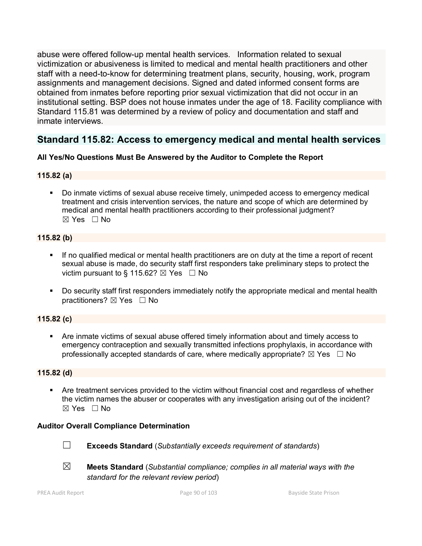abuse were offered follow-up mental health services. Information related to sexual victimization or abusiveness is limited to medical and mental health practitioners and other staff with a need-to-know for determining treatment plans, security, housing, work, program assignments and management decisions. Signed and dated informed consent forms are obtained from inmates before reporting prior sexual victimization that did not occur in an institutional setting. BSP does not house inmates under the age of 18. Facility compliance with Standard 115.81 was determined by a review of policy and documentation and staff and inmate interviews.

# **Standard 115.82: Access to emergency medical and mental health services**

## **All Yes/No Questions Must Be Answered by the Auditor to Complete the Report**

## **115.82 (a)**

 Do inmate victims of sexual abuse receive timely, unimpeded access to emergency medical treatment and crisis intervention services, the nature and scope of which are determined by medical and mental health practitioners according to their professional judgment?  $\boxtimes$  Yes  $\Box$  No

## **115.82 (b)**

- If no qualified medical or mental health practitioners are on duty at the time a report of recent sexual abuse is made, do security staff first responders take preliminary steps to protect the victim pursuant to § 115.62?  $\boxtimes$  Yes  $\Box$  No
- Do security staff first responders immediately notify the appropriate medical and mental health practitioners? ⊠ Yes □ No

## **115.82 (c)**

 Are inmate victims of sexual abuse offered timely information about and timely access to emergency contraception and sexually transmitted infections prophylaxis, in accordance with professionally accepted standards of care, where medically appropriate?  $\boxtimes$  Yes  $\Box$  No

## **115.82 (d)**

 Are treatment services provided to the victim without financial cost and regardless of whether the victim names the abuser or cooperates with any investigation arising out of the incident?  $\boxtimes$  Yes  $\Box$  No

## **Auditor Overall Compliance Determination**



- ☐ **Exceeds Standard** (*Substantially exceeds requirement of standards*)
- ☒ **Meets Standard** (*Substantial compliance; complies in all material ways with the standard for the relevant review period*)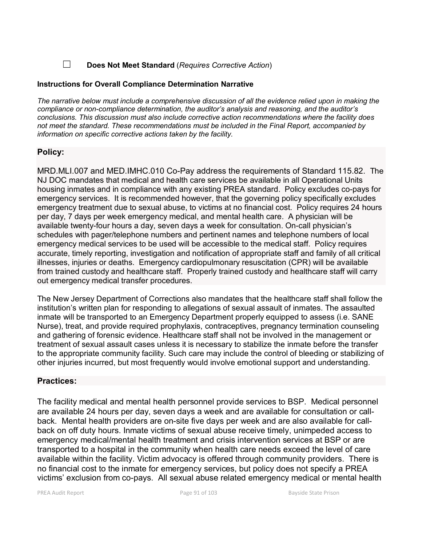## ☐ **Does Not Meet Standard** (*Requires Corrective Action*)

#### **Instructions for Overall Compliance Determination Narrative**

*The narrative below must include a comprehensive discussion of all the evidence relied upon in making the compliance or non-compliance determination, the auditor's analysis and reasoning, and the auditor's conclusions. This discussion must also include corrective action recommendations where the facility does not meet the standard. These recommendations must be included in the Final Report, accompanied by information on specific corrective actions taken by the facility.*

## **Policy:**

MRD.MLI.007 and MED.IMHC.010 Co-Pay address the requirements of Standard 115.82. The NJ DOC mandates that medical and health care services be available in all Operational Units housing inmates and in compliance with any existing PREA standard. Policy excludes co-pays for emergency services. It is recommended however, that the governing policy specifically excludes emergency treatment due to sexual abuse, to victims at no financial cost. Policy requires 24 hours per day, 7 days per week emergency medical, and mental health care. A physician will be available twenty-four hours a day, seven days a week for consultation. On-call physician's schedules with pager/telephone numbers and pertinent names and telephone numbers of local emergency medical services to be used will be accessible to the medical staff. Policy requires accurate, timely reporting, investigation and notification of appropriate staff and family of all critical illnesses, injuries or deaths. Emergency cardiopulmonary resuscitation (CPR) will be available from trained custody and healthcare staff. Properly trained custody and healthcare staff will carry out emergency medical transfer procedures.

The New Jersey Department of Corrections also mandates that the healthcare staff shall follow the institution's written plan for responding to allegations of sexual assault of inmates. The assaulted inmate will be transported to an Emergency Department properly equipped to assess (i.e. SANE Nurse), treat, and provide required prophylaxis, contraceptives, pregnancy termination counseling and gathering of forensic evidence. Healthcare staff shall not be involved in the management or treatment of sexual assault cases unless it is necessary to stabilize the inmate before the transfer to the appropriate community facility. Such care may include the control of bleeding or stabilizing of other injuries incurred, but most frequently would involve emotional support and understanding.

## **Practices:**

The facility medical and mental health personnel provide services to BSP. Medical personnel are available 24 hours per day, seven days a week and are available for consultation or callback. Mental health providers are on-site five days per week and are also available for callback on off duty hours. Inmate victims of sexual abuse receive timely, unimpeded access to emergency medical/mental health treatment and crisis intervention services at BSP or are transported to a hospital in the community when health care needs exceed the level of care available within the facility. Victim advocacy is offered through community providers. There is no financial cost to the inmate for emergency services, but policy does not specify a PREA victims' exclusion from co-pays. All sexual abuse related emergency medical or mental health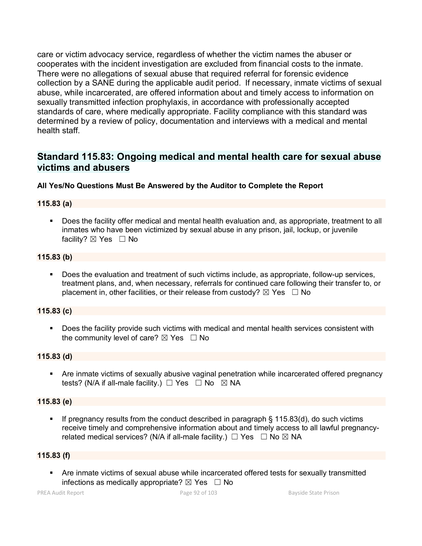care or victim advocacy service, regardless of whether the victim names the abuser or cooperates with the incident investigation are excluded from financial costs to the inmate. There were no allegations of sexual abuse that required referral for forensic evidence collection by a SANE during the applicable audit period. If necessary, inmate victims of sexual abuse, while incarcerated, are offered information about and timely access to information on sexually transmitted infection prophylaxis, in accordance with professionally accepted standards of care, where medically appropriate. Facility compliance with this standard was determined by a review of policy, documentation and interviews with a medical and mental health staff.

# **Standard 115.83: Ongoing medical and mental health care for sexual abuse victims and abusers**

## **All Yes/No Questions Must Be Answered by the Auditor to Complete the Report**

## **115.83 (a)**

 Does the facility offer medical and mental health evaluation and, as appropriate, treatment to all inmates who have been victimized by sexual abuse in any prison, jail, lockup, or juvenile facility?  $\boxtimes$  Yes  $\Box$  No

## **115.83 (b)**

 Does the evaluation and treatment of such victims include, as appropriate, follow-up services, treatment plans, and, when necessary, referrals for continued care following their transfer to, or placement in, other facilities, or their release from custody?  $\boxtimes$  Yes  $\Box$  No

## **115.83 (c)**

 Does the facility provide such victims with medical and mental health services consistent with the community level of care?  $\boxtimes$  Yes  $\Box$  No

#### **115.83 (d)**

 Are inmate victims of sexually abusive vaginal penetration while incarcerated offered pregnancy tests? (N/A if all-male facility.)  $\Box$  Yes  $\Box$  No  $\boxtimes$  NA

## **115.83 (e)**

If pregnancy results from the conduct described in paragraph  $\S$  115.83(d), do such victims receive timely and comprehensive information about and timely access to all lawful pregnancyrelated medical services? (N/A if all-male facility.)  $\Box$  Yes  $\Box$  No  $\boxtimes$  NA

## **115.83 (f)**

 Are inmate victims of sexual abuse while incarcerated offered tests for sexually transmitted infections as medically appropriate?  $\boxtimes$  Yes  $\Box$  No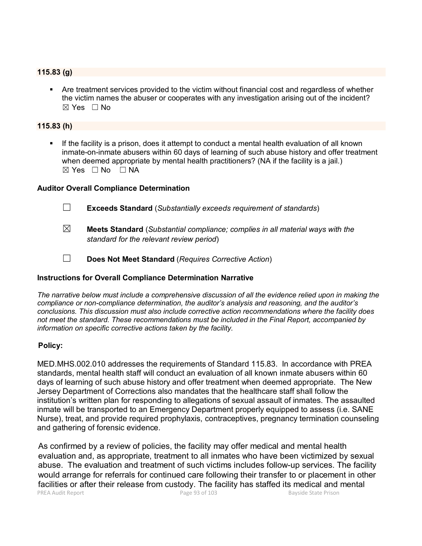#### **115.83 (g)**

 Are treatment services provided to the victim without financial cost and regardless of whether the victim names the abuser or cooperates with any investigation arising out of the incident?  $\boxtimes$  Yes  $\Box$  No

#### **115.83 (h)**

 If the facility is a prison, does it attempt to conduct a mental health evaluation of all known inmate-on-inmate abusers within 60 days of learning of such abuse history and offer treatment when deemed appropriate by mental health practitioners? (NA if the facility is a jail.)  $\boxtimes$  Yes  $\Box$  No  $\Box$  NA

#### **Auditor Overall Compliance Determination**

- ☐ **Exceeds Standard** (*Substantially exceeds requirement of standards*)
- ☒ **Meets Standard** (*Substantial compliance; complies in all material ways with the standard for the relevant review period*)
- ☐ **Does Not Meet Standard** (*Requires Corrective Action*)

## **Instructions for Overall Compliance Determination Narrative**

*The narrative below must include a comprehensive discussion of all the evidence relied upon in making the compliance or non-compliance determination, the auditor's analysis and reasoning, and the auditor's conclusions. This discussion must also include corrective action recommendations where the facility does not meet the standard. These recommendations must be included in the Final Report, accompanied by information on specific corrective actions taken by the facility.*

#### **Policy:**

MED.MHS.002.010 addresses the requirements of Standard 115.83. In accordance with PREA standards, mental health staff will conduct an evaluation of all known inmate abusers within 60 days of learning of such abuse history and offer treatment when deemed appropriate. The New Jersey Department of Corrections also mandates that the healthcare staff shall follow the institution's written plan for responding to allegations of sexual assault of inmates. The assaulted inmate will be transported to an Emergency Department properly equipped to assess (i.e. SANE Nurse), treat, and provide required prophylaxis, contraceptives, pregnancy termination counseling and gathering of forensic evidence.

PREA Audit Report **Page 93 of 103** Bayside State Prison As confirmed by a review of policies, the facility may offer medical and mental health evaluation and, as appropriate, treatment to all inmates who have been victimized by sexual abuse. The evaluation and treatment of such victims includes follow-up services. The facility would arrange for referrals for continued care following their transfer to or placement in other facilities or after their release from custody. The facility has staffed its medical and mental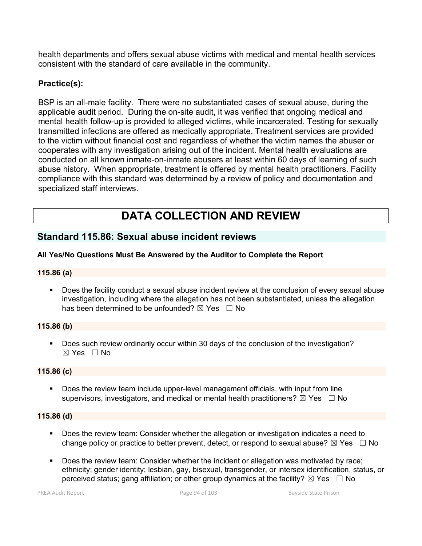health departments and offers sexual abuse victims with medical and mental health services consistent with the standard of care available in the community.

## **Practice(s):**

BSP is an all-male facility. There were no substantiated cases of sexual abuse, during the applicable audit period. During the on-site audit, it was verified that ongoing medical and mental health follow-up is provided to alleged victims, while incarcerated. Testing for sexually transmitted infections are offered as medically appropriate. Treatment services are provided to the victim without financial cost and regardless of whether the victim names the abuser or cooperates with any investigation arising out of the incident. Mental health evaluations are conducted on all known inmate-on-inmate abusers at least within 60 days of learning of such abuse history. When appropriate, treatment is offered by mental health practitioners. Facility compliance with this standard was determined by a review of policy and documentation and specialized staff interviews.

# **DATA COLLECTION AND REVIEW**

## **Standard 115.86: Sexual abuse incident reviews**

## **All Yes/No Questions Must Be Answered by the Auditor to Complete the Report**

## **115.86 (a)**

 Does the facility conduct a sexual abuse incident review at the conclusion of every sexual abuse investigation, including where the allegation has not been substantiated, unless the allegation has been determined to be unfounded?  $\boxtimes$  Yes  $\Box$  No

## **115.86 (b)**

 Does such review ordinarily occur within 30 days of the conclusion of the investigation? ☒ Yes ☐ No

#### **115.86 (c)**

 Does the review team include upper-level management officials, with input from line supervisors, investigators, and medical or mental health practitioners?  $\boxtimes$  Yes  $\Box$  No

#### **115.86 (d)**

- Does the review team: Consider whether the allegation or investigation indicates a need to change policy or practice to better prevent, detect, or respond to sexual abuse?  $\boxtimes$  Yes  $\Box$  No
- Does the review team: Consider whether the incident or allegation was motivated by race; ethnicity; gender identity; lesbian, gay, bisexual, transgender, or intersex identification, status, or perceived status; gang affiliation; or other group dynamics at the facility?  $\boxtimes$  Yes  $\Box$  No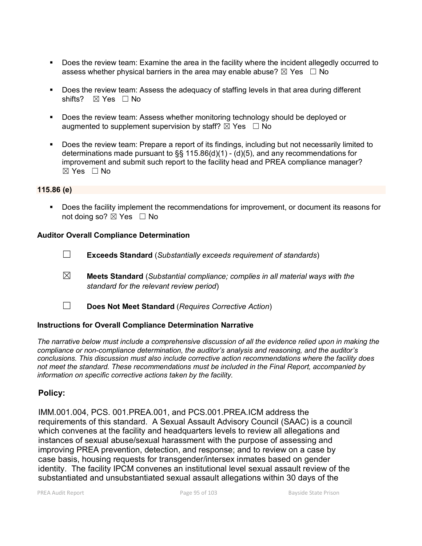- Does the review team: Examine the area in the facility where the incident allegedly occurred to assess whether physical barriers in the area may enable abuse?  $\boxtimes$  Yes  $\Box$  No
- Does the review team: Assess the adequacy of staffing levels in that area during different shifts? ⊠ Yes □ No
- **Does the review team: Assess whether monitoring technology should be deployed or** augmented to supplement supervision by staff?  $\boxtimes$  Yes  $\Box$  No
- Does the review team: Prepare a report of its findings, including but not necessarily limited to determinations made pursuant to §§ 115.86(d)(1) - (d)(5), and any recommendations for improvement and submit such report to the facility head and PREA compliance manager?  $\boxtimes$  Yes  $\Box$  No

#### **115.86 (e)**

 Does the facility implement the recommendations for improvement, or document its reasons for not doing so?  $\boxtimes$  Yes  $\Box$  No

#### **Auditor Overall Compliance Determination**

- ☐ **Exceeds Standard** (*Substantially exceeds requirement of standards*)
- ☒ **Meets Standard** (*Substantial compliance; complies in all material ways with the standard for the relevant review period*)
- ☐ **Does Not Meet Standard** (*Requires Corrective Action*)

#### **Instructions for Overall Compliance Determination Narrative**

*The narrative below must include a comprehensive discussion of all the evidence relied upon in making the compliance or non-compliance determination, the auditor's analysis and reasoning, and the auditor's conclusions. This discussion must also include corrective action recommendations where the facility does not meet the standard. These recommendations must be included in the Final Report, accompanied by information on specific corrective actions taken by the facility.*

## **Policy:**

IMM.001.004, PCS. 001.PREA.001, and PCS.001.PREA.ICM address the requirements of this standard. A Sexual Assault Advisory Council (SAAC) is a council which convenes at the facility and headquarters levels to review all allegations and instances of sexual abuse/sexual harassment with the purpose of assessing and improving PREA prevention, detection, and response; and to review on a case by case basis, housing requests for transgender/intersex inmates based on gender identity. The facility IPCM convenes an institutional level sexual assault review of the substantiated and unsubstantiated sexual assault allegations within 30 days of the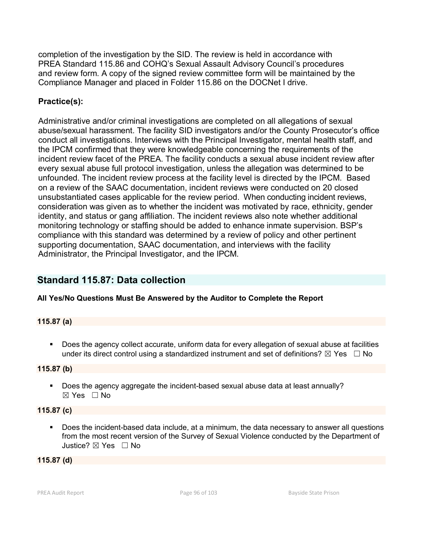completion of the investigation by the SID. The review is held in accordance with PREA Standard 115.86 and COHQ's Sexual Assault Advisory Council's procedures and review form. A copy of the signed review committee form will be maintained by the Compliance Manager and placed in Folder 115.86 on the DOCNet I drive.

# **Practice(s):**

Administrative and/or criminal investigations are completed on all allegations of sexual abuse/sexual harassment. The facility SID investigators and/or the County Prosecutor's office conduct all investigations. Interviews with the Principal Investigator, mental health staff, and the IPCM confirmed that they were knowledgeable concerning the requirements of the incident review facet of the PREA. The facility conducts a sexual abuse incident review after every sexual abuse full protocol investigation, unless the allegation was determined to be unfounded. The incident review process at the facility level is directed by the IPCM. Based on a review of the SAAC documentation, incident reviews were conducted on 20 closed unsubstantiated cases applicable for the review period. When conducting incident reviews, consideration was given as to whether the incident was motivated by race, ethnicity, gender identity, and status or gang affiliation. The incident reviews also note whether additional monitoring technology or staffing should be added to enhance inmate supervision. BSP's compliance with this standard was determined by a review of policy and other pertinent supporting documentation, SAAC documentation, and interviews with the facility Administrator, the Principal Investigator, and the IPCM.

# **Standard 115.87: Data collection**

## **All Yes/No Questions Must Be Answered by the Auditor to Complete the Report**

## **115.87 (a)**

 Does the agency collect accurate, uniform data for every allegation of sexual abuse at facilities under its direct control using a standardized instrument and set of definitions?  $\boxtimes$  Yes  $\Box$  No

## **115.87 (b)**

**Does the agency aggregate the incident-based sexual abuse data at least annually?**  $\boxtimes$  Yes  $\Box$  No

## **115.87 (c)**

 Does the incident-based data include, at a minimum, the data necessary to answer all questions from the most recent version of the Survey of Sexual Violence conducted by the Department of Justice? ☒ Yes ☐ No

## **115.87 (d)**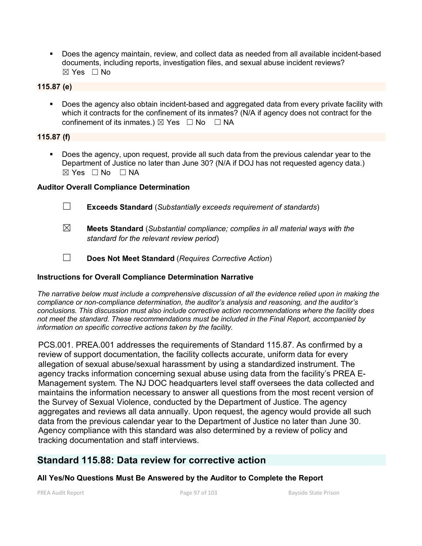Does the agency maintain, review, and collect data as needed from all available incident-based documents, including reports, investigation files, and sexual abuse incident reviews? ☒ Yes ☐ No

## **115.87 (e)**

**Does the agency also obtain incident-based and aggregated data from every private facility with** which it contracts for the confinement of its inmates? (N/A if agency does not contract for the confinement of its inmates.)  $\boxtimes$  Yes  $\Box$  No  $\Box$  NA

## **115.87 (f)**

 Does the agency, upon request, provide all such data from the previous calendar year to the Department of Justice no later than June 30? (N/A if DOJ has not requested agency data.)  $\boxtimes$  Yes  $\Box$  No  $\Box$  NA

## **Auditor Overall Compliance Determination**

- ☐ **Exceeds Standard** (*Substantially exceeds requirement of standards*)
- ☒ **Meets Standard** (*Substantial compliance; complies in all material ways with the standard for the relevant review period*)
- ☐ **Does Not Meet Standard** (*Requires Corrective Action*)

## **Instructions for Overall Compliance Determination Narrative**

*The narrative below must include a comprehensive discussion of all the evidence relied upon in making the compliance or non-compliance determination, the auditor's analysis and reasoning, and the auditor's conclusions. This discussion must also include corrective action recommendations where the facility does not meet the standard. These recommendations must be included in the Final Report, accompanied by information on specific corrective actions taken by the facility.*

PCS.001. PREA.001 addresses the requirements of Standard 115.87. As confirmed by a review of support documentation, the facility collects accurate, uniform data for every allegation of sexual abuse/sexual harassment by using a standardized instrument. The agency tracks information concerning sexual abuse using data from the facility's PREA E-Management system. The NJ DOC headquarters level staff oversees the data collected and maintains the information necessary to answer all questions from the most recent version of the Survey of Sexual Violence, conducted by the Department of Justice. The agency aggregates and reviews all data annually. Upon request, the agency would provide all such data from the previous calendar year to the Department of Justice no later than June 30. Agency compliance with this standard was also determined by a review of policy and tracking documentation and staff interviews.

## **Standard 115.88: Data review for corrective action**

## **All Yes/No Questions Must Be Answered by the Auditor to Complete the Report**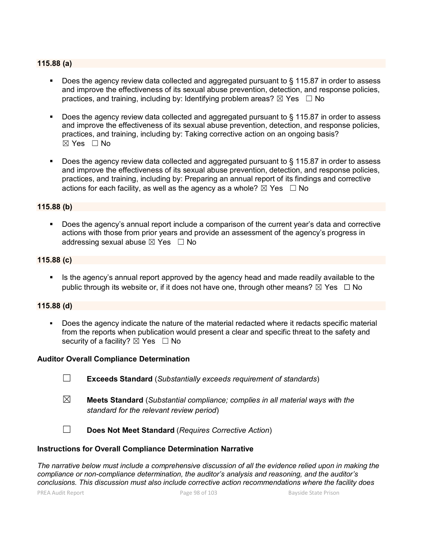#### **115.88 (a)**

- Does the agency review data collected and aggregated pursuant to § 115.87 in order to assess and improve the effectiveness of its sexual abuse prevention, detection, and response policies, practices, and training, including by: Identifying problem areas?  $\boxtimes$  Yes  $\Box$  No
- Does the agency review data collected and aggregated pursuant to § 115.87 in order to assess and improve the effectiveness of its sexual abuse prevention, detection, and response policies, practices, and training, including by: Taking corrective action on an ongoing basis?  $\boxtimes$  Yes  $\Box$  No
- Does the agency review data collected and aggregated pursuant to § 115.87 in order to assess and improve the effectiveness of its sexual abuse prevention, detection, and response policies, practices, and training, including by: Preparing an annual report of its findings and corrective actions for each facility, as well as the agency as a whole?  $\boxtimes$  Yes  $\Box$  No

#### **115.88 (b)**

 Does the agency's annual report include a comparison of the current year's data and corrective actions with those from prior years and provide an assessment of the agency's progress in addressing sexual abuse  $\boxtimes$  Yes  $\Box$  No

#### **115.88 (c)**

 Is the agency's annual report approved by the agency head and made readily available to the public through its website or, if it does not have one, through other means?  $\boxtimes$  Yes  $\Box$  No

#### **115.88 (d)**

 Does the agency indicate the nature of the material redacted where it redacts specific material from the reports when publication would present a clear and specific threat to the safety and security of a facility?  $\boxtimes$  Yes  $\Box$  No

#### **Auditor Overall Compliance Determination**

- ☐ **Exceeds Standard** (*Substantially exceeds requirement of standards*)
- ☒ **Meets Standard** (*Substantial compliance; complies in all material ways with the standard for the relevant review period*)

☐ **Does Not Meet Standard** (*Requires Corrective Action*)

#### **Instructions for Overall Compliance Determination Narrative**

*The narrative below must include a comprehensive discussion of all the evidence relied upon in making the compliance or non-compliance determination, the auditor's analysis and reasoning, and the auditor's conclusions. This discussion must also include corrective action recommendations where the facility does* 

PREA Audit Report **Page 98 of 103** Bayside State Prison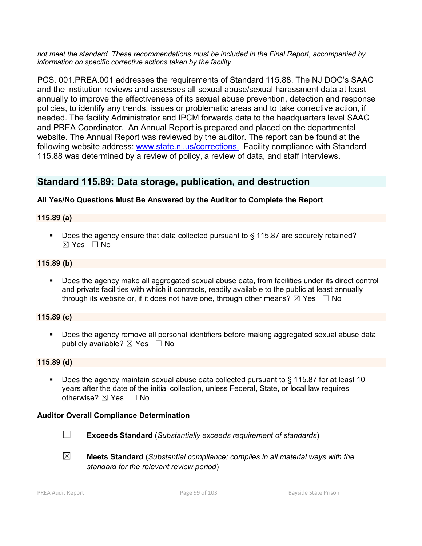*not meet the standard. These recommendations must be included in the Final Report, accompanied by information on specific corrective actions taken by the facility.*

PCS. 001.PREA.001 addresses the requirements of Standard 115.88. The NJ DOC's SAAC and the institution reviews and assesses all sexual abuse/sexual harassment data at least annually to improve the effectiveness of its sexual abuse prevention, detection and response policies, to identify any trends, issues or problematic areas and to take corrective action, if needed. The facility Administrator and IPCM forwards data to the headquarters level SAAC and PREA Coordinator. An Annual Report is prepared and placed on the departmental website. The Annual Report was reviewed by the auditor. The report can be found at the following website address: [www.state.nj.us/corrections.](http://www.state.nj.us/corrections.) Facility compliance with Standard 115.88 was determined by a review of policy, a review of data, and staff interviews.

# **Standard 115.89: Data storage, publication, and destruction**

## **All Yes/No Questions Must Be Answered by the Auditor to Complete the Report**

## **115.89 (a)**

Does the agency ensure that data collected pursuant to § 115.87 are securely retained?  $\boxtimes$  Yes  $\Box$  No

## **115.89 (b)**

 Does the agency make all aggregated sexual abuse data, from facilities under its direct control and private facilities with which it contracts, readily available to the public at least annually through its website or, if it does not have one, through other means?  $\boxtimes$  Yes  $\Box$  No

## **115.89 (c)**

 Does the agency remove all personal identifiers before making aggregated sexual abuse data publicly available?  $\boxtimes$  Yes  $\Box$  No

## **115.89 (d)**

■ Does the agency maintain sexual abuse data collected pursuant to § 115.87 for at least 10 years after the date of the initial collection, unless Federal, State, or local law requires otherwise? ⊠ Yes □ No

## **Auditor Overall Compliance Determination**



☐ **Exceeds Standard** (*Substantially exceeds requirement of standards*)

☒ **Meets Standard** (*Substantial compliance; complies in all material ways with the standard for the relevant review period*)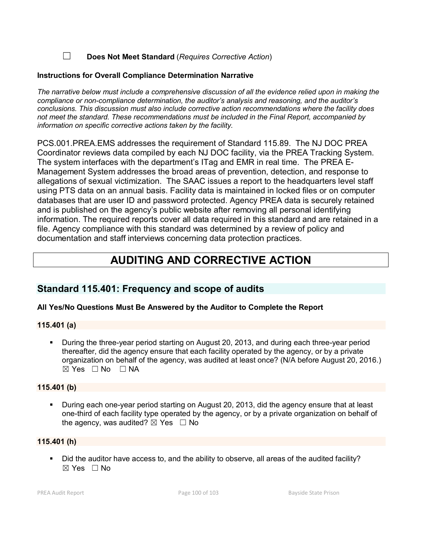☐ **Does Not Meet Standard** (*Requires Corrective Action*)

## **Instructions for Overall Compliance Determination Narrative**

*The narrative below must include a comprehensive discussion of all the evidence relied upon in making the compliance or non-compliance determination, the auditor's analysis and reasoning, and the auditor's conclusions. This discussion must also include corrective action recommendations where the facility does not meet the standard. These recommendations must be included in the Final Report, accompanied by information on specific corrective actions taken by the facility.*

PCS.001.PREA.EMS addresses the requirement of Standard 115.89. The NJ DOC PREA Coordinator reviews data compiled by each NJ DOC facility, via the PREA Tracking System. The system interfaces with the department's ITag and EMR in real time. The PREA E-Management System addresses the broad areas of prevention, detection, and response to allegations of sexual victimization. The SAAC issues a report to the headquarters level staff using PTS data on an annual basis. Facility data is maintained in locked files or on computer databases that are user ID and password protected. Agency PREA data is securely retained and is published on the agency's public website after removing all personal identifying information. The required reports cover all data required in this standard and are retained in a file. Agency compliance with this standard was determined by a review of policy and documentation and staff interviews concerning data protection practices.

# **AUDITING AND CORRECTIVE ACTION**

# **Standard 115.401: Frequency and scope of audits**

## **All Yes/No Questions Must Be Answered by the Auditor to Complete the Report**

## **115.401 (a)**

 During the three-year period starting on August 20, 2013, and during each three-year period thereafter, did the agency ensure that each facility operated by the agency, or by a private organization on behalf of the agency, was audited at least once? (N/A before August 20, 2016.)  $\boxtimes$  Yes  $\Box$  No  $\Box$  NA

## **115.401 (b)**

 During each one-year period starting on August 20, 2013, did the agency ensure that at least one-third of each facility type operated by the agency, or by a private organization on behalf of the agency, was audited?  $\boxtimes$  Yes  $\Box$  No

## **115.401 (h)**

Did the auditor have access to, and the ability to observe, all areas of the audited facility?  $\boxtimes$  Yes  $\Box$  No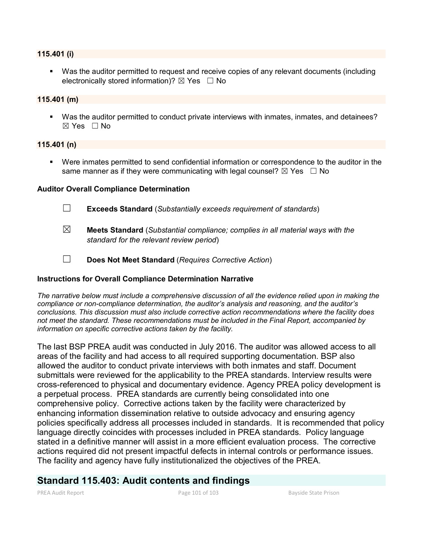#### **115.401 (i)**

 Was the auditor permitted to request and receive copies of any relevant documents (including electronically stored information)?  $\boxtimes$  Yes  $\Box$  No

#### **115.401 (m)**

 Was the auditor permitted to conduct private interviews with inmates, inmates, and detainees?  $\boxtimes$  Yes  $\Box$  No

#### **115.401 (n)**

 Were inmates permitted to send confidential information or correspondence to the auditor in the same manner as if they were communicating with legal counsel?  $\boxtimes$  Yes  $\Box$  No

#### **Auditor Overall Compliance Determination**

- ☐ **Exceeds Standard** (*Substantially exceeds requirement of standards*)
- ☒ **Meets Standard** (*Substantial compliance; complies in all material ways with the standard for the relevant review period*)
- ☐ **Does Not Meet Standard** (*Requires Corrective Action*)

#### **Instructions for Overall Compliance Determination Narrative**

*The narrative below must include a comprehensive discussion of all the evidence relied upon in making the compliance or non-compliance determination, the auditor's analysis and reasoning, and the auditor's conclusions. This discussion must also include corrective action recommendations where the facility does not meet the standard. These recommendations must be included in the Final Report, accompanied by information on specific corrective actions taken by the facility.*

The last BSP PREA audit was conducted in July 2016. The auditor was allowed access to all areas of the facility and had access to all required supporting documentation. BSP also allowed the auditor to conduct private interviews with both inmates and staff. Document submittals were reviewed for the applicability to the PREA standards. Interview results were cross-referenced to physical and documentary evidence. Agency PREA policy development is a perpetual process. PREA standards are currently being consolidated into one comprehensive policy. Corrective actions taken by the facility were characterized by enhancing information dissemination relative to outside advocacy and ensuring agency policies specifically address all processes included in standards. It is recommended that policy language directly coincides with processes included in PREA standards. Policy language stated in a definitive manner will assist in a more efficient evaluation process. The corrective actions required did not present impactful defects in internal controls or performance issues. The facility and agency have fully institutionalized the objectives of the PREA.

# **Standard 115.403: Audit contents and findings**

PREA Audit Report **Page 101 of 103** Bayside State Prison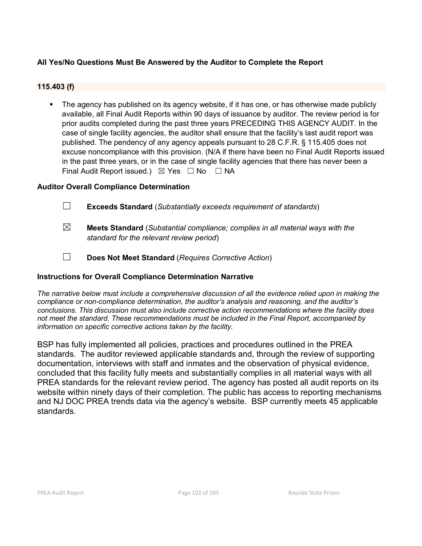## **All Yes/No Questions Must Be Answered by the Auditor to Complete the Report**

## **115.403 (f)**

 The agency has published on its agency website, if it has one, or has otherwise made publicly available, all Final Audit Reports within 90 days of issuance by auditor. The review period is for prior audits completed during the past three years PRECEDING THIS AGENCY AUDIT. In the case of single facility agencies, the auditor shall ensure that the facility's last audit report was published. The pendency of any agency appeals pursuant to 28 C.F.R. § 115.405 does not excuse noncompliance with this provision. (N/A if there have been no Final Audit Reports issued in the past three years, or in the case of single facility agencies that there has never been a Final Audit Report issued.)  $\boxtimes$  Yes  $\Box$  No  $\Box$  NA

## **Auditor Overall Compliance Determination**

- ☐ **Exceeds Standard** (*Substantially exceeds requirement of standards*)
- ☒ **Meets Standard** (*Substantial compliance; complies in all material ways with the standard for the relevant review period*)
- ☐ **Does Not Meet Standard** (*Requires Corrective Action*)

## **Instructions for Overall Compliance Determination Narrative**

*The narrative below must include a comprehensive discussion of all the evidence relied upon in making the compliance or non-compliance determination, the auditor's analysis and reasoning, and the auditor's conclusions. This discussion must also include corrective action recommendations where the facility does not meet the standard. These recommendations must be included in the Final Report, accompanied by information on specific corrective actions taken by the facility.*

BSP has fully implemented all policies, practices and procedures outlined in the PREA standards. The auditor reviewed applicable standards and, through the review of supporting documentation, interviews with staff and inmates and the observation of physical evidence, concluded that this facility fully meets and substantially complies in all material ways with all PREA standards for the relevant review period. The agency has posted all audit reports on its website within ninety days of their completion. The public has access to reporting mechanisms and NJ DOC PREA trends data via the agency's website. BSP currently meets 45 applicable standards.